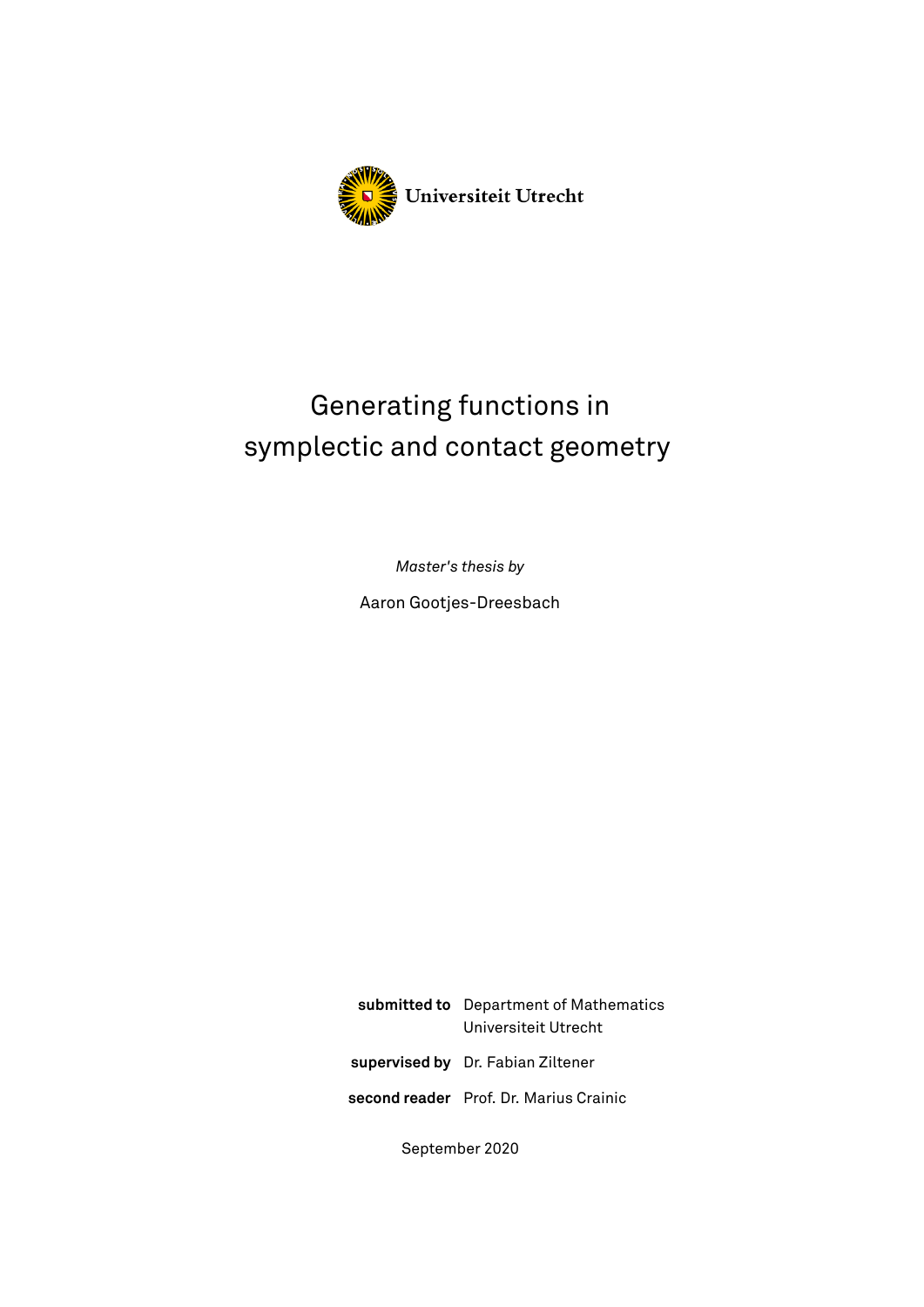

# Generating functions in symplectic and contact geometry

*Master's thesis by*

Aaron Gootjes-Dreesbach

**submitted to** Department of Mathematics Universiteit Utrecht **supervised by** Dr. Fabian Ziltener **second reader** Prof. Dr. Marius Crainic

September 2020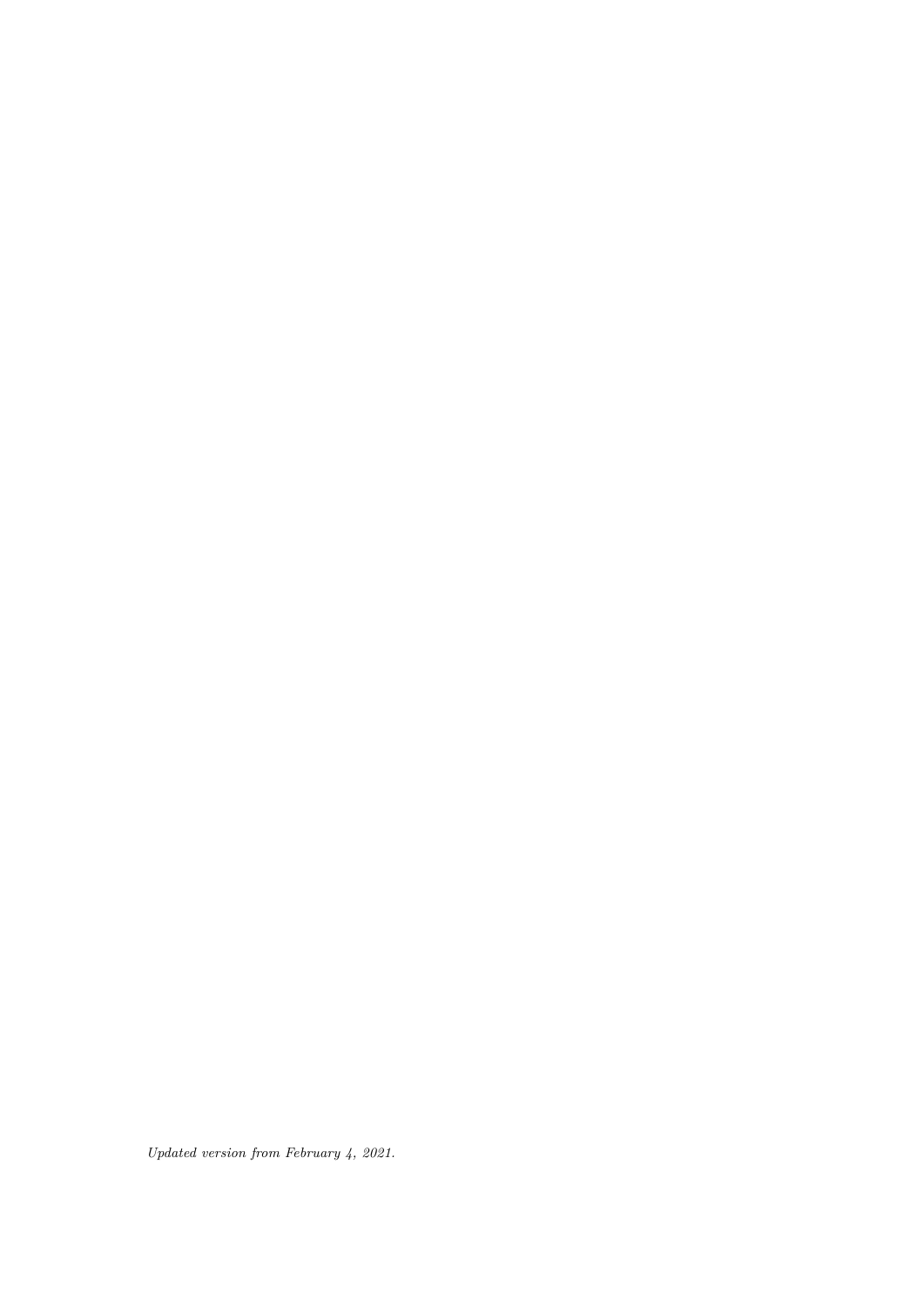*Updated version from February 4, 2021.*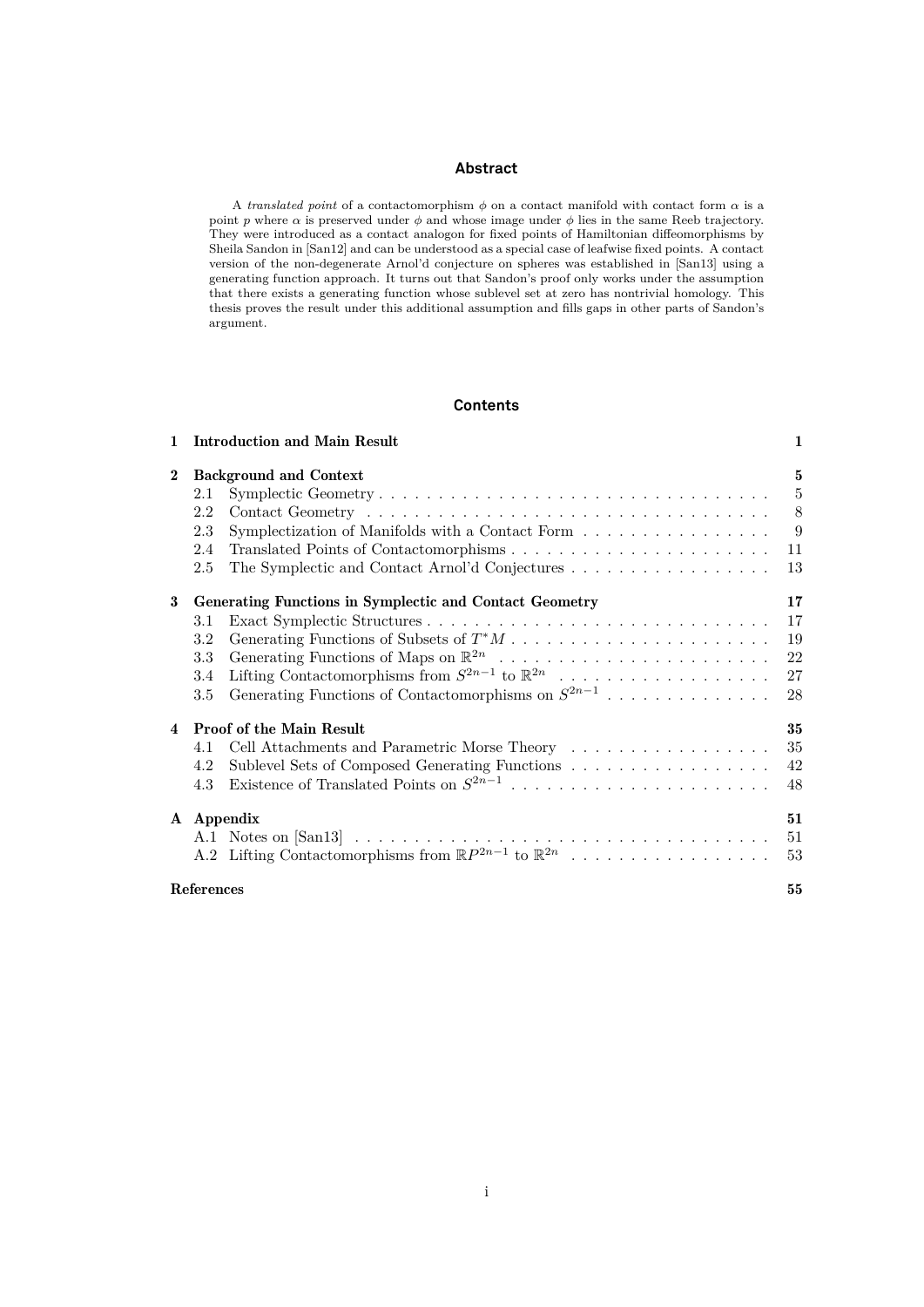#### **Abstract**

A *translated point* of a contactomorphism  $\phi$  on a contact manifold with contact form  $\alpha$  is a point p where  $\alpha$  is preserved under  $\phi$  and whose image under  $\phi$  lies in the same Reeb trajectory. They were introduced as a contact analogon for fixed points of Hamiltonian diffeomorphisms by Sheila Sandon in [\[San12\]](#page-60-0) and can be understood as a special case of leafwise fixed points. A contact version of the non-degenerate Arnol'd conjecture on spheres was established in [\[San13\]](#page-60-1) using a generating function approach. It turns out that Sandon's proof only works under the assumption that there exists a generating function whose sublevel set at zero has nontrivial homology. This thesis proves the result under this additional assumption and fills gaps in other parts of Sandon's argument.

#### **Contents**

| 1              |                                                         | <b>Introduction and Main Result</b>                                          | 1  |  |  |  |
|----------------|---------------------------------------------------------|------------------------------------------------------------------------------|----|--|--|--|
| $\bf{2}$       |                                                         | <b>Background and Context</b>                                                | 5  |  |  |  |
|                | 2.1                                                     |                                                                              | 5  |  |  |  |
|                | 2.2                                                     |                                                                              | 8  |  |  |  |
|                | 2.3                                                     | Symplectization of Manifolds with a Contact Form                             | 9  |  |  |  |
|                | 2.4                                                     |                                                                              | 11 |  |  |  |
|                | 2.5                                                     |                                                                              | 13 |  |  |  |
| 3              | Generating Functions in Symplectic and Contact Geometry |                                                                              |    |  |  |  |
|                | 3.1                                                     |                                                                              | 17 |  |  |  |
|                | 3.2                                                     |                                                                              | 19 |  |  |  |
|                | 3.3                                                     |                                                                              | 22 |  |  |  |
|                | 3.4                                                     | Lifting Contactomorphisms from $S^{2n-1}$ to $\mathbb{R}^{2n}$               | 27 |  |  |  |
|                | $3.5\,$                                                 | Generating Functions of Contactomorphisms on $S^{2n-1}$                      | 28 |  |  |  |
| $\overline{4}$ |                                                         | <b>Proof of the Main Result</b>                                              | 35 |  |  |  |
|                | 4.1                                                     | Cell Attachments and Parametric Morse Theory                                 | 35 |  |  |  |
|                | 4.2                                                     | Sublevel Sets of Composed Generating Functions                               | 42 |  |  |  |
|                | 4.3                                                     |                                                                              | 48 |  |  |  |
|                | A Appendix                                              |                                                                              |    |  |  |  |
|                |                                                         |                                                                              | 51 |  |  |  |
|                |                                                         | A.2 Lifting Contactomorphisms from $\mathbb{R}P^{2n-1}$ to $\mathbb{R}^{2n}$ | 53 |  |  |  |
|                | <b>References</b>                                       |                                                                              | 55 |  |  |  |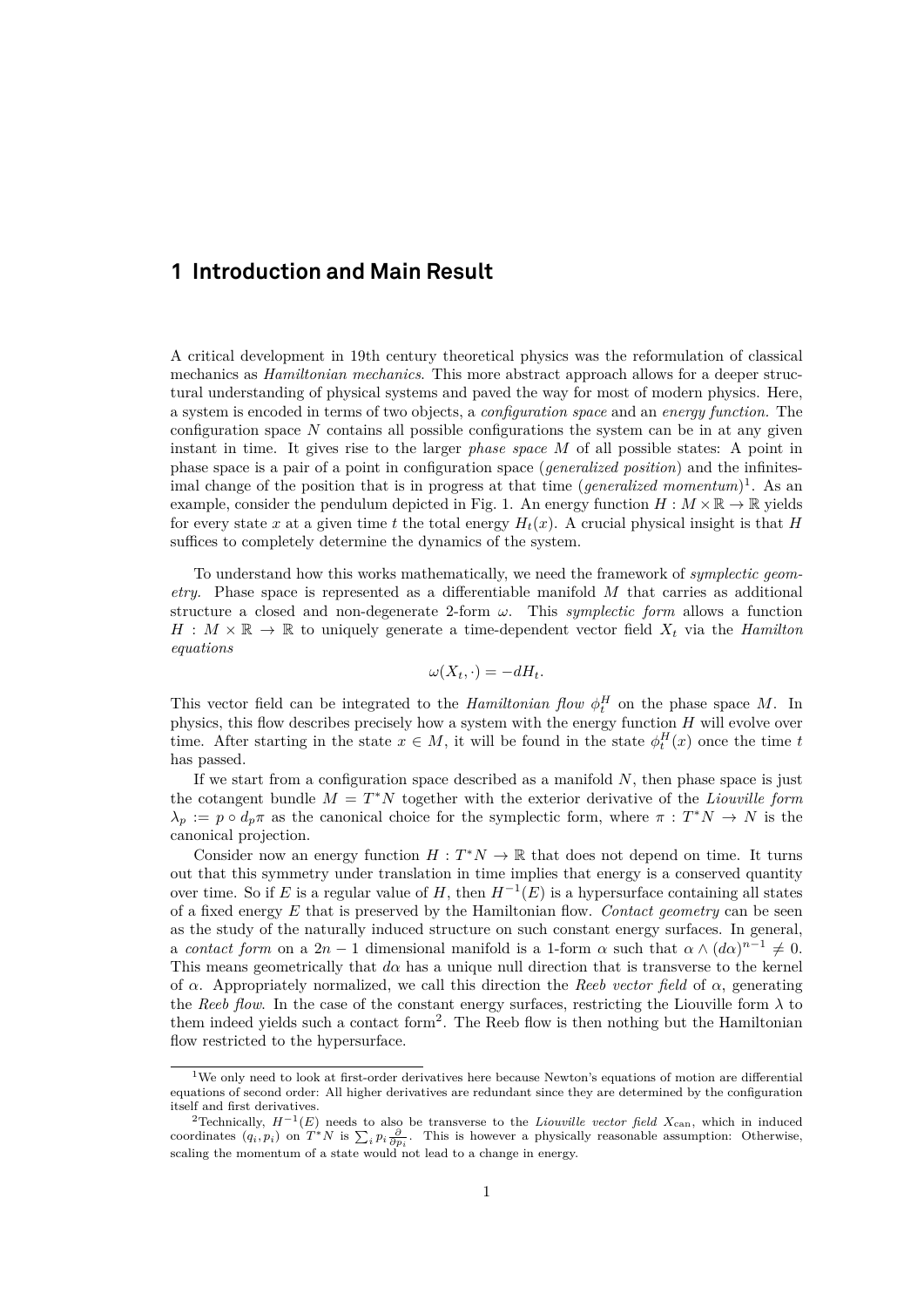# <span id="page-4-0"></span>**1 Introduction and Main Result**

A critical development in 19th century theoretical physics was the reformulation of classical mechanics as *Hamiltonian mechanics*. This more abstract approach allows for a deeper structural understanding of physical systems and paved the way for most of modern physics. Here, a system is encoded in terms of two objects, a *configuration space* and an *energy function.* The configuration space  $N$  contains all possible configurations the system can be in at any given instant in time. It gives rise to the larger *phase space* M of all possible states: A point in phase space is a pair of a point in configuration space (*generalized position*) and the infinitesimal change of the position that is in progress at that time (*generalized momentum*)<sup>[1](#page-4-1)</sup>. As an example, consider the pendulum depicted in Fig. [1.](#page-5-0) An energy function  $H : M \times \mathbb{R} \to \mathbb{R}$  yields for every state x at a given time t the total energy  $H_t(x)$ . A crucial physical insight is that H suffices to completely determine the dynamics of the system.

To understand how this works mathematically, we need the framework of *symplectic geometry.* Phase space is represented as a differentiable manifold M that carries as additional structure a closed and non-degenerate 2-form  $\omega$ . This *symplectic form* allows a function  $H : M \times \mathbb{R} \to \mathbb{R}$  to uniquely generate a time-dependent vector field  $X_t$  via the *Hamilton equations*

$$
\omega(X_t, \cdot) = -dH_t.
$$

This vector field can be integrated to the *Hamiltonian flow*  $\phi_t^H$  on the phase space M. In physics, this flow describes precisely how a system with the energy function  $H$  will evolve over time. After starting in the state  $x \in M$ , it will be found in the state  $\phi_t^H(x)$  once the time t has passed.

If we start from a configuration space described as a manifold  $N$ , then phase space is just the cotangent bundle  $M = T^*N$  together with the exterior derivative of the *Liouville form*  $\lambda_p := p \circ d_p \pi$  as the canonical choice for the symplectic form, where  $\pi : T^*N \to N$  is the canonical projection.

Consider now an energy function  $H: T^*N \to \mathbb{R}$  that does not depend on time. It turns out that this symmetry under translation in time implies that energy is a conserved quantity over time. So if E is a regular value of H, then  $H^{-1}(E)$  is a hypersurface containing all states of a fixed energy E that is preserved by the Hamiltonian flow. *Contact geometry* can be seen as the study of the naturally induced structure on such constant energy surfaces. In general, a *contact form* on a 2n – 1 dimensional manifold is a 1-form  $\alpha$  such that  $\alpha \wedge (d\alpha)^{n-1} \neq 0$ . This means geometrically that  $d\alpha$  has a unique null direction that is transverse to the kernel of  $\alpha$ . Appropriately normalized, we call this direction the *Reeb vector field* of  $\alpha$ , generating the *Reeb flow*. In the case of the constant energy surfaces, restricting the Liouville form  $\lambda$  to them indeed yields such a contact form<sup>[2](#page-4-2)</sup>. The Reeb flow is then nothing but the Hamiltonian flow restricted to the hypersurface.

<span id="page-4-1"></span> $1$ We only need to look at first-order derivatives here because Newton's equations of motion are differential equations of second order: All higher derivatives are redundant since they are determined by the configuration itself and first derivatives.

<span id="page-4-2"></span><sup>&</sup>lt;sup>2</sup>Technically,  $H^{-1}(E)$  needs to also be transverse to the *Liouville vector field*  $X_{\text{can}}$ , which in induced coordinates  $(q_i, p_i)$  on  $T^*N$  is  $\sum_i p_i \frac{\partial}{\partial p_i}$ . This is however a physically reasonable assumption: Otherwise, scaling the momentum of a state would not lead to a change in energy.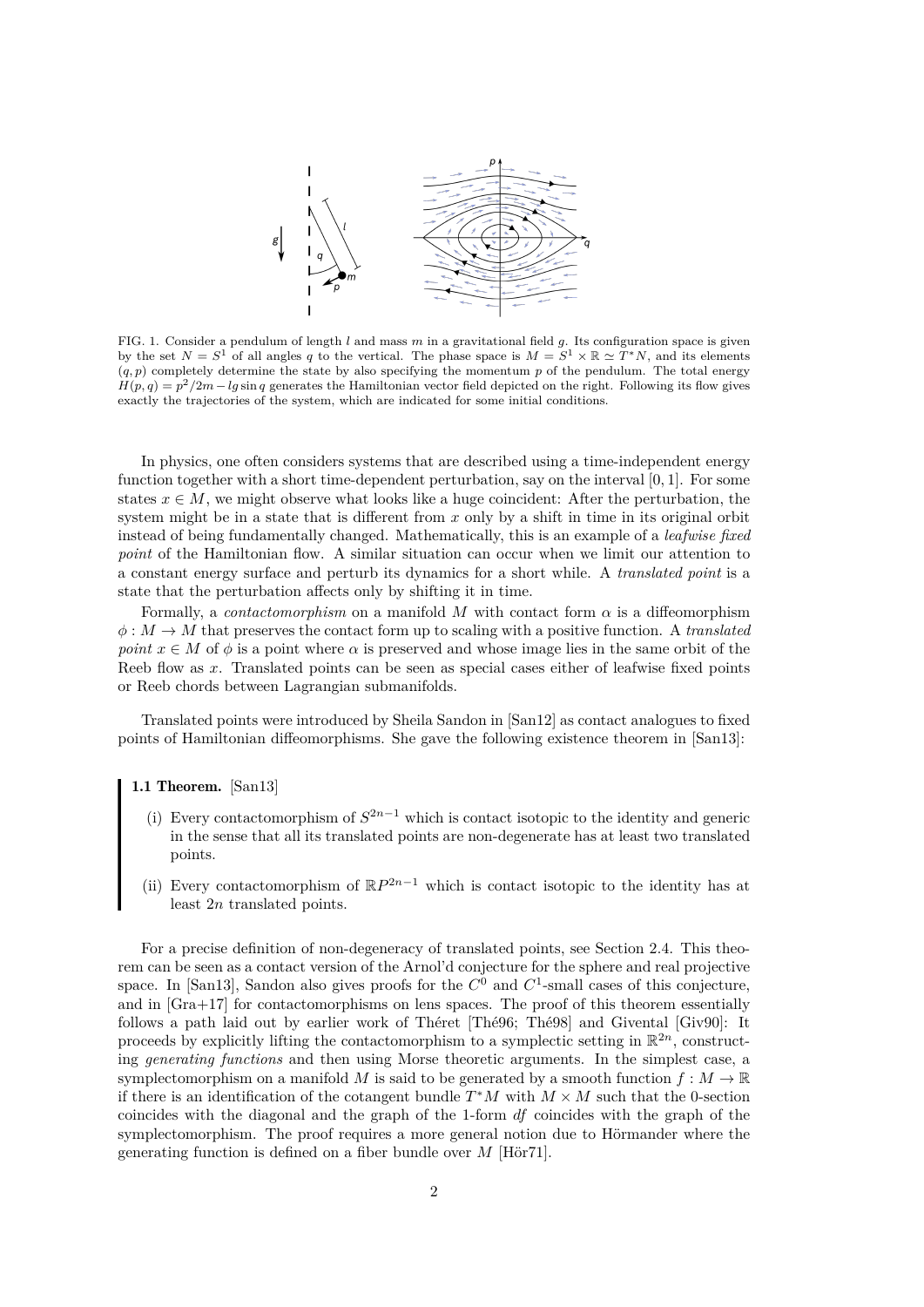

<span id="page-5-0"></span>FIG. 1. Consider a pendulum of length l and mass  $m$  in a gravitational field  $g$ . Its configuration space is given by the set  $N = S^1$  of all angles q to the vertical. The phase space is  $M = S^1 \times \mathbb{R} \simeq T^*N$ , and its elements  $(q, p)$  completely determine the state by also specifying the momentum p of the pendulum. The total energy  $H(p,q) = p^2/2m - lg \sin q$  generates the Hamiltonian vector field depicted on the right. Following its flow gives exactly the trajectories of the system, which are indicated for some initial conditions.

In physics, one often considers systems that are described using a time-independent energy function together with a short time-dependent perturbation, say on the interval [0, 1]. For some states  $x \in M$ , we might observe what looks like a huge coincident: After the perturbation, the system might be in a state that is different from  $x$  only by a shift in time in its original orbit instead of being fundamentally changed. Mathematically, this is an example of a *leafwise fixed point* of the Hamiltonian flow. A similar situation can occur when we limit our attention to a constant energy surface and perturb its dynamics for a short while. A *translated point* is a state that the perturbation affects only by shifting it in time.

Formally, a *contactomorphism* on a manifold M with contact form  $\alpha$  is a diffeomorphism  $\phi: M \to M$  that preserves the contact form up to scaling with a positive function. A *translated point*  $x \in M$  of  $\phi$  is a point where  $\alpha$  is preserved and whose image lies in the same orbit of the Reeb flow as x. Translated points can be seen as special cases either of leafwise fixed points or Reeb chords between Lagrangian submanifolds.

Translated points were introduced by Sheila Sandon in [\[San12\]](#page-60-0) as contact analogues to fixed points of Hamiltonian diffeomorphisms. She gave the following existence theorem in [\[San13\]](#page-60-1):

#### <span id="page-5-1"></span>1.1 Theorem. [\[San13\]](#page-60-1)

- (i) Every contactomorphism of  $S^{2n-1}$  which is contact isotopic to the identity and generic in the sense that all its translated points are non-degenerate has at least two translated points.
- (ii) Every contactomorphism of  $\mathbb{R}P^{2n-1}$  which is contact isotopic to the identity has at least 2n translated points.

For a precise definition of non-degeneracy of translated points, see Section 2.4. This theorem can be seen as a contact version of the Arnol'd conjecture for the sphere and real projective space. In [\[San13\]](#page-60-1), Sandon also gives proofs for the  $C^0$  and  $C^1$ -small cases of this conjecture, and in [\[Gra+17\]](#page-59-0) for contactomorphisms on lens spaces. The proof of this theorem essentially follows a path laid out by earlier work of Théret [\[Thé96;](#page-60-2) [Thé98\]](#page-60-3) and Givental [\[Giv90\]](#page-59-1): It proceeds by explicitly lifting the contactomorphism to a symplectic setting in  $\mathbb{R}^{2n}$ , constructing *generating functions* and then using Morse theoretic arguments. In the simplest case, a symplectomorphism on a manifold M is said to be generated by a smooth function  $f : M \to \mathbb{R}$ if there is an identification of the cotangent bundle  $T^*M$  with  $M \times M$  such that the 0-section coincides with the diagonal and the graph of the 1-form df coincides with the graph of the symplectomorphism. The proof requires a more general notion due to Hörmander where the generating function is defined on a fiber bundle over  $M$  [\[Hör71\]](#page-59-2).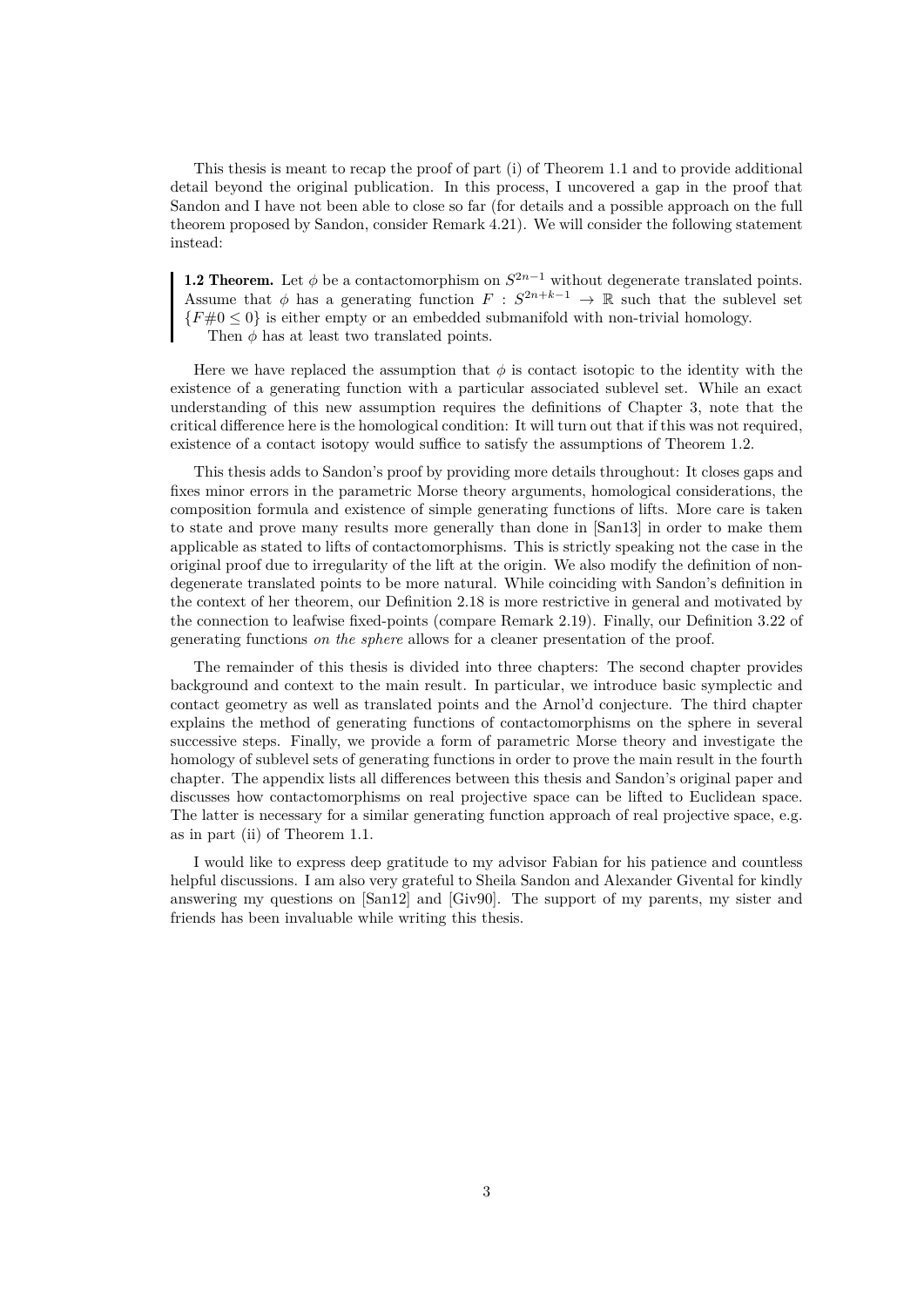This thesis is meant to recap the proof of part (i) of Theorem [1.1](#page-5-1) and to provide additional detail beyond the original publication. In this process, I uncovered a gap in the proof that Sandon and I have not been able to close so far (for details and a possible approach on the full theorem proposed by Sandon, consider Remark [4.21\)](#page-52-0). We will consider the following statement instead:

<span id="page-6-0"></span>**1.2 Theorem.** Let  $\phi$  be a contactomorphism on  $S^{2n-1}$  without degenerate translated points. Assume that  $\phi$  has a generating function  $F : S^{2n+k-1} \to \mathbb{R}$  such that the sublevel set  ${F#0 \leq 0}$  is either empty or an embedded submanifold with non-trivial homology. Then  $\phi$  has at least two translated points.

Here we have replaced the assumption that  $\phi$  is contact isotopic to the identity with the existence of a generating function with a particular associated sublevel set. While an exact understanding of this new assumption requires the definitions of Chapter 3, note that the critical difference here is the homological condition: It will turn out that if this was not required, existence of a contact isotopy would suffice to satisfy the assumptions of Theorem [1.2.](#page-6-0)

This thesis adds to Sandon's proof by providing more details throughout: It closes gaps and fixes minor errors in the parametric Morse theory arguments, homological considerations, the composition formula and existence of simple generating functions of lifts. More care is taken to state and prove many results more generally than done in [\[San13\]](#page-60-1) in order to make them applicable as stated to lifts of contactomorphisms. This is strictly speaking not the case in the original proof due to irregularity of the lift at the origin. We also modify the definition of nondegenerate translated points to be more natural. While coinciding with Sandon's definition in the context of her theorem, our Definition [2.18](#page-14-0) is more restrictive in general and motivated by the connection to leafwise fixed-points (compare Remark [2.19\)](#page-14-1). Finally, our Definition [3.22](#page-32-0) of generating functions *on the sphere* allows for a cleaner presentation of the proof.

The remainder of this thesis is divided into three chapters: The second chapter provides background and context to the main result. In particular, we introduce basic symplectic and contact geometry as well as translated points and the Arnol'd conjecture. The third chapter explains the method of generating functions of contactomorphisms on the sphere in several successive steps. Finally, we provide a form of parametric Morse theory and investigate the homology of sublevel sets of generating functions in order to prove the main result in the fourth chapter. The appendix lists all differences between this thesis and Sandon's original paper and discusses how contactomorphisms on real projective space can be lifted to Euclidean space. The latter is necessary for a similar generating function approach of real projective space, e.g. as in part (ii) of Theorem [1.1.](#page-5-1)

I would like to express deep gratitude to my advisor Fabian for his patience and countless helpful discussions. I am also very grateful to Sheila Sandon and Alexander Givental for kindly answering my questions on [\[San12\]](#page-60-0) and [\[Giv90\]](#page-59-1). The support of my parents, my sister and friends has been invaluable while writing this thesis.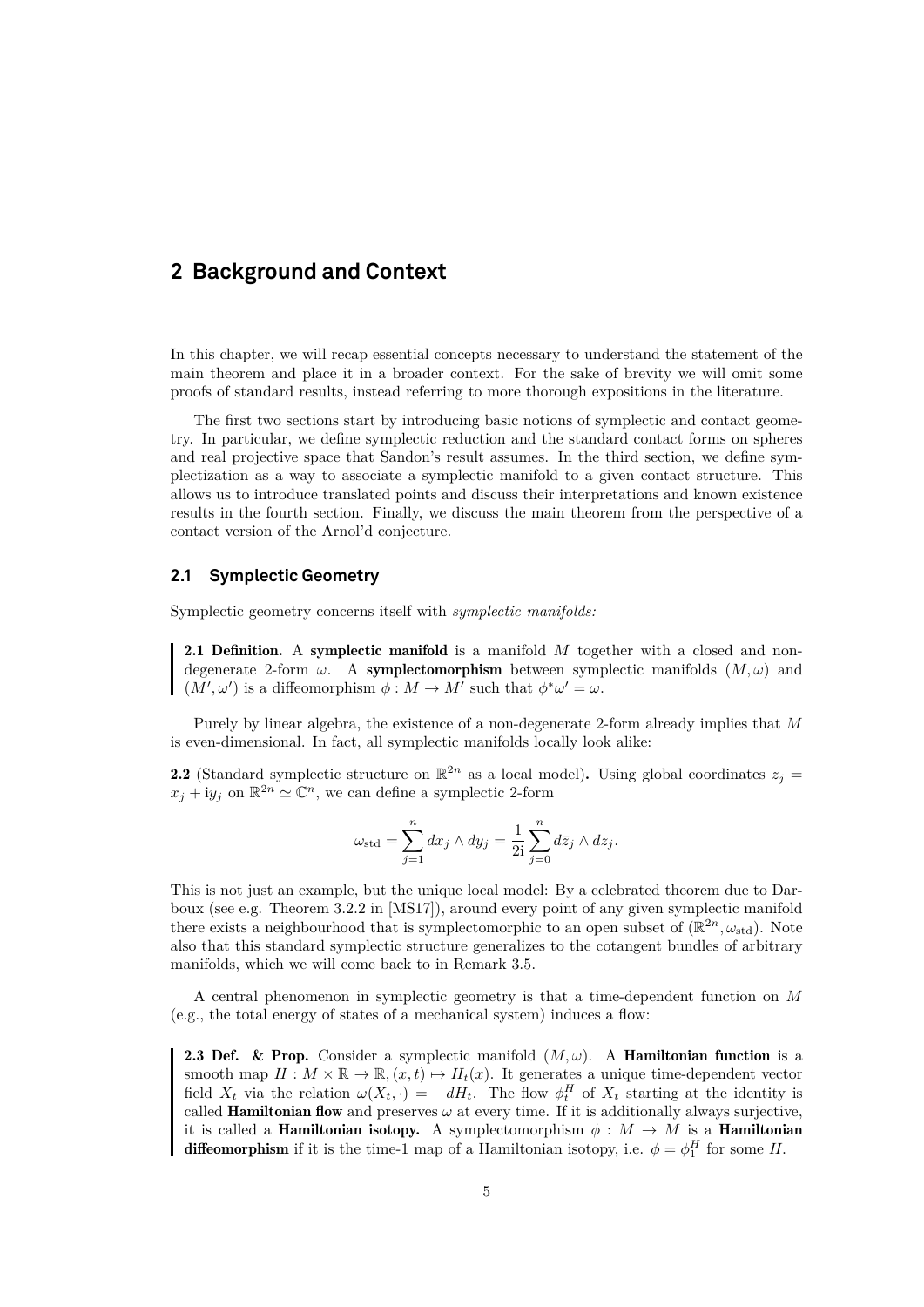# <span id="page-8-0"></span>**2 Background and Context**

In this chapter, we will recap essential concepts necessary to understand the statement of the main theorem and place it in a broader context. For the sake of brevity we will omit some proofs of standard results, instead referring to more thorough expositions in the literature.

The first two sections start by introducing basic notions of symplectic and contact geometry. In particular, we define symplectic reduction and the standard contact forms on spheres and real projective space that Sandon's result assumes. In the third section, we define symplectization as a way to associate a symplectic manifold to a given contact structure. This allows us to introduce translated points and discuss their interpretations and known existence results in the fourth section. Finally, we discuss the main theorem from the perspective of a contact version of the Arnol'd conjecture.

### <span id="page-8-1"></span>**2.1 Symplectic Geometry**

Symplectic geometry concerns itself with *symplectic manifolds:*

2.1 Definition. A symplectic manifold is a manifold M together with a closed and nondegenerate 2-form  $\omega$ . A symplectomorphism between symplectic manifolds  $(M, \omega)$  and  $(M', \omega')$  is a diffeomorphism  $\phi : M \to M'$  such that  $\phi^* \omega' = \omega$ .

Purely by linear algebra, the existence of a non-degenerate 2-form already implies that M is even-dimensional. In fact, all symplectic manifolds locally look alike:

<span id="page-8-2"></span>**2.2** (Standard symplectic structure on  $\mathbb{R}^{2n}$  as a local model). Using global coordinates  $z_j =$  $x_j + iy_j$  on  $\mathbb{R}^{2n} \simeq \mathbb{C}^n$ , we can define a symplectic 2-form

$$
\omega_{\text{std}} = \sum_{j=1}^{n} dx_j \wedge dy_j = \frac{1}{2i} \sum_{j=0}^{n} d\overline{z}_j \wedge dz_j.
$$

This is not just an example, but the unique local model: By a celebrated theorem due to Darboux (see e.g. Theorem 3.2.2 in [\[MS17\]](#page-59-3)), around every point of any given symplectic manifold there exists a neighbourhood that is symplectomorphic to an open subset of  $(\mathbb{R}^{2n}, \omega_{std})$ . Note also that this standard symplectic structure generalizes to the cotangent bundles of arbitrary manifolds, which we will come back to in Remark [3.5.](#page-22-1)

A central phenomenon in symplectic geometry is that a time-dependent function on M (e.g., the total energy of states of a mechanical system) induces a flow:

**2.3 Def.** & Prop. Consider a symplectic manifold  $(M,\omega)$ . A Hamiltonian function is a smooth map  $H : M \times \mathbb{R} \to \mathbb{R}, (x, t) \mapsto H_t(x)$ . It generates a unique time-dependent vector field  $X_t$  via the relation  $\omega(X_t, \cdot) = -dH_t$ . The flow  $\phi_t^H$  of  $X_t$  starting at the identity is called **Hamiltonian flow** and preserves  $\omega$  at every time. If it is additionally always surjective, it is called a **Hamiltonian isotopy.** A symplectomorphism  $\phi : M \to M$  is a **Hamiltonian diffeomorphism** if it is the time-1 map of a Hamiltonian isotopy, i.e.  $\phi = \phi_1^H$  for some H.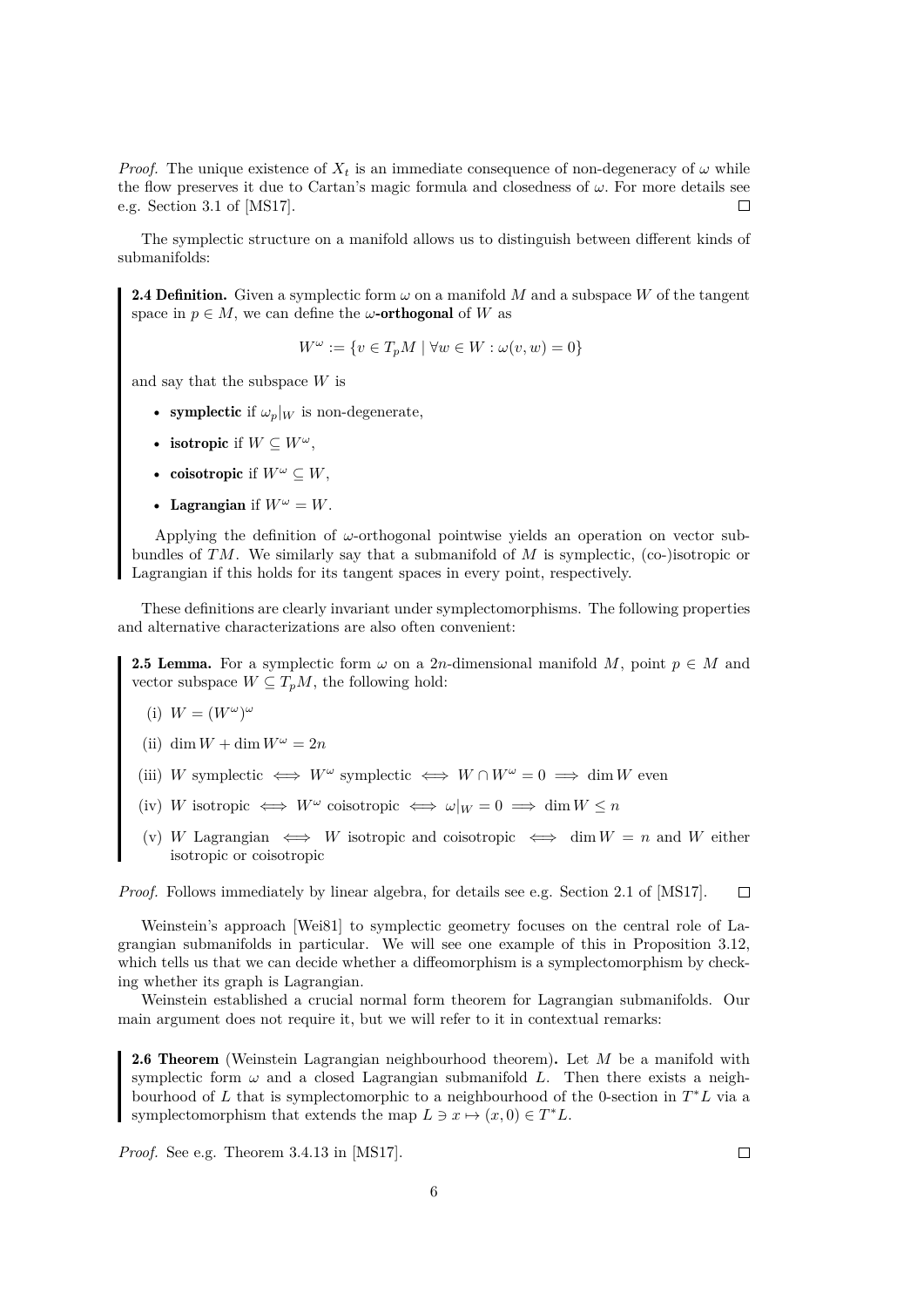*Proof.* The unique existence of  $X_t$  is an immediate consequence of non-degeneracy of  $\omega$  while the flow preserves it due to Cartan's magic formula and closedness of  $\omega$ . For more details see e.g. Section 3.1 of [\[MS17\]](#page-59-3).  $\Box$ 

The symplectic structure on a manifold allows us to distinguish between different kinds of submanifolds:

**2.4 Definition.** Given a symplectic form  $\omega$  on a manifold M and a subspace W of the tangent space in  $p \in M$ , we can define the  $\omega$ -orthogonal of W as

$$
W^{\omega} := \{ v \in T_p M \mid \forall w \in W : \omega(v, w) = 0 \}
$$

and say that the subspace  $W$  is

- symplectic if  $\omega_p|_W$  is non-degenerate,
- isotropic if  $W \subseteq W^{\omega}$ ,
- coisotropic if  $W^{\omega} \subseteq W$ ,
- Lagrangian if  $W^{\omega} = W$ .

Applying the definition of  $\omega$ -orthogonal pointwise yields an operation on vector subbundles of  $TM$ . We similarly say that a submanifold of M is symplectic, (co-)isotropic or Lagrangian if this holds for its tangent spaces in every point, respectively.

These definitions are clearly invariant under symplectomorphisms. The following properties and alternative characterizations are also often convenient:

<span id="page-9-0"></span>**2.5 Lemma.** For a symplectic form  $\omega$  on a 2n-dimensional manifold M, point  $p \in M$  and vector subspace  $W \subseteq T_pM$ , the following hold:

(i) 
$$
W = (W^{\omega})^{\omega}
$$

- (ii) dim  $W + \dim W^{\omega} = 2n$
- (iii) W symplectic  $\iff W^{\omega}$  symplectic  $\iff W \cap W^{\omega} = 0 \implies \dim W$  even
- (iv) W isotropic  $\iff W^{\omega}$  coisotropic  $\iff \omega|_{W} = 0 \implies \dim W \leq n$
- (v) W Lagrangian  $\iff$  W isotropic and coisotropic  $\iff$  dim  $W = n$  and W either isotropic or coisotropic

*Proof.* Follows immediately by linear algebra, for details see e.g. Section 2.1 of [\[MS17\]](#page-59-3).  $\Box$ 

Weinstein's approach [\[Wei81\]](#page-60-4) to symplectic geometry focuses on the central role of Lagrangian submanifolds in particular. We will see one example of this in Proposition [3.12,](#page-25-1) which tells us that we can decide whether a diffeomorphism is a symplectomorphism by checking whether its graph is Lagrangian.

Weinstein established a crucial normal form theorem for Lagrangian submanifolds. Our main argument does not require it, but we will refer to it in contextual remarks:

<span id="page-9-1"></span>**2.6 Theorem** (Weinstein Lagrangian neighbourhood theorem). Let  $M$  be a manifold with symplectic form  $\omega$  and a closed Lagrangian submanifold L. Then there exists a neighbourhood of L that is symplectomorphic to a neighbourhood of the 0-section in  $T^*L$  via a symplectomorphism that extends the map  $L \ni x \mapsto (x, 0) \in T^*L$ .

*Proof.* See e.g. Theorem 3.4.13 in [\[MS17\]](#page-59-3).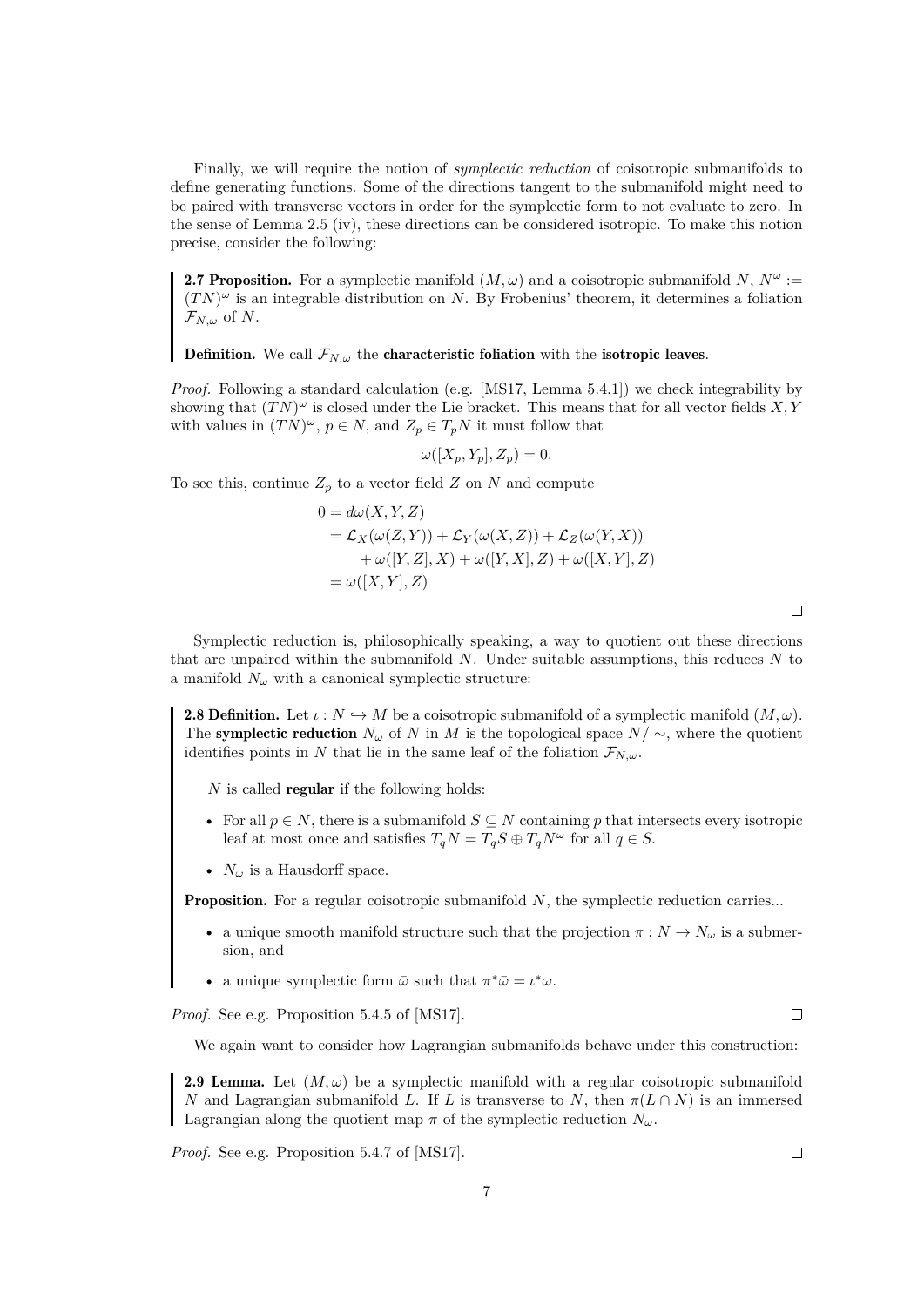Finally, we will require the notion of *symplectic reduction* of coisotropic submanifolds to define generating functions. Some of the directions tangent to the submanifold might need to be paired with transverse vectors in order for the symplectic form to not evaluate to zero. In the sense of Lemma [2.5](#page-9-0) (iv), these directions can be considered isotropic. To make this notion precise, consider the following:

**2.7 Proposition.** For a symplectic manifold  $(M, \omega)$  and a coisotropic submanifold N,  $N^{\omega}$  :=  $(TN)^{\omega}$  is an integrable distribution on N. By Frobenius' theorem, it determines a foliation  $\mathcal{F}_{N,\omega}$  of N.

**Definition.** We call  $\mathcal{F}_{N,\omega}$  the **characteristic foliation** with the **isotropic leaves**.

*Proof.* Following a standard calculation (e.g. [\[MS17,](#page-59-3) Lemma 5.4.1]) we check integrability by showing that  $(TN)^{\omega}$  is closed under the Lie bracket. This means that for all vector fields X, Y with values in  $(TN)^{\omega}$ ,  $p \in N$ , and  $Z_p \in T_pN$  it must follow that

$$
\omega([X_p, Y_p], Z_p) = 0.
$$

To see this, continue  $Z_p$  to a vector field Z on N and compute

$$
0 = d\omega(X, Y, Z)
$$
  
=  $\mathcal{L}_X(\omega(Z, Y)) + \mathcal{L}_Y(\omega(X, Z)) + \mathcal{L}_Z(\omega(Y, X))$   
+  $\omega([Y, Z], X) + \omega([Y, X], Z) + \omega([X, Y], Z)$   
=  $\omega([X, Y], Z)$ 

Symplectic reduction is, philosophically speaking, a way to quotient out these directions that are unpaired within the submanifold  $N$ . Under suitable assumptions, this reduces  $N$  to a manifold  $N_{\omega}$  with a canonical symplectic structure:

<span id="page-10-1"></span>**2.8 Definition.** Let  $\iota : N \hookrightarrow M$  be a coisotropic submanifold of a symplectic manifold  $(M, \omega)$ . The symplectic reduction  $N_{\omega}$  of N in M is the topological space  $N/\sim$ , where the quotient identifies points in N that lie in the same leaf of the foliation  $\mathcal{F}_{N,\omega}$ .

 $N$  is called **regular** if the following holds:

- For all  $p \in N$ , there is a submanifold  $S \subseteq N$  containing p that intersects every isotropic leaf at most once and satisfies  $T_qN = T_qS \oplus T_qN^{\omega}$  for all  $q \in S$ .
- $\,N_{\omega}$  is a Hausdorff space.

**Proposition.** For a regular coisotropic submanifold  $N$ , the symplectic reduction carries...

- a unique smooth manifold structure such that the projection  $\pi : N \to N_\omega$  is a submersion, and
- a unique symplectic form  $\bar{\omega}$  such that  $\pi^* \bar{\omega} = \iota^* \omega$ .

*Proof.* See e.g. Proposition 5.4.5 of [\[MS17\]](#page-59-3).

We again want to consider how Lagrangian submanifolds behave under this construction:

<span id="page-10-2"></span>**2.9 Lemma.** Let  $(M, \omega)$  be a symplectic manifold with a regular coisotropic submanifold N and Lagrangian submanifold L. If L is transverse to N, then  $\pi(L \cap N)$  is an immersed Lagrangian along the quotient map  $\pi$  of the symplectic reduction  $N_{\omega}$ .

<span id="page-10-0"></span>*Proof.* See e.g. Proposition 5.4.7 of [\[MS17\]](#page-59-3).

 $\Box$ 

 $\Box$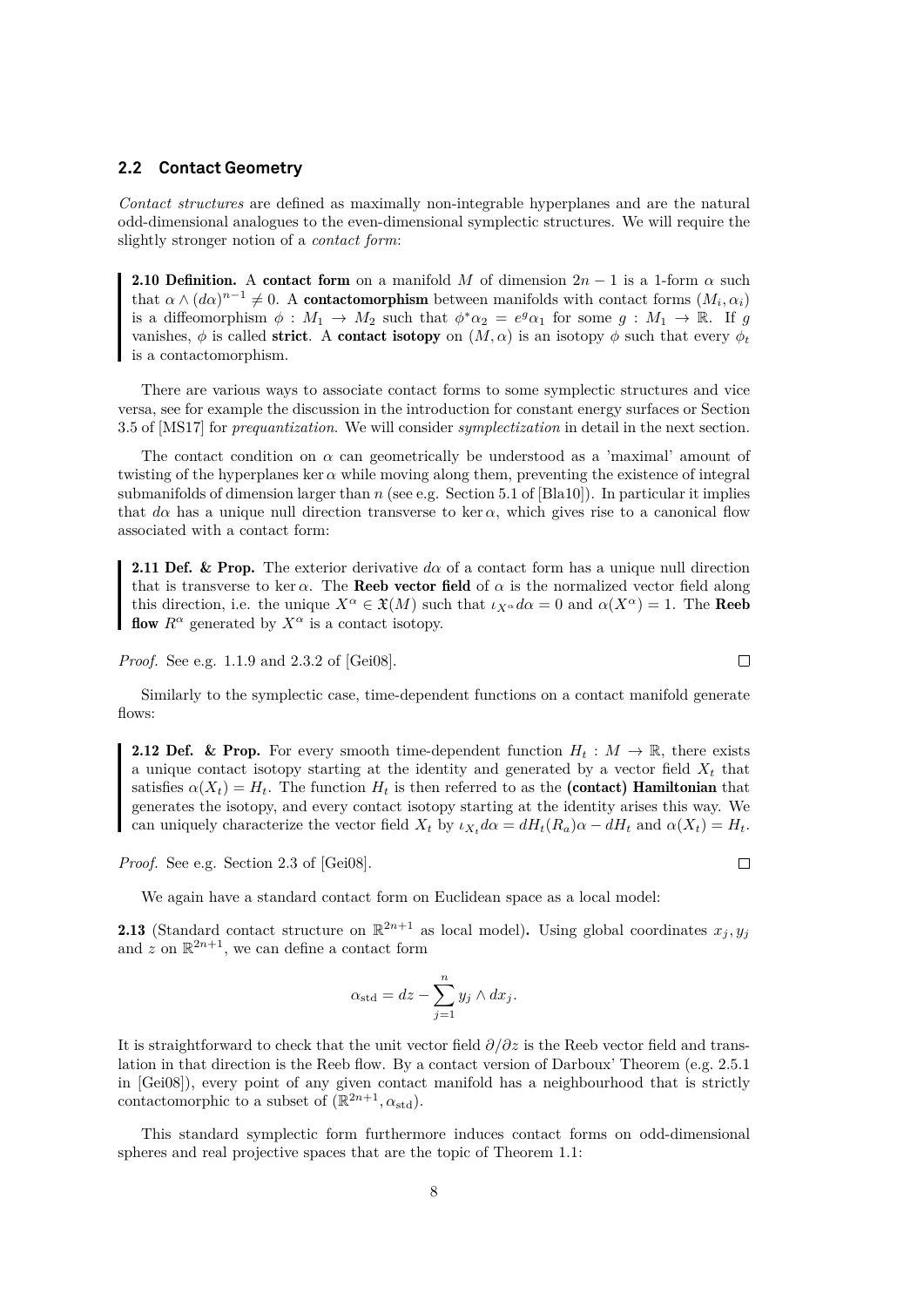#### **2.2 Contact Geometry**

*Contact structures* are defined as maximally non-integrable hyperplanes and are the natural odd-dimensional analogues to the even-dimensional symplectic structures. We will require the slightly stronger notion of a *contact form*:

**2.10 Definition.** A contact form on a manifold M of dimension  $2n - 1$  is a 1-form  $\alpha$  such that  $\alpha \wedge (d\alpha)^{n-1} \neq 0$ . A **contactomorphism** between manifolds with contact forms  $(M_i, \alpha_i)$ is a diffeomorphism  $\phi: M_1 \to M_2$  such that  $\phi^* \alpha_2 = e^g \alpha_1$  for some  $g: M_1 \to \mathbb{R}$ . If g vanishes,  $\phi$  is called **strict.** A **contact isotopy** on  $(M, \alpha)$  is an isotopy  $\phi$  such that every  $\phi_t$ is a contactomorphism.

There are various ways to associate contact forms to some symplectic structures and vice versa, see for example the discussion in the introduction for constant energy surfaces or Section 3.5 of [\[MS17\]](#page-59-3) for *prequantization*. We will consider *symplectization* in detail in the next section.

The contact condition on  $\alpha$  can geometrically be understood as a 'maximal' amount of twisting of the hyperplanes ker  $\alpha$  while moving along them, preventing the existence of integral submanifolds of dimension larger than n (see e.g. Section 5.1 of [\[Bla10\]](#page-58-1)). In particular it implies that  $d\alpha$  has a unique null direction transverse to ker  $\alpha$ , which gives rise to a canonical flow associated with a contact form:

**2.11 Def. & Prop.** The exterior derivative  $d\alpha$  of a contact form has a unique null direction that is transverse to ker  $\alpha$ . The **Reeb vector field** of  $\alpha$  is the normalized vector field along this direction, i.e. the unique  $X^{\alpha} \in \mathfrak{X}(M)$  such that  $\iota_{X^{\alpha}} d\alpha = 0$  and  $\alpha(X^{\alpha}) = 1$ . The **Reeb** flow  $R^{\alpha}$  generated by  $X^{\alpha}$  is a contact isotopy.

*Proof.* See e.g. 1.1.9 and 2.3.2 of [\[Gei08\]](#page-59-4).

Similarly to the symplectic case, time-dependent functions on a contact manifold generate flows:

<span id="page-11-0"></span>**2.12 Def.** & Prop. For every smooth time-dependent function  $H_t : M \to \mathbb{R}$ , there exists a unique contact isotopy starting at the identity and generated by a vector field  $X_t$  that satisfies  $\alpha(X_t) = H_t$ . The function  $H_t$  is then referred to as the (contact) Hamiltonian that generates the isotopy, and every contact isotopy starting at the identity arises this way. We can uniquely characterize the vector field  $X_t$  by  $\iota_{X_t} d\alpha = dH_t(R_a)\alpha - dH_t$  and  $\alpha(X_t) = H_t$ .

*Proof.* See e.g. Section 2.3 of [\[Gei08\]](#page-59-4).

We again have a standard contact form on Euclidean space as a local model:

**2.13** (Standard contact structure on  $\mathbb{R}^{2n+1}$  as local model). Using global coordinates  $x_j, y_j$ and z on  $\mathbb{R}^{2n+1}$ , we can define a contact form

$$
\alpha_{\rm std} = dz - \sum_{j=1}^{n} y_j \wedge dx_j.
$$

It is straightforward to check that the unit vector field  $\partial/\partial z$  is the Reeb vector field and translation in that direction is the Reeb flow. By a contact version of Darboux' Theorem (e.g. 2.5.1 in [\[Gei08\]](#page-59-4)), every point of any given contact manifold has a neighbourhood that is strictly contactomorphic to a subset of  $(\mathbb{R}^{2n+1}, \alpha_{\text{std}})$ .

This standard symplectic form furthermore induces contact forms on odd-dimensional spheres and real projective spaces that are the topic of Theorem [1.1:](#page-5-1)

 $\Box$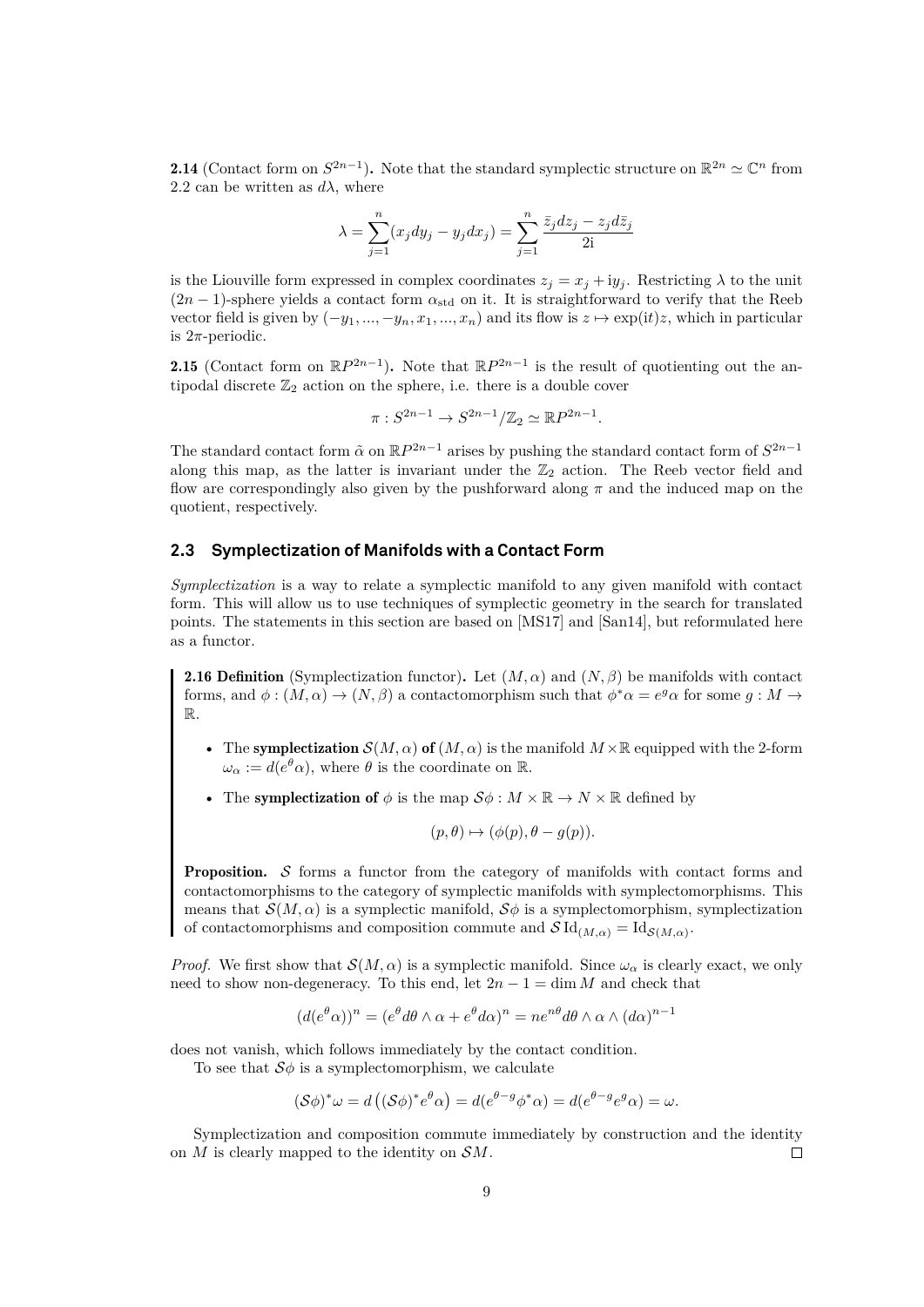**2.14** (Contact form on  $S^{2n-1}$ ). Note that the standard symplectic structure on  $\mathbb{R}^{2n} \simeq \mathbb{C}^n$  from [2.2](#page-8-2) can be written as  $d\lambda$ , where

$$
\lambda = \sum_{j=1}^{n} (x_j dy_j - y_j dx_j) = \sum_{j=1}^{n} \frac{\overline{z}_j dz_j - z_j d\overline{z}_j}{2i}
$$

is the Liouville form expressed in complex coordinates  $z_i = x_j + iy_j$ . Restricting  $\lambda$  to the unit  $(2n-1)$ -sphere yields a contact form  $\alpha_{\text{std}}$  on it. It is straightforward to verify that the Reeb vector field is given by  $(-y_1, ..., -y_n, x_1, ..., x_n)$  and its flow is  $z \mapsto \exp(it)z$ , which in particular is  $2\pi$ -periodic.

<span id="page-12-2"></span>**2.15** (Contact form on  $\mathbb{R}P^{2n-1}$ ). Note that  $\mathbb{R}P^{2n-1}$  is the result of quotienting out the antipodal discrete  $\mathbb{Z}_2$  action on the sphere, i.e. there is a double cover

$$
\pi: S^{2n-1} \to S^{2n-1}/\mathbb{Z}_2 \simeq \mathbb{R}P^{2n-1}.
$$

The standard contact form  $\tilde{\alpha}$  on  $\mathbb{R}P^{2n-1}$  arises by pushing the standard contact form of  $S^{2n-1}$ along this map, as the latter is invariant under the  $\mathbb{Z}_2$  action. The Reeb vector field and flow are correspondingly also given by the pushforward along  $\pi$  and the induced map on the quotient, respectively.

### <span id="page-12-0"></span>**2.3 Symplectization of Manifolds with a Contact Form**

*Symplectization* is a way to relate a symplectic manifold to any given manifold with contact form. This will allow us to use techniques of symplectic geometry in the search for translated points. The statements in this section are based on [\[MS17\]](#page-59-3) and [\[San14\]](#page-60-5), but reformulated here as a functor.

<span id="page-12-1"></span>**2.16 Definition** (Symplectization functor). Let  $(M, \alpha)$  and  $(N, \beta)$  be manifolds with contact forms, and  $\phi: (M, \alpha) \to (N, \beta)$  a contactomorphism such that  $\phi^* \alpha = e^g \alpha$  for some  $g: M \to$ R.

- The symplectization  $\mathcal{S}(M, \alpha)$  of  $(M, \alpha)$  is the manifold  $M \times \mathbb{R}$  equipped with the 2-form  $\omega_{\alpha} := d(e^{\theta} \alpha)$ , where  $\theta$  is the coordinate on R.
- The symplectization of  $\phi$  is the map  $\mathcal{S}\phi : M \times \mathbb{R} \to N \times \mathbb{R}$  defined by

$$
(p, \theta) \mapsto (\phi(p), \theta - g(p)).
$$

Proposition. S forms a functor from the category of manifolds with contact forms and contactomorphisms to the category of symplectic manifolds with symplectomorphisms. This means that  $\mathcal{S}(M,\alpha)$  is a symplectic manifold,  $\mathcal{S}\phi$  is a symplectomorphism, symplectization of contactomorphisms and composition commute and  $\mathcal{S} \mathrm{Id}_{(M,\alpha)} = \mathrm{Id}_{\mathcal{S}(M,\alpha)}$ .

*Proof.* We first show that  $\mathcal{S}(M, \alpha)$  is a symplectic manifold. Since  $\omega_{\alpha}$  is clearly exact, we only need to show non-degeneracy. To this end, let  $2n - 1 = \dim M$  and check that

$$
(d(e^{\theta}\alpha))^n = (e^{\theta}d\theta \wedge \alpha + e^{\theta}d\alpha)^n = ne^{n\theta}d\theta \wedge \alpha \wedge (d\alpha)^{n-1}
$$

does not vanish, which follows immediately by the contact condition.

To see that  $S\phi$  is a symplectomorphism, we calculate

$$
(\mathcal{S}\phi)^*\omega = d\left((\mathcal{S}\phi)^*e^{\theta}\alpha\right) = d(e^{\theta-g}\phi^*\alpha) = d(e^{\theta-g}e^g\alpha) = \omega.
$$

Symplectization and composition commute immediately by construction and the identity on  $M$  is clearly mapped to the identity on  $\mathcal{S}M$ .  $\Box$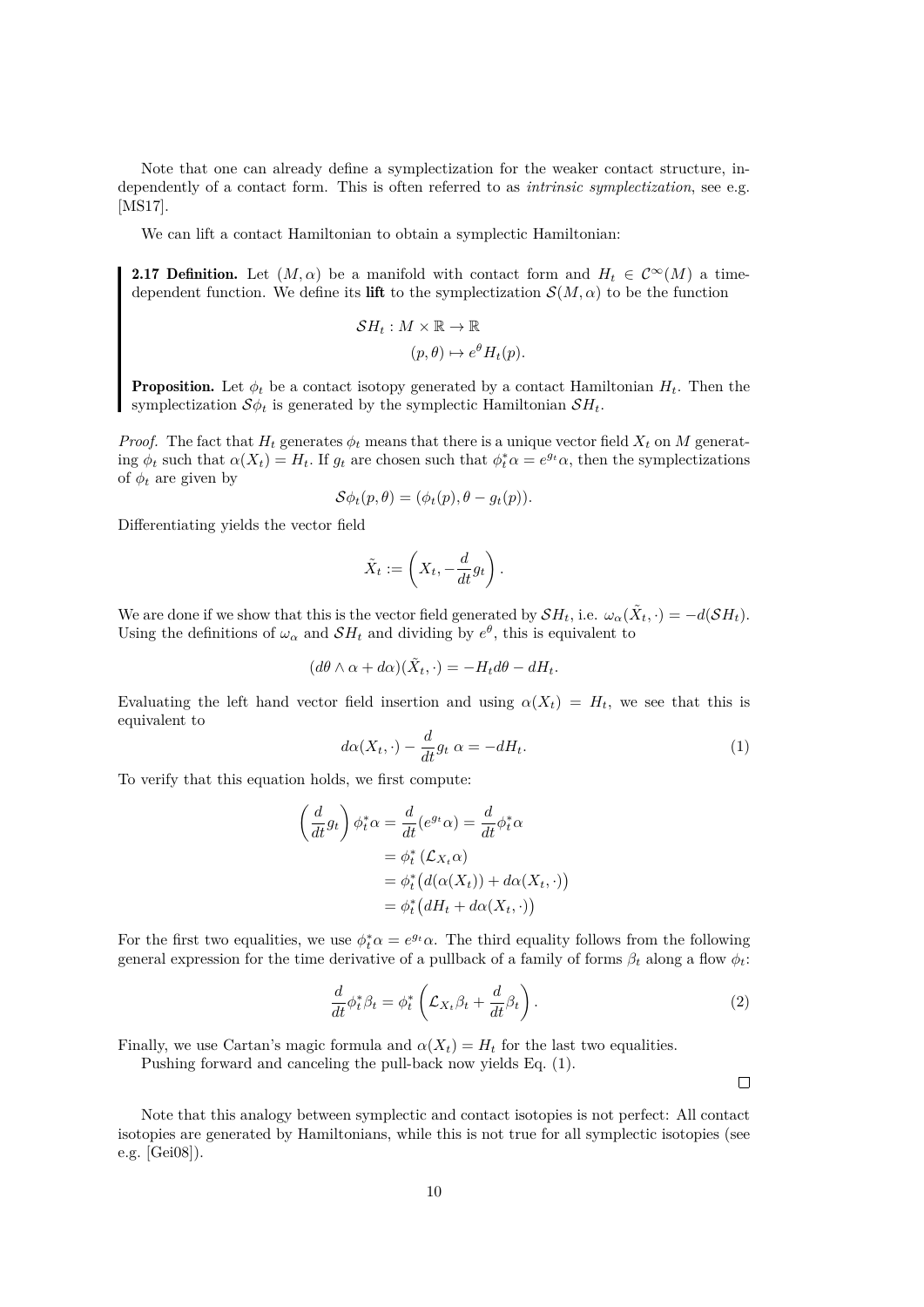Note that one can already define a symplectization for the weaker contact structure, independently of a contact form. This is often referred to as *intrinsic symplectization*, see e.g. [\[MS17\]](#page-59-3).

We can lift a contact Hamiltonian to obtain a symplectic Hamiltonian:

<span id="page-13-3"></span>**2.17 Definition.** Let  $(M, \alpha)$  be a manifold with contact form and  $H_t \in C^{\infty}(M)$  a timedependent function. We define its lift to the symplectization  $\mathcal{S}(M, \alpha)$  to be the function

$$
SH_t: M \times \mathbb{R} \to \mathbb{R}
$$

$$
(p, \theta) \mapsto e^{\theta} H_t(p).
$$

**Proposition.** Let  $\phi_t$  be a contact isotopy generated by a contact Hamiltonian  $H_t$ . Then the symplectization  $\mathcal{S}\phi_t$  is generated by the symplectic Hamiltonian  $\mathcal{S}H_t$ .

*Proof.* The fact that  $H_t$  generates  $\phi_t$  means that there is a unique vector field  $X_t$  on M generating  $\phi_t$  such that  $\alpha(X_t) = H_t$ . If  $g_t$  are chosen such that  $\phi_t^* \alpha = e^{g_t} \alpha$ , then the symplectizations of  $\phi_t$  are given by

$$
\mathcal{S}\phi_t(p,\theta)=(\phi_t(p),\theta-g_t(p)).
$$

Differentiating yields the vector field

$$
\tilde{X}_t := \left(X_t, -\frac{d}{dt}g_t\right).
$$

We are done if we show that this is the vector field generated by  $\mathcal{S}H_t$ , i.e.  $\omega_\alpha(\tilde{X}_t, \cdot) = -d(\mathcal{S}H_t)$ . Using the definitions of  $\omega_{\alpha}$  and  $\mathcal{S}H_t$  and dividing by  $e^{\theta}$ , this is equivalent to

$$
(d\theta \wedge \alpha + d\alpha)(\tilde{X}_t, \cdot) = -H_t d\theta - dH_t.
$$

Evaluating the left hand vector field insertion and using  $\alpha(X_t) = H_t$ , we see that this is equivalent to

<span id="page-13-1"></span>
$$
d\alpha(X_t, \cdot) - \frac{d}{dt}g_t \alpha = -dH_t.
$$
\n(1)

To verify that this equation holds, we first compute:

$$
\begin{aligned}\n\left(\frac{d}{dt}g_t\right)\phi_t^*\alpha &= \frac{d}{dt}(e^{g_t}\alpha) = \frac{d}{dt}\phi_t^*\alpha \\
&= \phi_t^*\left(\mathcal{L}_{X_t}\alpha\right) \\
&= \phi_t^*\left(d(\alpha(X_t)) + d\alpha(X_t, \cdot)\right) \\
&= \phi_t^*\left(dH_t + d\alpha(X_t, \cdot)\right)\n\end{aligned}
$$

For the first two equalities, we use  $\phi_t^* \alpha = e^{g_t} \alpha$ . The third equality follows from the following general expression for the time derivative of a pullback of a family of forms  $\beta_t$  along a flow  $\phi_t$ :

<span id="page-13-2"></span>
$$
\frac{d}{dt}\phi_t^* \beta_t = \phi_t^* \left( \mathcal{L}_{X_t} \beta_t + \frac{d}{dt} \beta_t \right). \tag{2}
$$

Finally, we use Cartan's magic formula and  $\alpha(X_t) = H_t$  for the last two equalities.

Pushing forward and canceling the pull-back now yields Eq. [\(1\)](#page-13-1).

 $\Box$ 

<span id="page-13-0"></span>Note that this analogy between symplectic and contact isotopies is not perfect: All contact isotopies are generated by Hamiltonians, while this is not true for all symplectic isotopies (see e.g. [\[Gei08\]](#page-59-4)).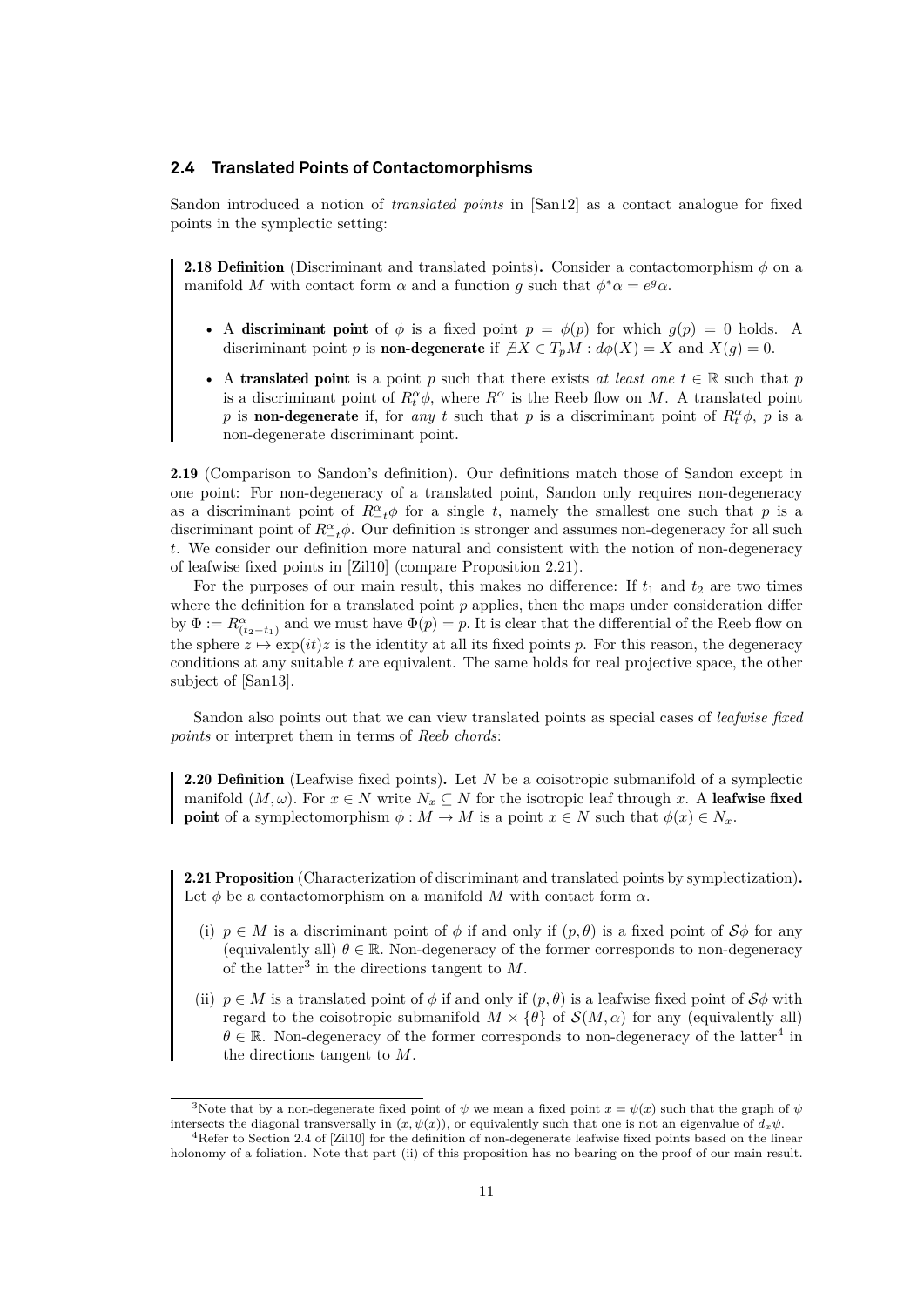#### **2.4 Translated Points of Contactomorphisms**

Sandon introduced a notion of *translated points* in [\[San12\]](#page-60-0) as a contact analogue for fixed points in the symplectic setting:

<span id="page-14-0"></span>**2.18 Definition** (Discriminant and translated points). Consider a contactomorphism  $\phi$  on a manifold M with contact form  $\alpha$  and a function g such that  $\phi^* \alpha = e^g \alpha$ .

- A discriminant point of  $\phi$  is a fixed point  $p = \phi(p)$  for which  $g(p) = 0$  holds. A discriminant point p is **non-degenerate** if  $\exists X \in T_pM : d\phi(X) = X$  and  $X(q) = 0$ .
- A translated point is a point p such that there exists *at least one*  $t \in \mathbb{R}$  such that p is a discriminant point of  $R_t^{\alpha} \phi$ , where  $R^{\alpha}$  is the Reeb flow on M. A translated point p is **non-degenerate** if, for *any* t such that p is a discriminant point of  $R_t^{\alpha} \phi$ , p is a non-degenerate discriminant point.

<span id="page-14-1"></span>2.19 (Comparison to Sandon's definition). Our definitions match those of Sandon except in one point: For non-degeneracy of a translated point, Sandon only requires non-degeneracy as a discriminant point of  $R_{-t}^{\alpha} \phi$  for a single t, namely the smallest one such that p is a discriminant point of  $R^{\alpha}_{-t}\phi$ . Our definition is stronger and assumes non-degeneracy for all such t. We consider our definition more natural and consistent with the notion of non-degeneracy of leafwise fixed points in [\[Zil10\]](#page-60-6) (compare Proposition [2.21\)](#page-14-2).

For the purposes of our main result, this makes no difference: If  $t_1$  and  $t_2$  are two times where the definition for a translated point  $p$  applies, then the maps under consideration differ by  $\Phi := R^{\alpha}_{(t_2-t_1)}$  and we must have  $\Phi(p) = p$ . It is clear that the differential of the Reeb flow on the sphere  $z \mapsto \exp(it)z$  is the identity at all its fixed points p. For this reason, the degeneracy conditions at any suitable  $t$  are equivalent. The same holds for real projective space, the other subject of [\[San13\]](#page-60-1).

Sandon also points out that we can view translated points as special cases of *leafwise fixed points* or interpret them in terms of *Reeb chords*:

**2.20 Definition** (Leafwise fixed points). Let N be a coisotropic submanifold of a symplectic manifold  $(M, \omega)$ . For  $x \in N$  write  $N_x \subseteq N$  for the isotropic leaf through x. A leafwise fixed **point** of a symplectomorphism  $\phi : M \to M$  is a point  $x \in N$  such that  $\phi(x) \in N_x$ .

<span id="page-14-2"></span>2.21 Proposition (Characterization of discriminant and translated points by symplectization). Let  $\phi$  be a contactomorphism on a manifold M with contact form  $\alpha$ .

- (i)  $p \in M$  is a discriminant point of  $\phi$  if and only if  $(p, \theta)$  is a fixed point of  $\mathcal{S}\phi$  for any (equivalently all)  $\theta \in \mathbb{R}$ . Non-degeneracy of the former corresponds to non-degeneracy of the latter<sup>[3](#page-60-7)</sup> in the directions tangent to  $M$ .
- (ii)  $p \in M$  is a translated point of  $\phi$  if and only if  $(p, \theta)$  is a leafwise fixed point of  $S\phi$  with regard to the coisotropic submanifold  $M \times {\theta}$  of  $\mathcal{S}(M,\alpha)$  for any (equivalently all)  $\theta \in \mathbb{R}$ . Non-degeneracy of the former corresponds to non-degeneracy of the latter<sup>[4](#page-14-3)</sup> in the directions tangent to M.

<span id="page-14-3"></span><sup>&</sup>lt;sup>3</sup>Note that by a non-degenerate fixed point of  $\psi$  we mean a fixed point  $x = \psi(x)$  such that the graph of  $\psi$ intersects the diagonal transversally in  $(x, \psi(x))$ , or equivalently such that one is not an eigenvalue of  $d_x\psi$ .

<sup>4</sup>Refer to Section 2.4 of [\[Zil10\]](#page-60-6) for the definition of non-degenerate leafwise fixed points based on the linear holonomy of a foliation. Note that part (ii) of this proposition has no bearing on the proof of our main result.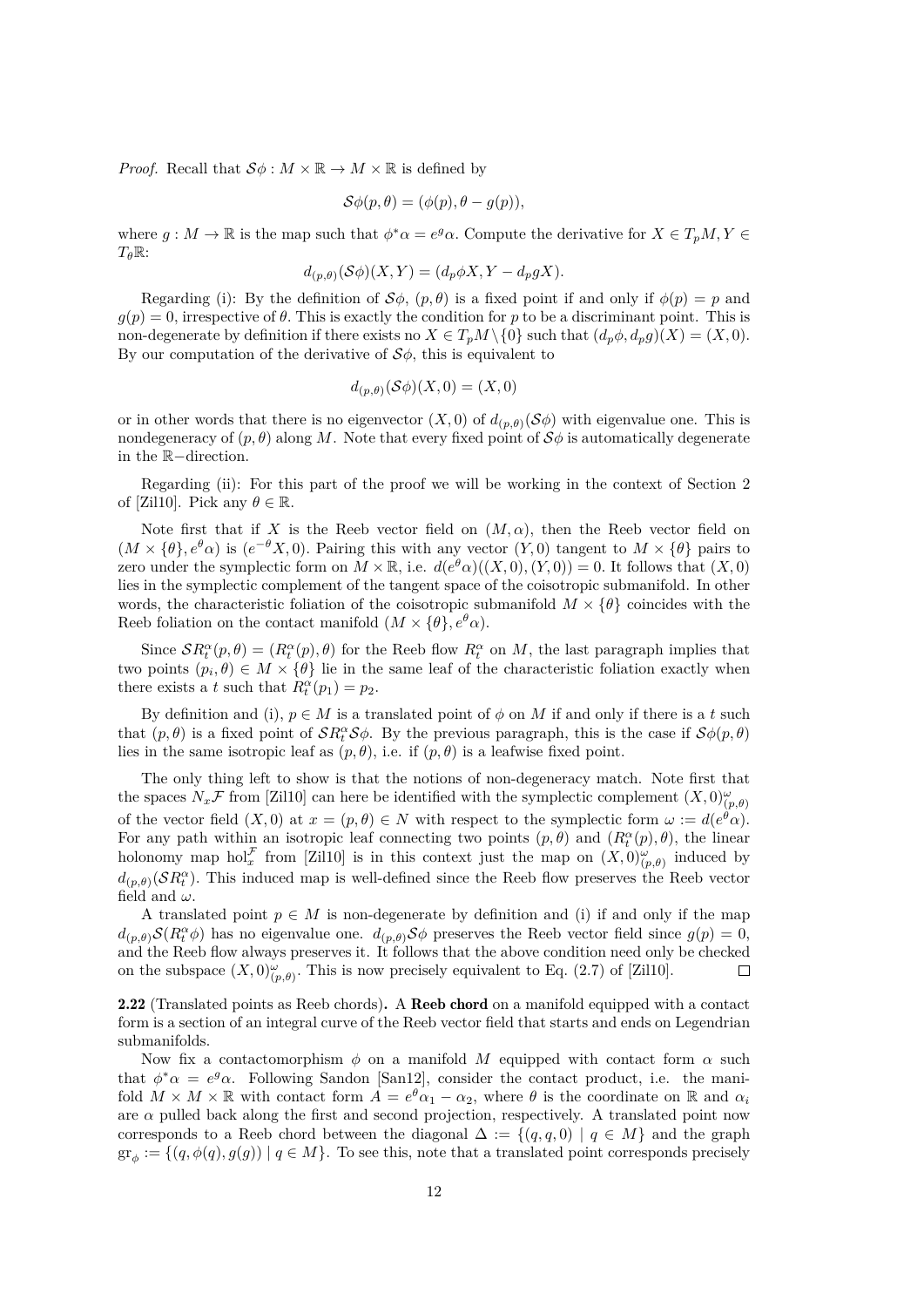*Proof.* Recall that  $S\phi : M \times \mathbb{R} \to M \times \mathbb{R}$  is defined by

$$
\mathcal{S}\phi(p,\theta)=(\phi(p),\theta-g(p)),
$$

where  $g: M \to \mathbb{R}$  is the map such that  $\phi^* \alpha = e^g \alpha$ . Compute the derivative for  $X \in T_pM, Y \in$  $T_{\theta}$ R:

$$
d_{(p,\theta)}(\mathcal{S}\phi)(X,Y) = (d_p\phi X, Y - d_p gX).
$$

Regarding (i): By the definition of  $\mathcal{S}\phi$ ,  $(p, \theta)$  is a fixed point if and only if  $\phi(p) = p$  and  $q(p) = 0$ , irrespective of  $\theta$ . This is exactly the condition for p to be a discriminant point. This is non-degenerate by definition if there exists no  $X \in T_pM \setminus \{0\}$  such that  $(d_p\phi, d_p g)(X) = (X, 0)$ . By our computation of the derivative of  $S\phi$ , this is equivalent to

$$
d_{(p,\theta)}(\mathcal{S}\phi)(X,0) = (X,0)
$$

or in other words that there is no eigenvector  $(X, 0)$  of  $d_{(p,\theta)}(\mathcal{S}\phi)$  with eigenvalue one. This is nondegeneracy of  $(p, \theta)$  along M. Note that every fixed point of  $\mathcal{S}\phi$  is automatically degenerate in the R−direction.

Regarding (ii): For this part of the proof we will be working in the context of Section 2 of [\[Zil10\]](#page-60-6). Pick any  $\theta \in \mathbb{R}$ .

Note first that if X is the Reeb vector field on  $(M, \alpha)$ , then the Reeb vector field on  $(M \times {\theta}, e^{\theta} \alpha)$  is  $(e^{-\theta} X, 0)$ . Pairing this with any vector  $(Y, 0)$  tangent to  $M \times {\theta}$  pairs to zero under the symplectic form on  $M \times \mathbb{R}$ , i.e.  $d(e^{\theta} \alpha)((X, 0), (Y, 0)) = 0$ . It follows that  $(X, 0)$ lies in the symplectic complement of the tangent space of the coisotropic submanifold. In other words, the characteristic foliation of the coisotropic submanifold  $M \times {\theta}$  coincides with the Reeb foliation on the contact manifold  $(M \times {\theta}, e^{\theta} \alpha)$ .

Since  $\mathcal{S}R_t^{\alpha}(p,\theta) = (R_t^{\alpha}(p),\theta)$  for the Reeb flow  $R_t^{\alpha}$  on M, the last paragraph implies that two points  $(p_i, \theta) \in M \times {\theta}$  lie in the same leaf of the characteristic foliation exactly when there exists a t such that  $R_t^{\alpha}(p_1) = p_2$ .

By definition and (i),  $p \in M$  is a translated point of  $\phi$  on M if and only if there is a t such that  $(p, \theta)$  is a fixed point of  $\mathcal{S}R_t^{\alpha} \mathcal{S}\phi$ . By the previous paragraph, this is the case if  $\mathcal{S}\phi(p, \theta)$ lies in the same isotropic leaf as  $(p, \theta)$ , i.e. if  $(p, \theta)$  is a leafwise fixed point.

The only thing left to show is that the notions of non-degeneracy match. Note first that the spaces  $N_x\mathcal{F}$  from [\[Zil10\]](#page-60-6) can here be identified with the symplectic complement  $(X,0)_{(p,\theta)}^{\omega}$ of the vector field  $(X,0)$  at  $x=(p,\theta)\in N$  with respect to the symplectic form  $\omega:=d(e^{\theta}\alpha)$ . For any path within an isotropic leaf connecting two points  $(p, \theta)$  and  $(R_t^{\alpha}(p), \theta)$ , the linear holonomy map hol<sup>F</sup> from [\[Zil10\]](#page-60-6) is in this context just the map on  $(X,0)_{(p,\theta)}^{\omega}$  induced by  $d_{(p,\theta)}(\mathcal{S}R_t^{\alpha})$ . This induced map is well-defined since the Reeb flow preserves the Reeb vector field and  $\omega$ .

A translated point  $p \in M$  is non-degenerate by definition and (i) if and only if the map  $d_{(p,\theta)}\mathcal{S}(R_t^{\alpha}\phi)$  has no eigenvalue one.  $d_{(p,\theta)}\mathcal{S}\phi$  preserves the Reeb vector field since  $g(p)=0$ , and the Reeb flow always preserves it. It follows that the above condition need only be checked on the subspace  $(X,0)_{(p,\theta)}^{\omega}$ . This is now precisely equivalent to Eq. (2.7) of [\[Zil10\]](#page-60-6).  $\Box$ 

2.22 (Translated points as Reeb chords). A Reeb chord on a manifold equipped with a contact form is a section of an integral curve of the Reeb vector field that starts and ends on Legendrian submanifolds.

Now fix a contactomorphism  $\phi$  on a manifold M equipped with contact form  $\alpha$  such that  $\phi^* \alpha = e^g \alpha$ . Following Sandon [\[San12\]](#page-60-0), consider the contact product, i.e. the manifold  $M \times M \times \mathbb{R}$  with contact form  $A = e^{\theta} \alpha_1 - \alpha_2$ , where  $\theta$  is the coordinate on  $\mathbb{R}$  and  $\alpha_i$ are  $\alpha$  pulled back along the first and second projection, respectively. A translated point now corresponds to a Reeb chord between the diagonal  $\Delta := \{(q, q, 0) \mid q \in M\}$  and the graph  $\mathrm{gr}_{\phi} := \{ (q, \phi(q), g(g)) \mid q \in M \}.$  To see this, note that a translated point corresponds precisely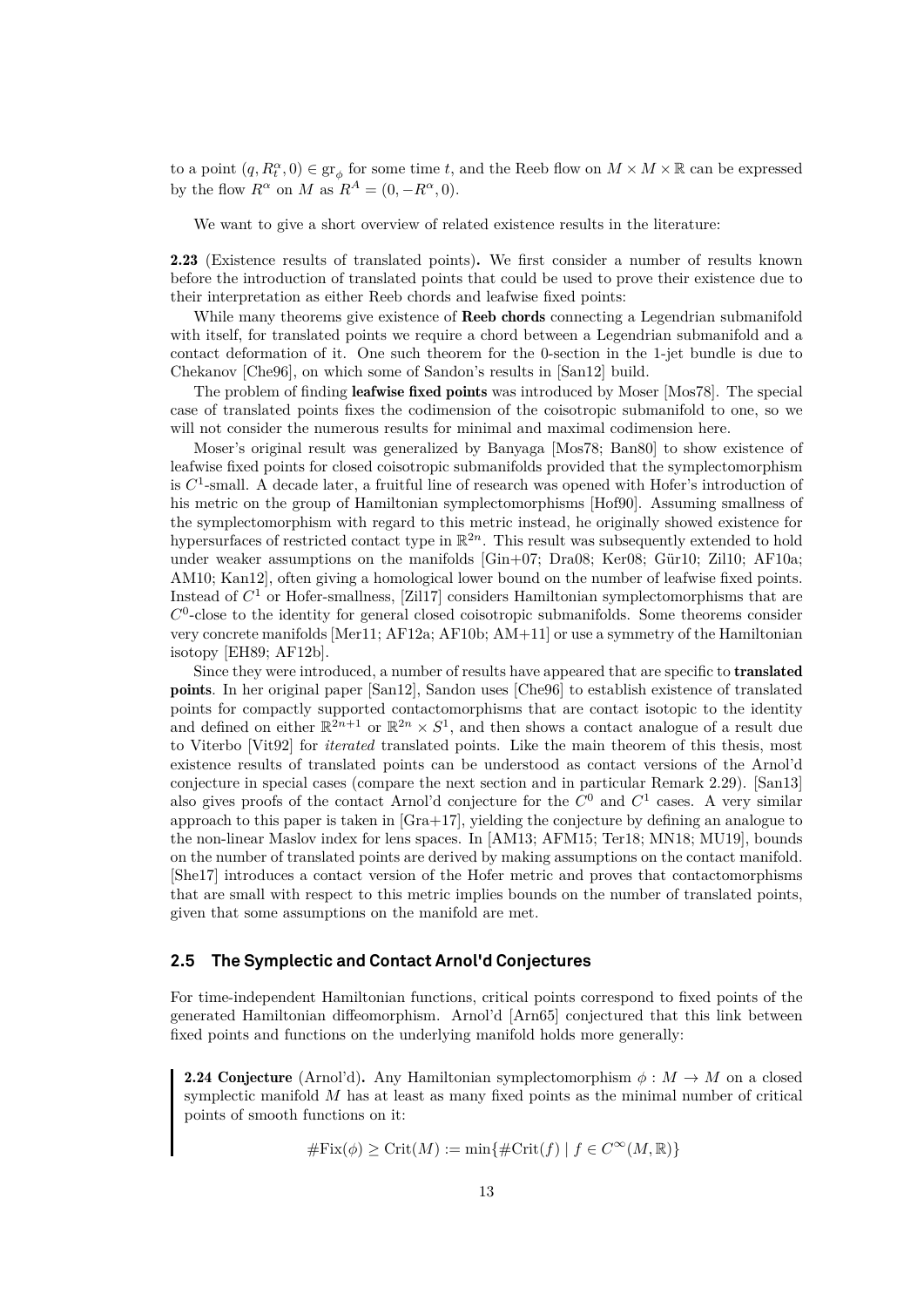to a point  $(q, R_t^{\alpha}, 0) \in \text{gr}_{\phi}$  for some time t, and the Reeb flow on  $M \times M \times \mathbb{R}$  can be expressed by the flow  $R^{\alpha}$  on M as  $R^{A} = (0, -R^{\alpha}, 0)$ .

We want to give a short overview of related existence results in the literature:

2.23 (Existence results of translated points). We first consider a number of results known before the introduction of translated points that could be used to prove their existence due to their interpretation as either Reeb chords and leafwise fixed points:

While many theorems give existence of **Reeb chords** connecting a Legendrian submanifold with itself, for translated points we require a chord between a Legendrian submanifold and a contact deformation of it. One such theorem for the 0-section in the 1-jet bundle is due to Chekanov [\[Che96\]](#page-58-2), on which some of Sandon's results in [\[San12\]](#page-60-0) build.

The problem of finding **leafwise fixed points** was introduced by Moser [\[Mos78\]](#page-59-5). The special case of translated points fixes the codimension of the coisotropic submanifold to one, so we will not consider the numerous results for minimal and maximal codimension here.

Moser's original result was generalized by Banyaga [\[Mos78;](#page-59-5) [Ban80\]](#page-58-3) to show existence of leafwise fixed points for closed coisotropic submanifolds provided that the symplectomorphism is  $C<sup>1</sup>$ -small. A decade later, a fruitful line of research was opened with Hofer's introduction of his metric on the group of Hamiltonian symplectomorphisms [\[Hof90\]](#page-59-6). Assuming smallness of the symplectomorphism with regard to this metric instead, he originally showed existence for hypersurfaces of restricted contact type in  $\mathbb{R}^{2n}$ . This result was subsequently extended to hold under weaker assumptions on the manifolds [\[Gin+07;](#page-59-7) [Dra08;](#page-58-4) [Ker08;](#page-59-8) [Gür10;](#page-59-9) [Zil10;](#page-60-6) [AF10a;](#page-58-5) [AM10;](#page-58-6) [Kan12\]](#page-59-10), often giving a homological lower bound on the number of leafwise fixed points. Instead of  $C<sup>1</sup>$  or Hofer-smallness, [\[Zil17\]](#page-60-8) considers Hamiltonian symplectomorphisms that are  $C<sup>0</sup>$ -close to the identity for general closed coisotropic submanifolds. Some theorems consider very concrete manifolds [\[Mer11;](#page-59-11) [AF12a;](#page-58-7) [AF10b;](#page-58-8) [AM+11\]](#page-58-9) or use a symmetry of the Hamiltonian isotopy [\[EH89;](#page-59-12) [AF12b\]](#page-58-10).

Since they were introduced, a number of results have appeared that are specific to **translated** points. In her original paper [\[San12\]](#page-60-0), Sandon uses [\[Che96\]](#page-58-2) to establish existence of translated points for compactly supported contactomorphisms that are contact isotopic to the identity and defined on either  $\mathbb{R}^{2n+1}$  or  $\mathbb{R}^{2n} \times S^1$ , and then shows a contact analogue of a result due to Viterbo [\[Vit92\]](#page-60-9) for *iterated* translated points. Like the main theorem of this thesis, most existence results of translated points can be understood as contact versions of the Arnol'd conjecture in special cases (compare the next section and in particular Remark [2.29\)](#page-18-0). [\[San13\]](#page-60-1) also gives proofs of the contact Arnol'd conjecture for the  $C^0$  and  $C^1$  cases. A very similar approach to this paper is taken in [\[Gra+17\]](#page-59-0), yielding the conjecture by defining an analogue to the non-linear Maslov index for lens spaces. In [\[AM13;](#page-58-11) [AFM15;](#page-58-12) [Ter18;](#page-60-10) [MN18;](#page-59-13) [MU19\]](#page-59-14), bounds on the number of translated points are derived by making assumptions on the contact manifold. [\[She17\]](#page-60-11) introduces a contact version of the Hofer metric and proves that contactomorphisms that are small with respect to this metric implies bounds on the number of translated points, given that some assumptions on the manifold are met.

#### <span id="page-16-0"></span>**2.5 The Symplectic and Contact Arnol'd Conjectures**

For time-independent Hamiltonian functions, critical points correspond to fixed points of the generated Hamiltonian diffeomorphism. Arnol'd [\[Arn65\]](#page-58-13) conjectured that this link between fixed points and functions on the underlying manifold holds more generally:

**2.24 Conjecture** (Arnol'd). Any Hamiltonian symplectomorphism  $\phi : M \to M$  on a closed symplectic manifold M has at least as many fixed points as the minimal number of critical points of smooth functions on it:

$$
\#Fix(\phi) \geq Crit(M) := \min\{\#Crit(f) \mid f \in C^{\infty}(M, \mathbb{R})\}
$$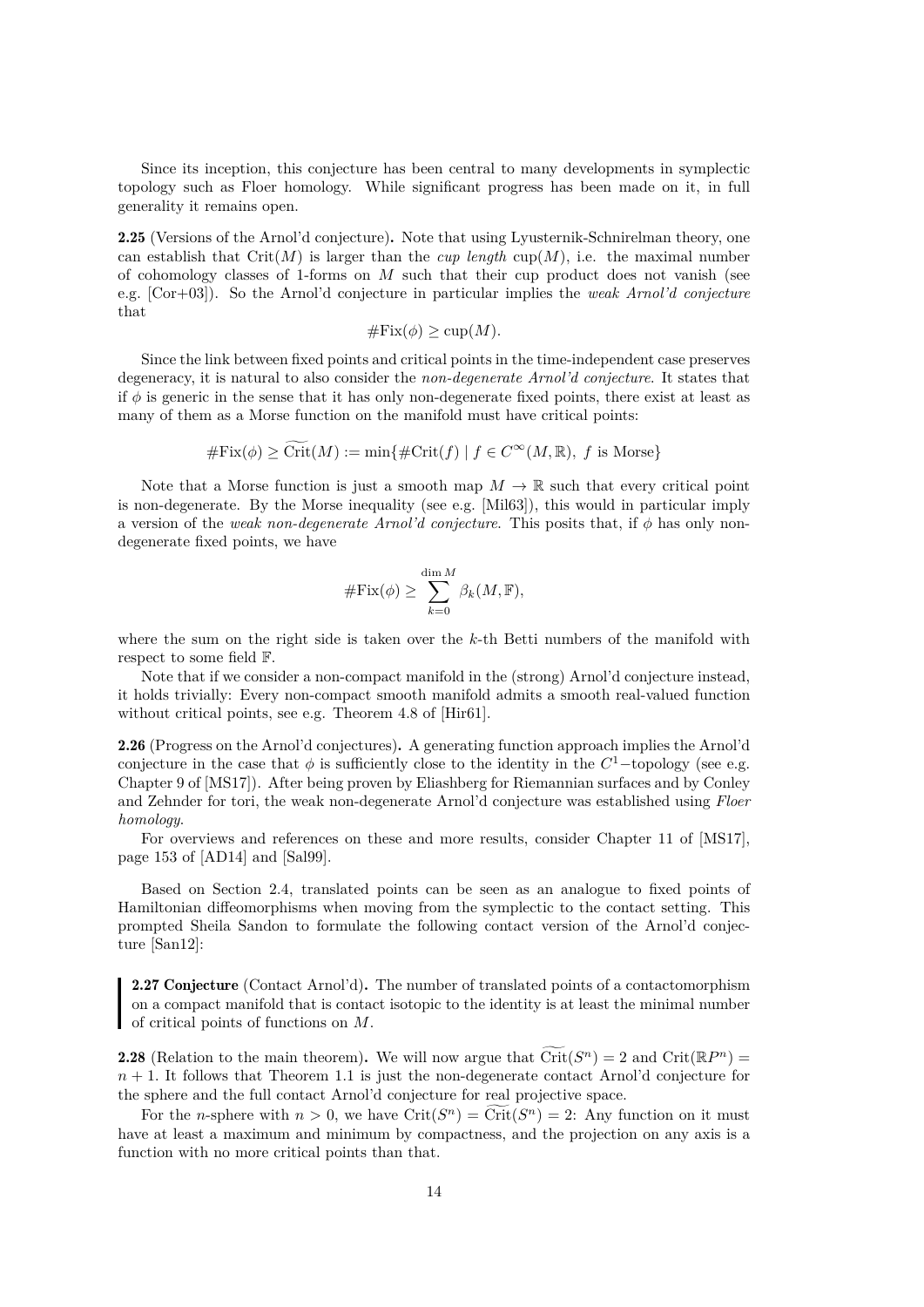Since its inception, this conjecture has been central to many developments in symplectic topology such as Floer homology. While significant progress has been made on it, in full generality it remains open.

2.25 (Versions of the Arnol'd conjecture). Note that using Lyusternik-Schnirelman theory, one can establish that  $Crit(M)$  is larger than the *cup length* cup(M), i.e. the maximal number of cohomology classes of 1-forms on  $M$  such that their cup product does not vanish (see e.g. [\[Cor+03\]](#page-58-14)). So the Arnol'd conjecture in particular implies the *weak Arnol'd conjecture* that

$$
\# \text{Fix}(\phi) \ge \text{cup}(M).
$$

Since the link between fixed points and critical points in the time-independent case preserves degeneracy, it is natural to also consider the *non-degenerate Arnol'd conjecture*. It states that if  $\phi$  is generic in the sense that it has only non-degenerate fixed points, there exist at least as many of them as a Morse function on the manifold must have critical points:

$$
\# \text{Fix}(\phi) \ge \widetilde{\text{Crit}}(M) := \min\{\# \text{Crit}(f) \mid f \in C^{\infty}(M, \mathbb{R}), f \text{ is Morse}\}
$$

Note that a Morse function is just a smooth map  $M \to \mathbb{R}$  such that every critical point is non-degenerate. By the Morse inequality (see e.g. [\[Mil63\]](#page-59-15)), this would in particular imply a version of the *weak non-degenerate Arnol'd conjecture*. This posits that, if  $\phi$  has only nondegenerate fixed points, we have

$$
\# \mathrm{Fix}(\phi) \ge \sum_{k=0}^{\dim M} \beta_k(M, \mathbb{F}),
$$

where the sum on the right side is taken over the k-th Betti numbers of the manifold with respect to some field F.

Note that if we consider a non-compact manifold in the (strong) Arnol'd conjecture instead, it holds trivially: Every non-compact smooth manifold admits a smooth real-valued function without critical points, see e.g. Theorem 4.8 of [\[Hir61\]](#page-59-16).

2.26 (Progress on the Arnol'd conjectures). A generating function approach implies the Arnol'd conjecture in the case that  $\phi$  is sufficiently close to the identity in the  $C^1$ -topology (see e.g. Chapter 9 of [\[MS17\]](#page-59-3)). After being proven by Eliashberg for Riemannian surfaces and by Conley and Zehnder for tori, the weak non-degenerate Arnol'd conjecture was established using *Floer homology*.

For overviews and references on these and more results, consider Chapter 11 of [\[MS17\]](#page-59-3), page 153 of [\[AD14\]](#page-58-15) and [\[Sal99\]](#page-60-12).

Based on Section [2.4,](#page-13-0) translated points can be seen as an analogue to fixed points of Hamiltonian diffeomorphisms when moving from the symplectic to the contact setting. This prompted Sheila Sandon to formulate the following contact version of the Arnol'd conjecture [\[San12\]](#page-60-0):

<span id="page-17-0"></span>2.27 Conjecture (Contact Arnol'd). The number of translated points of a contactomorphism on a compact manifold that is contact isotopic to the identity is at least the minimal number of critical points of functions on M.

**2.28** (Relation to the main theorem). We will now argue that  $\widetilde{\mathrm{Crit}}(S^n) = 2$  and  $\mathrm{Crit}(\mathbb{R}P^n) =$  $n + 1$ . It follows that Theorem [1.1](#page-5-1) is just the non-degenerate contact Arnol'd conjecture for the sphere and the full contact Arnol'd conjecture for real projective space.

For the *n*-sphere with  $n > 0$ , we have  $\mathrm{Crit}(S^n) = \mathrm{Crit}(S^n) = 2$ : Any function on it must have at least a maximum and minimum by compactness, and the projection on any axis is a function with no more critical points than that.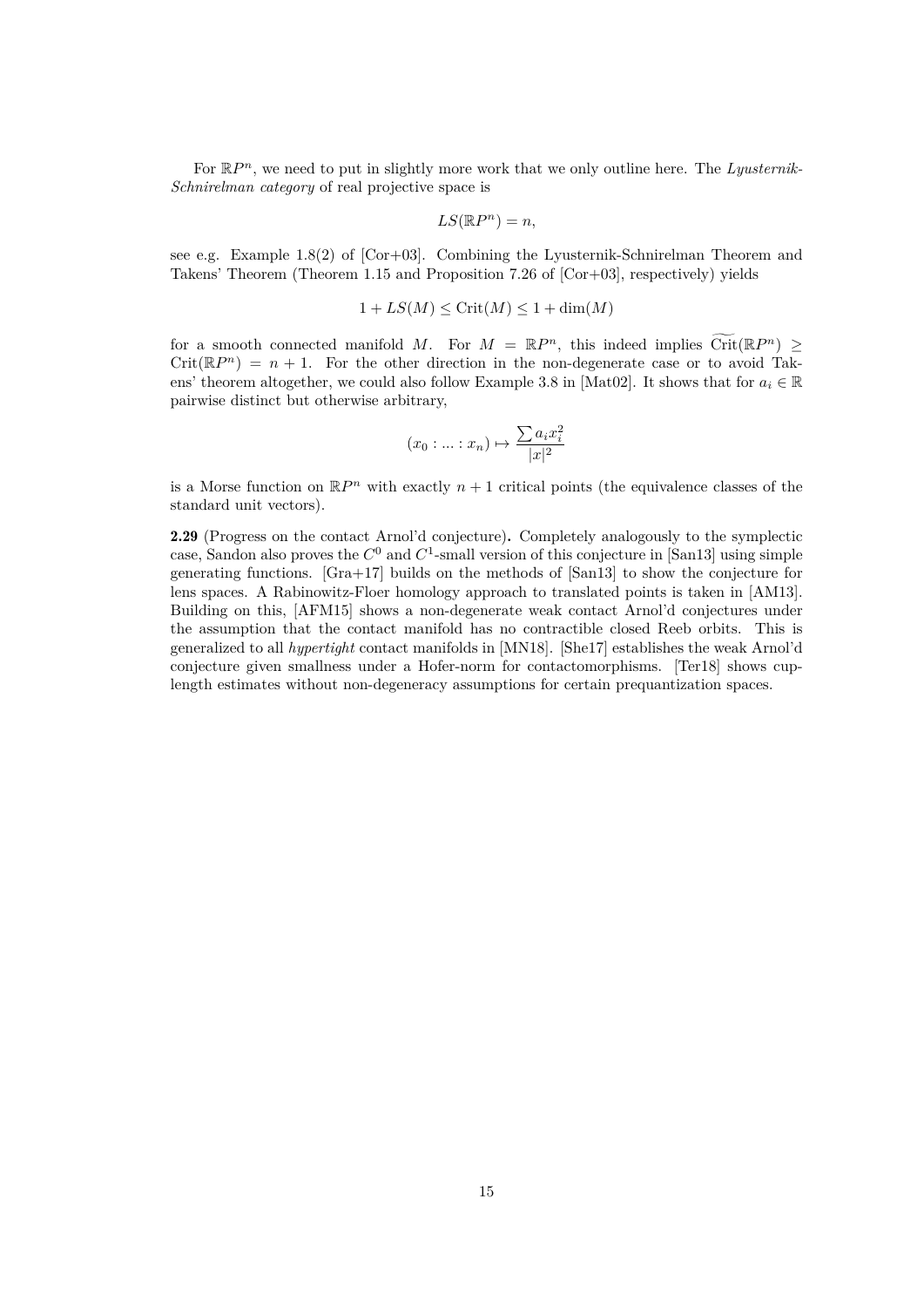For  $\mathbb{R}P^n$ , we need to put in slightly more work that we only outline here. The *Lyusternik-Schnirelman category* of real projective space is

$$
LS(\mathbb{R}P^n)=n,
$$

see e.g. Example  $1.8(2)$  of  $[Cor+03]$ . Combining the Lyusternik-Schnirelman Theorem and Takens' Theorem (Theorem 1.15 and Proposition 7.26 of [\[Cor+03\]](#page-58-14), respectively) yields

$$
1 + LS(M) \leq \text{Crit}(M) \leq 1 + \text{dim}(M)
$$

for a smooth connected manifold M. For  $M = \mathbb{R}P^n$ , this indeed implies  $\widetilde{\mathrm{Crit}}(\mathbb{R}P^n) \geq$ Crit( $\mathbb{R}P^{n}$ ) = n + 1. For the other direction in the non-degenerate case or to avoid Tak-ens' theorem altogether, we could also follow Example 3.8 in [\[Mat02\]](#page-59-17). It shows that for  $a_i \in \mathbb{R}$ pairwise distinct but otherwise arbitrary,

$$
(x_0:...:x_n)\mapsto \frac{\sum a_i x_i^2}{|x|^2}
$$

is a Morse function on  $\mathbb{R}P^n$  with exactly  $n+1$  critical points (the equivalence classes of the standard unit vectors).

<span id="page-18-0"></span>2.29 (Progress on the contact Arnol'd conjecture). Completely analogously to the symplectic case, Sandon also proves the  $C^0$  and  $C^1$ -small version of this conjecture in [\[San13\]](#page-60-1) using simple generating functions. [\[Gra+17\]](#page-59-0) builds on the methods of [\[San13\]](#page-60-1) to show the conjecture for lens spaces. A Rabinowitz-Floer homology approach to translated points is taken in [\[AM13\]](#page-58-11). Building on this, [\[AFM15\]](#page-58-12) shows a non-degenerate weak contact Arnol'd conjectures under the assumption that the contact manifold has no contractible closed Reeb orbits. This is generalized to all *hypertight* contact manifolds in [\[MN18\]](#page-59-13). [\[She17\]](#page-60-11) establishes the weak Arnol'd conjecture given smallness under a Hofer-norm for contactomorphisms. [\[Ter18\]](#page-60-10) shows cuplength estimates without non-degeneracy assumptions for certain prequantization spaces.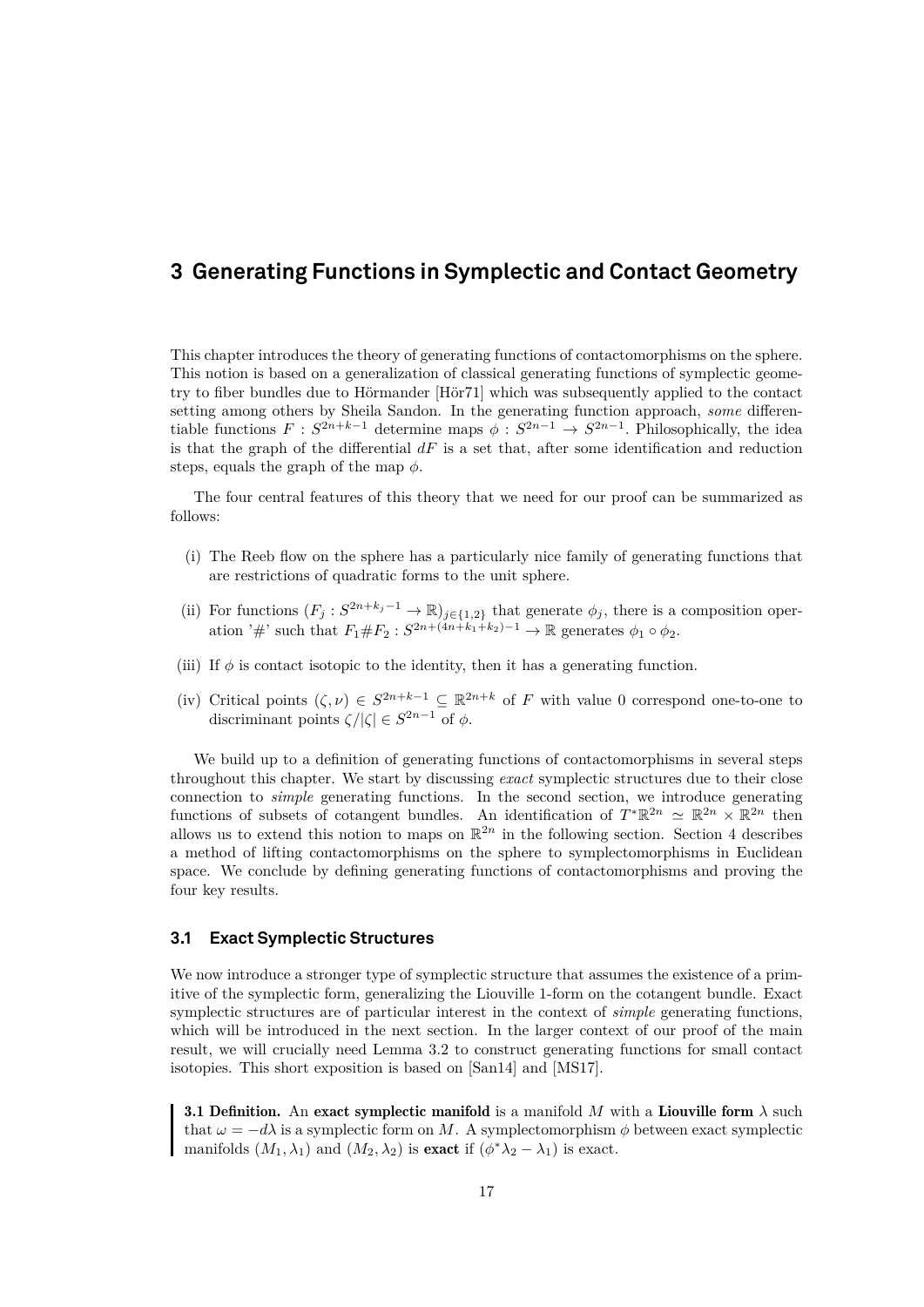# <span id="page-20-0"></span>**3 Generating Functions in Symplectic and Contact Geometry**

This chapter introduces the theory of generating functions of contactomorphisms on the sphere. This notion is based on a generalization of classical generating functions of symplectic geometry to fiber bundles due to Hörmander [\[Hör71\]](#page-59-2) which was subsequently applied to the contact setting among others by Sheila Sandon. In the generating function approach, *some* differentiable functions  $F: S^{2n+k-1}$  determine maps  $\phi: S^{2n-1} \to S^{2n-1}$ . Philosophically, the idea is that the graph of the differential  $dF$  is a set that, after some identification and reduction steps, equals the graph of the map  $\phi$ .

The four central features of this theory that we need for our proof can be summarized as follows:

- (i) The Reeb flow on the sphere has a particularly nice family of generating functions that are restrictions of quadratic forms to the unit sphere.
- (ii) For functions  $(F_j : S^{2n+k_j-1} \to \mathbb{R})_{j\in\{1,2\}}$  that generate  $\phi_j$ , there is a composition operation '#' such that  $F_1 \# F_2 : S^{2n+(4n+k_1+k_2)-1} \to \mathbb{R}$  generates  $\phi_1 \circ \phi_2$ .
- (iii) If  $\phi$  is contact isotopic to the identity, then it has a generating function.
- (iv) Critical points  $(\zeta, \nu) \in S^{2n+k-1} \subseteq \mathbb{R}^{2n+k}$  of F with value 0 correspond one-to-one to discriminant points  $\zeta/|\zeta| \in S^{2n-1}$  of  $\phi$ .

We build up to a definition of generating functions of contactomorphisms in several steps throughout this chapter. We start by discussing *exact* symplectic structures due to their close connection to *simple* generating functions. In the second section, we introduce generating functions of subsets of cotangent bundles. An identification of  $T^*\mathbb{R}^{2n} \simeq \mathbb{R}^{2n} \times \mathbb{R}^{2n}$  then allows us to extend this notion to maps on  $\mathbb{R}^{2n}$  in the following section. Section 4 describes a method of lifting contactomorphisms on the sphere to symplectomorphisms in Euclidean space. We conclude by defining generating functions of contactomorphisms and proving the four key results.

#### <span id="page-20-1"></span>**3.1 Exact Symplectic Structures**

We now introduce a stronger type of symplectic structure that assumes the existence of a primitive of the symplectic form, generalizing the Liouville 1-form on the cotangent bundle. Exact symplectic structures are of particular interest in the context of *simple* generating functions, which will be introduced in the next section. In the larger context of our proof of the main result, we will crucially need Lemma [3.2](#page-21-0) to construct generating functions for small contact isotopies. This short exposition is based on [\[San14\]](#page-60-5) and [\[MS17\]](#page-59-3).

**3.1 Definition.** An exact symplectic manifold is a manifold M with a Liouville form  $\lambda$  such that  $\omega = -d\lambda$  is a symplectic form on M. A symplectomorphism  $\phi$  between exact symplectic manifolds  $(M_1, \lambda_1)$  and  $(M_2, \lambda_2)$  is exact if  $(\phi^* \lambda_2 - \lambda_1)$  is exact.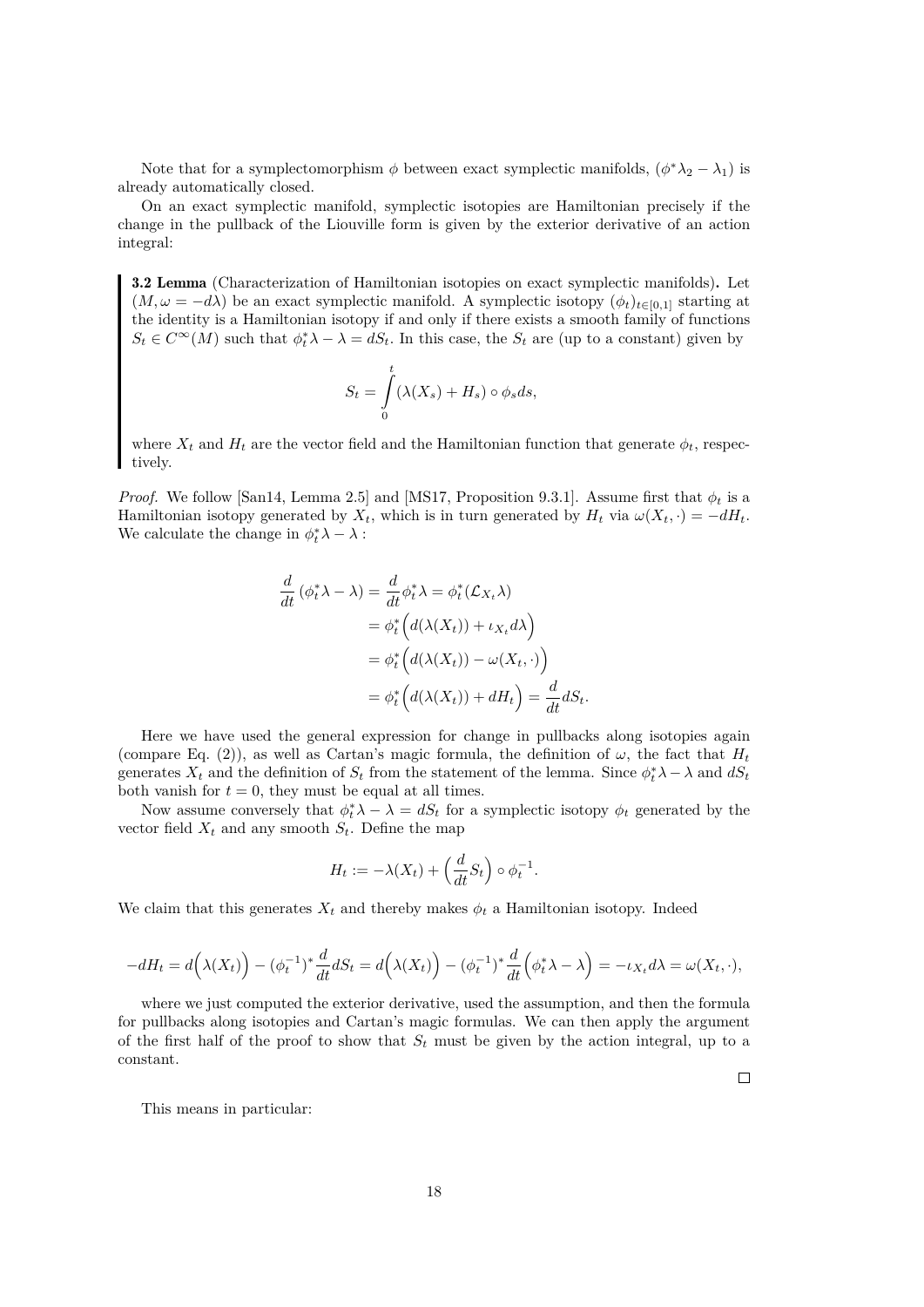Note that for a symplectomorphism  $\phi$  between exact symplectic manifolds,  $(\phi^*\lambda_2 - \lambda_1)$  is already automatically closed.

On an exact symplectic manifold, symplectic isotopies are Hamiltonian precisely if the change in the pullback of the Liouville form is given by the exterior derivative of an action integral:

<span id="page-21-0"></span>3.2 Lemma (Characterization of Hamiltonian isotopies on exact symplectic manifolds). Let  $(M, \omega = -d\lambda)$  be an exact symplectic manifold. A symplectic isotopy  $(\phi_t)_{t\in[0,1]}$  starting at the identity is a Hamiltonian isotopy if and only if there exists a smooth family of functions  $S_t \in C^{\infty}(M)$  such that  $\phi_t^* \lambda - \lambda = dS_t$ . In this case, the  $S_t$  are (up to a constant) given by

$$
S_t = \int_0^t (\lambda(X_s) + H_s) \circ \phi_s ds,
$$

where  $X_t$  and  $H_t$  are the vector field and the Hamiltonian function that generate  $\phi_t$ , respectively.

*Proof.* We follow [\[San14,](#page-60-5) Lemma 2.5] and [\[MS17,](#page-59-3) Proposition 9.3.1]. Assume first that  $\phi_t$  is a Hamiltonian isotopy generated by  $X_t$ , which is in turn generated by  $H_t$  via  $\omega(X_t, \cdot) = -dH_t$ . We calculate the change in  $\phi_t^* \lambda - \lambda$ :

$$
\frac{d}{dt} (\phi_t^* \lambda - \lambda) = \frac{d}{dt} \phi_t^* \lambda = \phi_t^* (\mathcal{L}_{X_t} \lambda)
$$
  
\n
$$
= \phi_t^* \Big( d(\lambda(X_t)) + \iota_{X_t} d\lambda \Big)
$$
  
\n
$$
= \phi_t^* \Big( d(\lambda(X_t)) - \omega(X_t, \cdot) \Big)
$$
  
\n
$$
= \phi_t^* \Big( d(\lambda(X_t)) + dH_t \Big) = \frac{d}{dt} dS_t.
$$

Here we have used the general expression for change in pullbacks along isotopies again (compare Eq. [\(2\)](#page-13-2)), as well as Cartan's magic formula, the definition of  $\omega$ , the fact that  $H_t$ generates  $X_t$  and the definition of  $S_t$  from the statement of the lemma. Since  $\phi_t^* \lambda - \lambda$  and  $dS_t$ both vanish for  $t = 0$ , they must be equal at all times.

Now assume conversely that  $\phi_t^* \lambda - \lambda = dS_t$  for a symplectic isotopy  $\phi_t$  generated by the vector field  $X_t$  and any smooth  $S_t$ . Define the map

$$
H_t := -\lambda(X_t) + \left(\frac{d}{dt}S_t\right) \circ \phi_t^{-1}.
$$

We claim that this generates  $X_t$  and thereby makes  $\phi_t$  a Hamiltonian isotopy. Indeed

$$
-dH_t = d(\lambda(X_t)) - (\phi_t^{-1})^* \frac{d}{dt} dS_t = d(\lambda(X_t)) - (\phi_t^{-1})^* \frac{d}{dt} (\phi_t^* \lambda - \lambda) = -\iota_{X_t} d\lambda = \omega(X_t, \cdot),
$$

where we just computed the exterior derivative, used the assumption, and then the formula for pullbacks along isotopies and Cartan's magic formulas. We can then apply the argument of the first half of the proof to show that  $S_t$  must be given by the action integral, up to a constant.

This means in particular: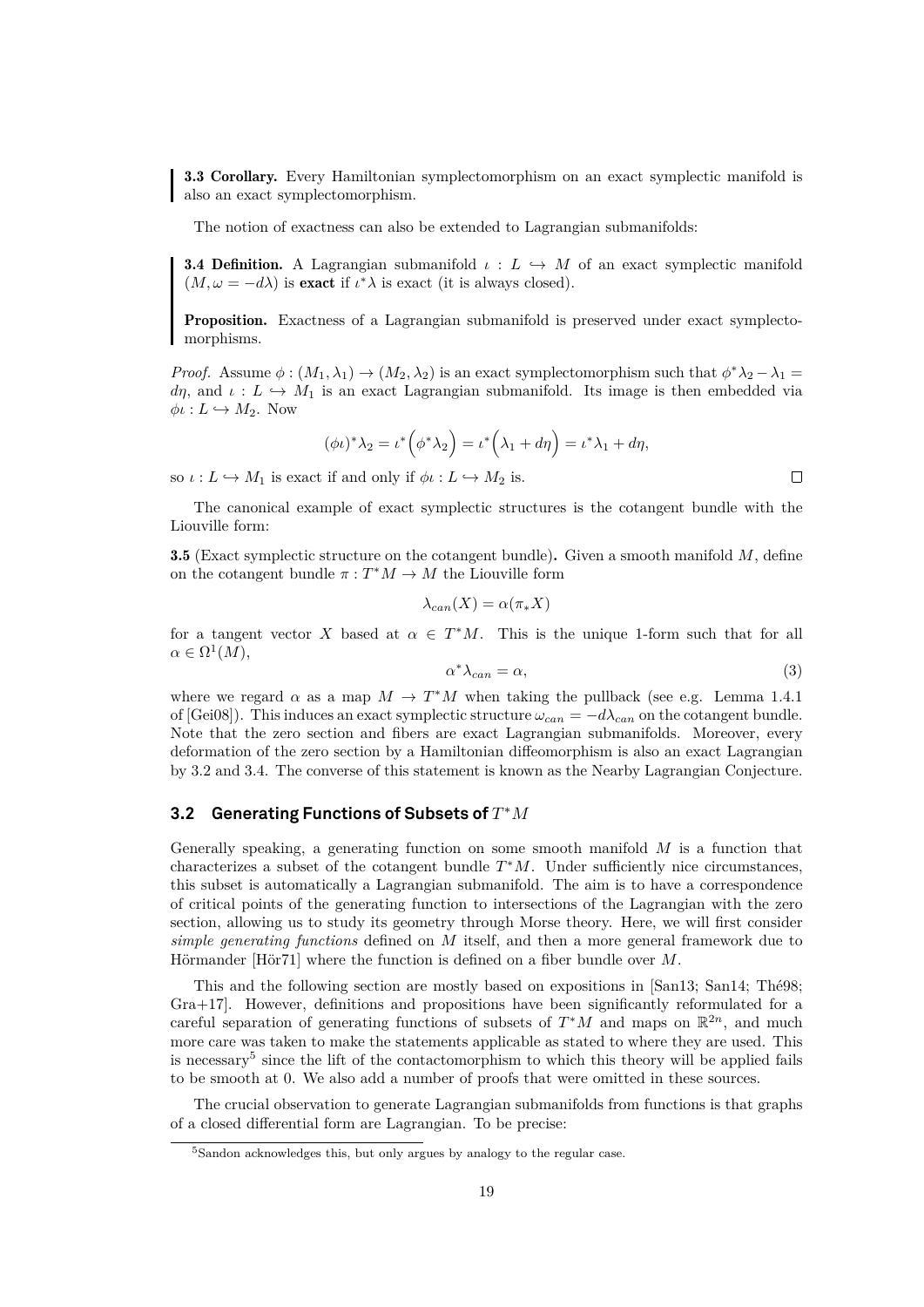<span id="page-22-5"></span>3.3 Corollary. Every Hamiltonian symplectomorphism on an exact symplectic manifold is also an exact symplectomorphism.

The notion of exactness can also be extended to Lagrangian submanifolds:

<span id="page-22-2"></span>**3.4 Definition.** A Lagrangian submanifold  $\iota: L \rightarrow M$  of an exact symplectic manifold  $(M, \omega = -d\lambda)$  is exact if  $\iota^*\lambda$  is exact (it is always closed).

Proposition. Exactness of a Lagrangian submanifold is preserved under exact symplectomorphisms.

*Proof.* Assume  $\phi: (M_1, \lambda_1) \to (M_2, \lambda_2)$  is an exact symplectomorphism such that  $\phi^* \lambda_2 - \lambda_1 =$ dη, and  $\iota: L \hookrightarrow M_1$  is an exact Lagrangian submanifold. Its image is then embedded via  $\phi\iota: L \hookrightarrow M_2$ . Now

$$
(\phi \iota)^* \lambda_2 = \iota^* \left( \phi^* \lambda_2 \right) = \iota^* \left( \lambda_1 + d\eta \right) = \iota^* \lambda_1 + d\eta,
$$

so  $\iota: L \hookrightarrow M_1$  is exact if and only if  $\phi \iota: L \hookrightarrow M_2$  is.

The canonical example of exact symplectic structures is the cotangent bundle with the Liouville form:

<span id="page-22-1"></span>**3.5** (Exact symplectic structure on the cotangent bundle). Given a smooth manifold  $M$ , define on the cotangent bundle  $\pi : T^*M \to M$  the Liouville form

$$
\lambda_{can}(X) = \alpha(\pi_* X)
$$

for a tangent vector X based at  $\alpha \in T^*M$ . This is the unique 1-form such that for all  $\alpha \in \Omega^1(M)$ ,

<span id="page-22-4"></span>
$$
\alpha^* \lambda_{can} = \alpha,\tag{3}
$$

where we regard  $\alpha$  as a map  $M \to T^*M$  when taking the pullback (see e.g. Lemma 1.4.1) of [\[Gei08\]](#page-59-4)). This induces an exact symplectic structure  $\omega_{can} = -d\lambda_{can}$  on the cotangent bundle. Note that the zero section and fibers are exact Lagrangian submanifolds. Moreover, every deformation of the zero section by a Hamiltonian diffeomorphism is also an exact Lagrangian by [3.2](#page-21-0) and [3.4.](#page-22-2) The converse of this statement is known as the Nearby Lagrangian Conjecture.

### <span id="page-22-0"></span>**3.2 Generating Functions of Subsets of**  $T^*M$

Generally speaking, a generating function on some smooth manifold  $M$  is a function that characterizes a subset of the cotangent bundle  $T^*M$ . Under sufficiently nice circumstances, this subset is automatically a Lagrangian submanifold. The aim is to have a correspondence of critical points of the generating function to intersections of the Lagrangian with the zero section, allowing us to study its geometry through Morse theory. Here, we will first consider *simple generating functions* defined on M itself, and then a more general framework due to Hörmander [\[Hör71\]](#page-59-2) where the function is defined on a fiber bundle over M.

This and the following section are mostly based on expositions in [\[San13;](#page-60-1) [San14;](#page-60-5) [Thé98;](#page-60-3) [Gra+17\]](#page-59-0). However, definitions and propositions have been significantly reformulated for a careful separation of generating functions of subsets of  $T^*M$  and maps on  $\mathbb{R}^{2n}$ , and much more care was taken to make the statements applicable as stated to where they are used. This is necessary<sup>[5](#page-22-3)</sup> since the lift of the contactomorphism to which this theory will be applied fails to be smooth at 0. We also add a number of proofs that were omitted in these sources.

The crucial observation to generate Lagrangian submanifolds from functions is that graphs of a closed differential form are Lagrangian. To be precise:

<span id="page-22-3"></span><sup>5</sup>Sandon acknowledges this, but only argues by analogy to the regular case.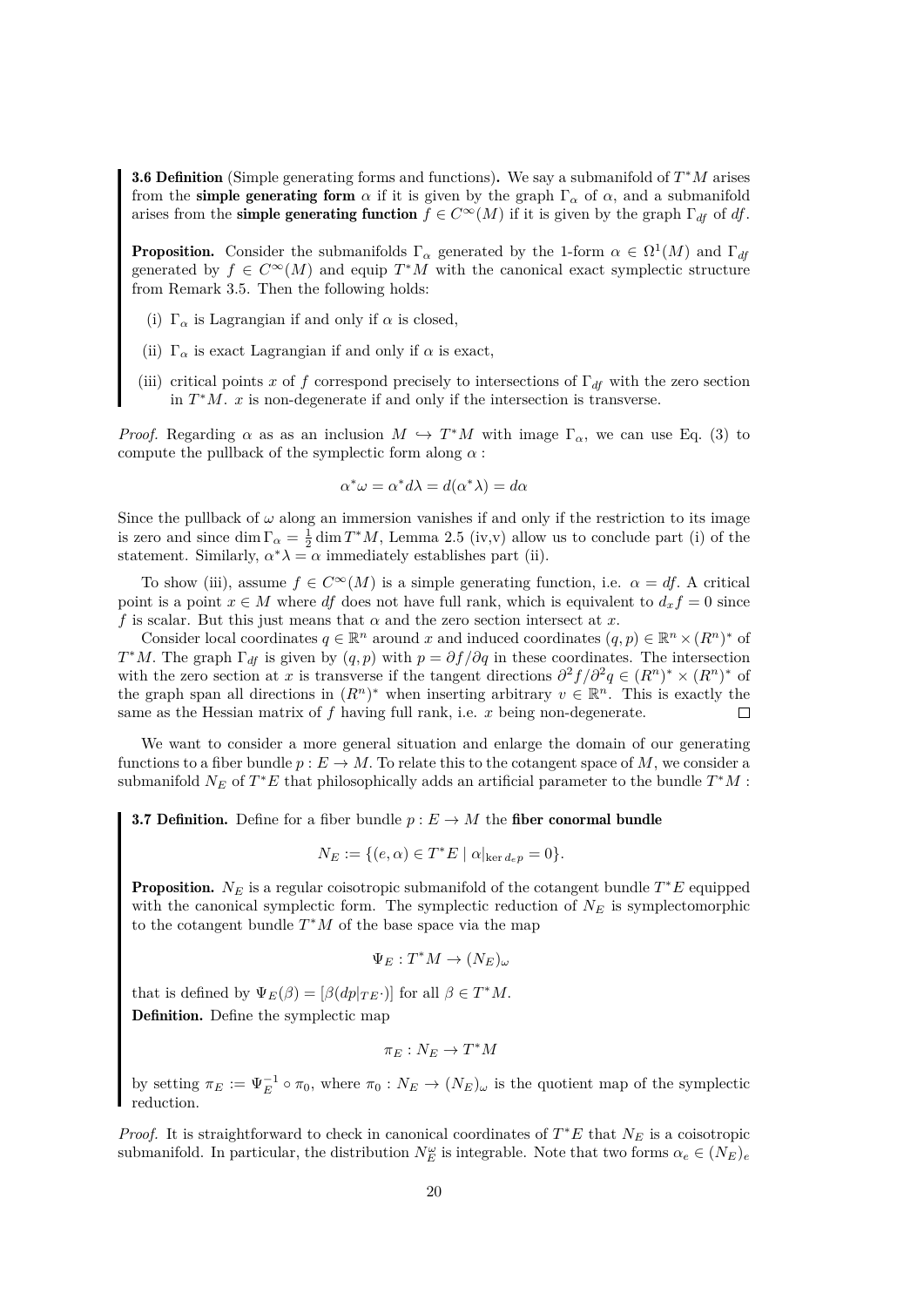<span id="page-23-0"></span>**3.6 Definition** (Simple generating forms and functions). We say a submanifold of  $T^*M$  arises from the simple generating form  $\alpha$  if it is given by the graph  $\Gamma_{\alpha}$  of  $\alpha$ , and a submanifold arises from the **simple generating function**  $f \in C^{\infty}(M)$  if it is given by the graph  $\Gamma_{df}$  of df.

**Proposition.** Consider the submanifolds  $\Gamma_{\alpha}$  generated by the 1-form  $\alpha \in \Omega^1(M)$  and  $\Gamma_{df}$ generated by  $f \in C^{\infty}(M)$  and equip  $T^*M$  with the canonical exact symplectic structure from Remark [3.5.](#page-22-1) Then the following holds:

- (i)  $\Gamma_\alpha$  is Lagrangian if and only if  $\alpha$  is closed,
- (ii)  $\, \Gamma_{\alpha} \,$  is exact Lagrangian if and only if  $\alpha$  is exact,
- (iii) critical points x of f correspond precisely to intersections of  $\Gamma_{df}$  with the zero section in  $T^*M$ . x is non-degenerate if and only if the intersection is transverse.

*Proof.* Regarding  $\alpha$  as as an inclusion  $M \hookrightarrow T^*M$  with image  $\Gamma_\alpha$ , we can use Eq. [\(3\)](#page-22-4) to compute the pullback of the symplectic form along  $\alpha$ :

$$
\alpha^* \omega = \alpha^* d\lambda = d(\alpha^* \lambda) = d\alpha
$$

Since the pullback of  $\omega$  along an immersion vanishes if and only if the restriction to its image is zero and since  $\dim \Gamma_\alpha = \frac{1}{2} \dim T^*M$ , Lemma [2.5](#page-9-0) (iv,v) allow us to conclude part (i) of the statement. Similarly,  $\alpha^* \lambda = \alpha$  immediately establishes part (ii).

To show (iii), assume  $f \in C^{\infty}(M)$  is a simple generating function, i.e.  $\alpha = df$ . A critical point is a point  $x \in M$  where df does not have full rank, which is equivalent to  $d_x f = 0$  since f is scalar. But this just means that  $\alpha$  and the zero section intersect at x.

Consider local coordinates  $q \in \mathbb{R}^n$  around x and induced coordinates  $(q, p) \in \mathbb{R}^n \times (R^n)^*$  of  $T^*M$ . The graph  $\Gamma_{df}$  is given by  $(q, p)$  with  $p = \partial f / \partial q$  in these coordinates. The intersection with the zero section at x is transverse if the tangent directions  $\partial^2 f/\partial^2 q \in (R^n)^* \times (R^n)^*$  of the graph span all directions in  $(R^n)^*$  when inserting arbitrary  $v \in \mathbb{R}^n$ . This is exactly the same as the Hessian matrix of  $f$  having full rank, i.e.  $x$  being non-degenerate.

We want to consider a more general situation and enlarge the domain of our generating functions to a fiber bundle  $p : E \to M$ . To relate this to the cotangent space of M, we consider a submanifold  $N_E$  of  $T^*E$  that philosophically adds an artificial parameter to the bundle  $T^*M$ :

**3.7 Definition.** Define for a fiber bundle  $p : E \to M$  the fiber conormal bundle

$$
N_E := \{ (e, \alpha) \in T^*E \mid \alpha|_{\ker d_e p} = 0 \}.
$$

**Proposition.**  $N_E$  is a regular coisotropic submanifold of the cotangent bundle  $T^*E$  equipped with the canonical symplectic form. The symplectic reduction of  $N_E$  is symplectomorphic to the cotangent bundle  $T^*M$  of the base space via the map

$$
\Psi_E: T^*M \to (N_E)_{\omega}
$$

that is defined by  $\Psi_E(\beta) = [\beta(dp|_{TE})]$  for all  $\beta \in T^*M$ . Definition. Define the symplectic map

$$
\pi_E : N_E \to T^*M
$$

by setting  $\pi_E := \Psi_E^{-1} \circ \pi_0$ , where  $\pi_0 : N_E \to (N_E)_{\omega}$  is the quotient map of the symplectic reduction.

*Proof.* It is straightforward to check in canonical coordinates of  $T^*E$  that  $N_E$  is a coisotropic submanifold. In particular, the distribution  $N_E^{\omega}$  is integrable. Note that two forms  $\alpha_e \in (N_E)_{e}$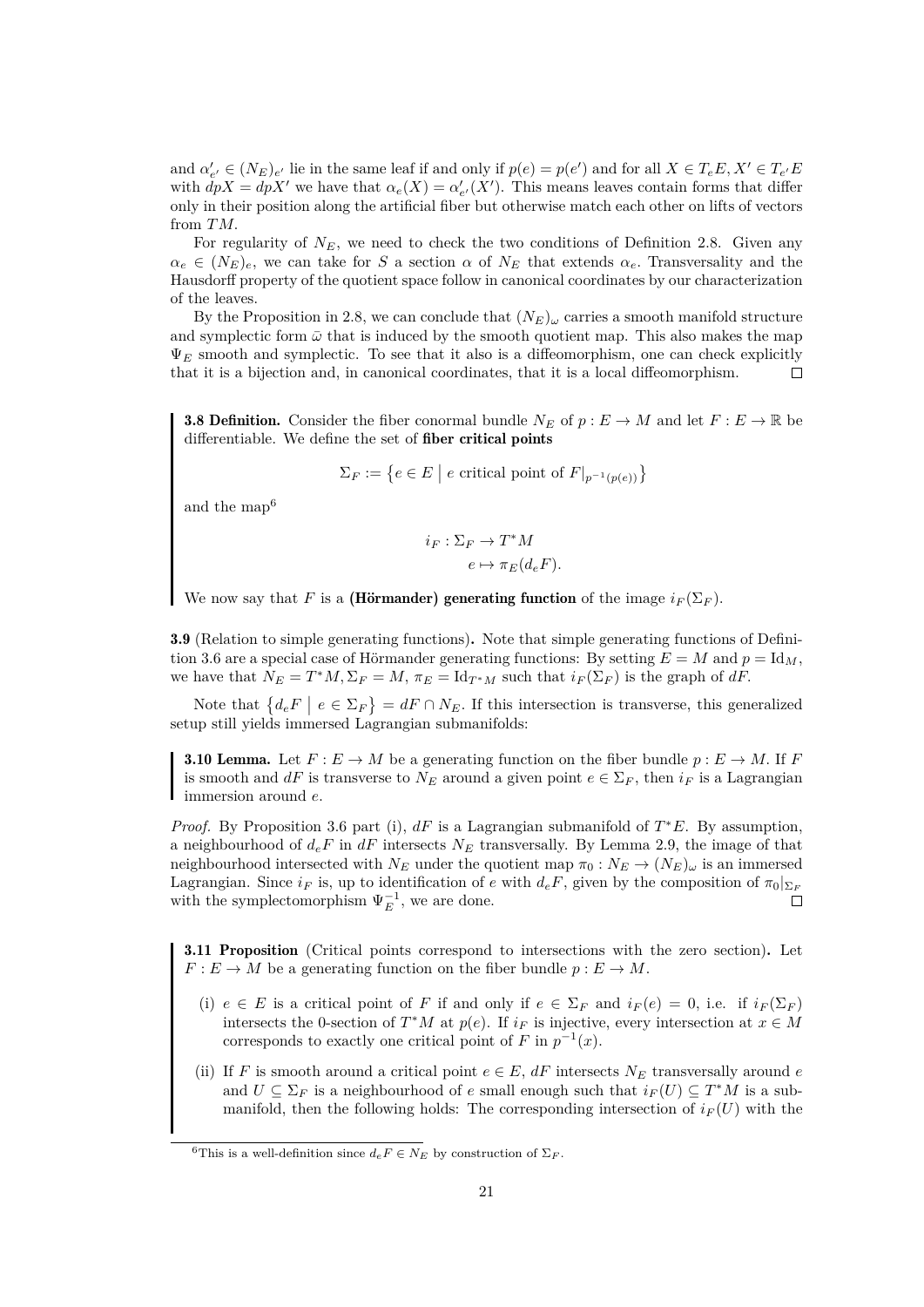and  $\alpha'_{e'} \in (N_E)_{e'}$  lie in the same leaf if and only if  $p(e) = p(e')$  and for all  $X \in T_eE, X' \in T_{e'}E$ with  $dpX = dpX'$  we have that  $\alpha_e(X) = \alpha'_{e'}(X')$ . This means leaves contain forms that differ only in their position along the artificial fiber but otherwise match each other on lifts of vectors from TM.

For regularity of  $N_E$ , we need to check the two conditions of Definition [2.8.](#page-10-1) Given any  $\alpha_e \in (N_E)_e$ , we can take for S a section  $\alpha$  of  $N_E$  that extends  $\alpha_e$ . Transversality and the Hausdorff property of the quotient space follow in canonical coordinates by our characterization of the leaves.

By the Proposition in [2.8,](#page-10-1) we can conclude that  $(N_E)_{\omega}$  carries a smooth manifold structure and symplectic form  $\bar{\omega}$  that is induced by the smooth quotient map. This also makes the map  $\Psi_E$  smooth and symplectic. To see that it also is a diffeomorphism, one can check explicitly that it is a bijection and, in canonical coordinates, that it is a local diffeomorphism.  $\Box$ 

**3.8 Definition.** Consider the fiber conormal bundle  $N_E$  of  $p : E \to M$  and let  $F : E \to \mathbb{R}$  be differentiable. We define the set of fiber critical points

 $\Sigma_F := \left\{ e \in E \mid e \text{ critical point of } F|_{p^{-1}(p(e))} \right\}$ 

and the map[6](#page-24-0)

$$
i_F: \Sigma_F \to T^*M
$$

$$
e \mapsto \pi_E(d_eF).
$$

We now say that F is a (Hörmander) generating function of the image  $i_F(\Sigma_F)$ .

3.9 (Relation to simple generating functions). Note that simple generating functions of Defini-tion [3.6](#page-23-0) are a special case of Hörmander generating functions: By setting  $E = M$  and  $p = Id_M$ , we have that  $N_E = T^*M$ ,  $\Sigma_F = M$ ,  $\pi_E = \text{Id}_{T^*M}$  such that  $i_F(\Sigma_F)$  is the graph of dF.

Note that  $\{d_e F \mid e \in \Sigma_F\} = dF \cap N_E$ . If this intersection is transverse, this generalized setup still yields immersed Lagrangian submanifolds:

<span id="page-24-1"></span>**3.10 Lemma.** Let  $F: E \to M$  be a generating function on the fiber bundle  $p: E \to M$ . If F is smooth and dF is transverse to  $N_E$  around a given point  $e \in \Sigma_F$ , then  $i_F$  is a Lagrangian immersion around e.

*Proof.* By Proposition [3.6](#page-23-0) part (i),  $dF$  is a Lagrangian submanifold of  $T^*E$ . By assumption, a neighbourhood of  $d_eF$  in  $dF$  intersects  $N_E$  transversally. By Lemma [2.9,](#page-10-2) the image of that neighbourhood intersected with  $N_E$  under the quotient map  $\pi_0 : N_E \to (N_E)_{\omega}$  is an immersed Lagrangian. Since  $i_F$  is, up to identification of e with  $d_eF$ , given by the composition of  $\pi_0|_{\Sigma_F}$ with the symplectomorphism  $\Psi_E^{-1}$ , we are done.  $\Box$ 

<span id="page-24-2"></span>3.11 Proposition (Critical points correspond to intersections with the zero section). Let  $F: E \to M$  be a generating function on the fiber bundle  $p: E \to M$ .

- (i)  $e \in E$  is a critical point of F if and only if  $e \in \Sigma_F$  and  $i_F(e) = 0$ , i.e. if  $i_F(\Sigma_F)$ intersects the 0-section of  $T^*M$  at  $p(e)$ . If  $i_F$  is injective, every intersection at  $x \in M$ corresponds to exactly one critical point of F in  $p^{-1}(x)$ .
- (ii) If F is smooth around a critical point  $e \in E$ , dF intersects  $N_E$  transversally around e and  $U \subseteq \Sigma_F$  is a neighbourhood of e small enough such that  $i_F(U) \subseteq T^*M$  is a submanifold, then the following holds: The corresponding intersection of  $i_F(U)$  with the

<span id="page-24-0"></span><sup>&</sup>lt;sup>6</sup>This is a well-definition since  $d_e F \in N_E$  by construction of  $\Sigma_F$ .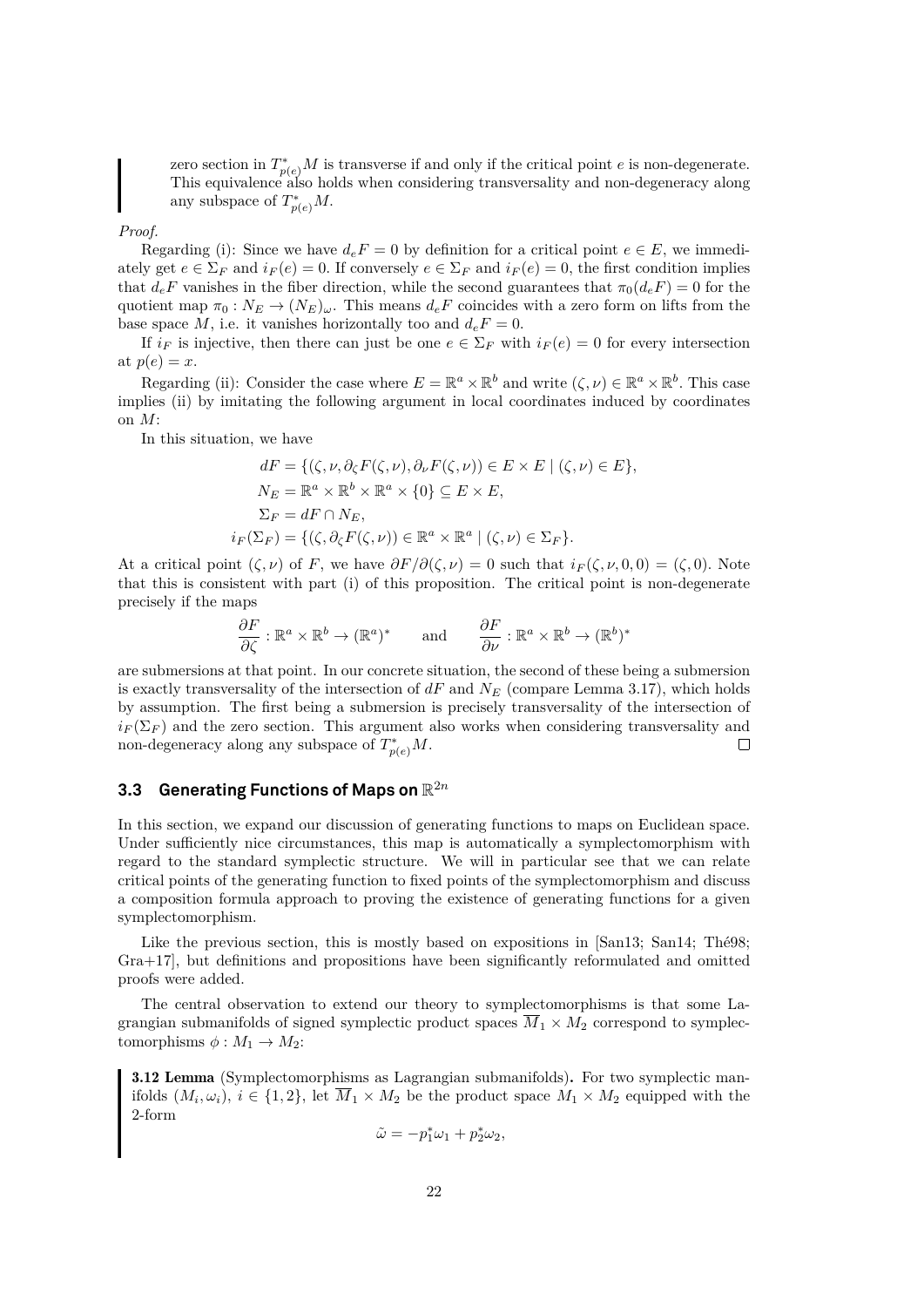zero section in  $T^*_{p(e)}M$  is transverse if and only if the critical point e is non-degenerate. This equivalence also holds when considering transversality and non-degeneracy along any subspace of  $T^*_{p(e)}M$ .

*Proof.*

Regarding (i): Since we have  $d_eF = 0$  by definition for a critical point  $e \in E$ , we immediately get  $e \in \Sigma_F$  and  $i_F(e) = 0$ . If conversely  $e \in \Sigma_F$  and  $i_F(e) = 0$ , the first condition implies that  $d_eF$  vanishes in the fiber direction, while the second guarantees that  $\pi_0(d_eF) = 0$  for the quotient map  $\pi_0 : N_E \to (N_E)_{\omega}$ . This means  $d_eF$  coincides with a zero form on lifts from the base space M, i.e. it vanishes horizontally too and  $d_eF = 0$ .

If  $i_F$  is injective, then there can just be one  $e \in \Sigma_F$  with  $i_F(e) = 0$  for every intersection at  $p(e) = x$ .

Regarding (ii): Consider the case where  $E = \mathbb{R}^a \times \mathbb{R}^b$  and write  $(\zeta, \nu) \in \mathbb{R}^a \times \mathbb{R}^b$ . This case implies (ii) by imitating the following argument in local coordinates induced by coordinates on M:

In this situation, we have

$$
dF = \{ (\zeta, \nu, \partial_{\zeta} F(\zeta, \nu), \partial_{\nu} F(\zeta, \nu)) \in E \times E \mid (\zeta, \nu) \in E \},
$$
  
\n
$$
N_E = \mathbb{R}^a \times \mathbb{R}^b \times \mathbb{R}^a \times \{0\} \subseteq E \times E,
$$
  
\n
$$
\Sigma_F = dF \cap N_E,
$$
  
\n
$$
i_F(\Sigma_F) = \{ (\zeta, \partial_{\zeta} F(\zeta, \nu)) \in \mathbb{R}^a \times \mathbb{R}^a \mid (\zeta, \nu) \in \Sigma_F \}.
$$

At a critical point  $(\zeta, \nu)$  of F, we have  $\partial F/\partial(\zeta, \nu) = 0$  such that  $i_F(\zeta, \nu, 0, 0) = (\zeta, 0)$ . Note that this is consistent with part (i) of this proposition. The critical point is non-degenerate precisely if the maps

$$
\frac{\partial F}{\partial \zeta} : \mathbb{R}^a \times \mathbb{R}^b \to (\mathbb{R}^a)^* \quad \text{and} \quad \frac{\partial F}{\partial \nu} : \mathbb{R}^a \times \mathbb{R}^b \to (\mathbb{R}^b)^*
$$

are submersions at that point. In our concrete situation, the second of these being a submersion is exactly transversality of the intersection of  $dF$  and  $N_E$  (compare Lemma [3.17\)](#page-27-0), which holds by assumption. The first being a submersion is precisely transversality of the intersection of  $i_F(\Sigma_F)$  and the zero section. This argument also works when considering transversality and non-degeneracy along any subspace of  $T^*_{p(e)}M$ .  $\Box$ 

# <span id="page-25-0"></span> $3.3$  Generating Functions of Maps on  $\mathbb{R}^{2n}$

In this section, we expand our discussion of generating functions to maps on Euclidean space. Under sufficiently nice circumstances, this map is automatically a symplectomorphism with regard to the standard symplectic structure. We will in particular see that we can relate critical points of the generating function to fixed points of the symplectomorphism and discuss a composition formula approach to proving the existence of generating functions for a given symplectomorphism.

Like the previous section, this is mostly based on expositions in [\[San13;](#page-60-1) [San14;](#page-60-5) [Thé98;](#page-60-3) [Gra+17\]](#page-59-0), but definitions and propositions have been significantly reformulated and omitted proofs were added.

The central observation to extend our theory to symplectomorphisms is that some Lagrangian submanifolds of signed symplectic product spaces  $\overline{M}_1 \times M_2$  correspond to symplectomorphisms  $\phi : M_1 \to M_2$ :

<span id="page-25-1"></span>3.12 Lemma (Symplectomorphisms as Lagrangian submanifolds). For two symplectic manifolds  $(M_i, \omega_i)$ ,  $i \in \{1, 2\}$ , let  $M_1 \times M_2$  be the product space  $M_1 \times M_2$  equipped with the 2-form

$$
\tilde{\omega} = -p_1^*\omega_1 + p_2^*\omega_2,
$$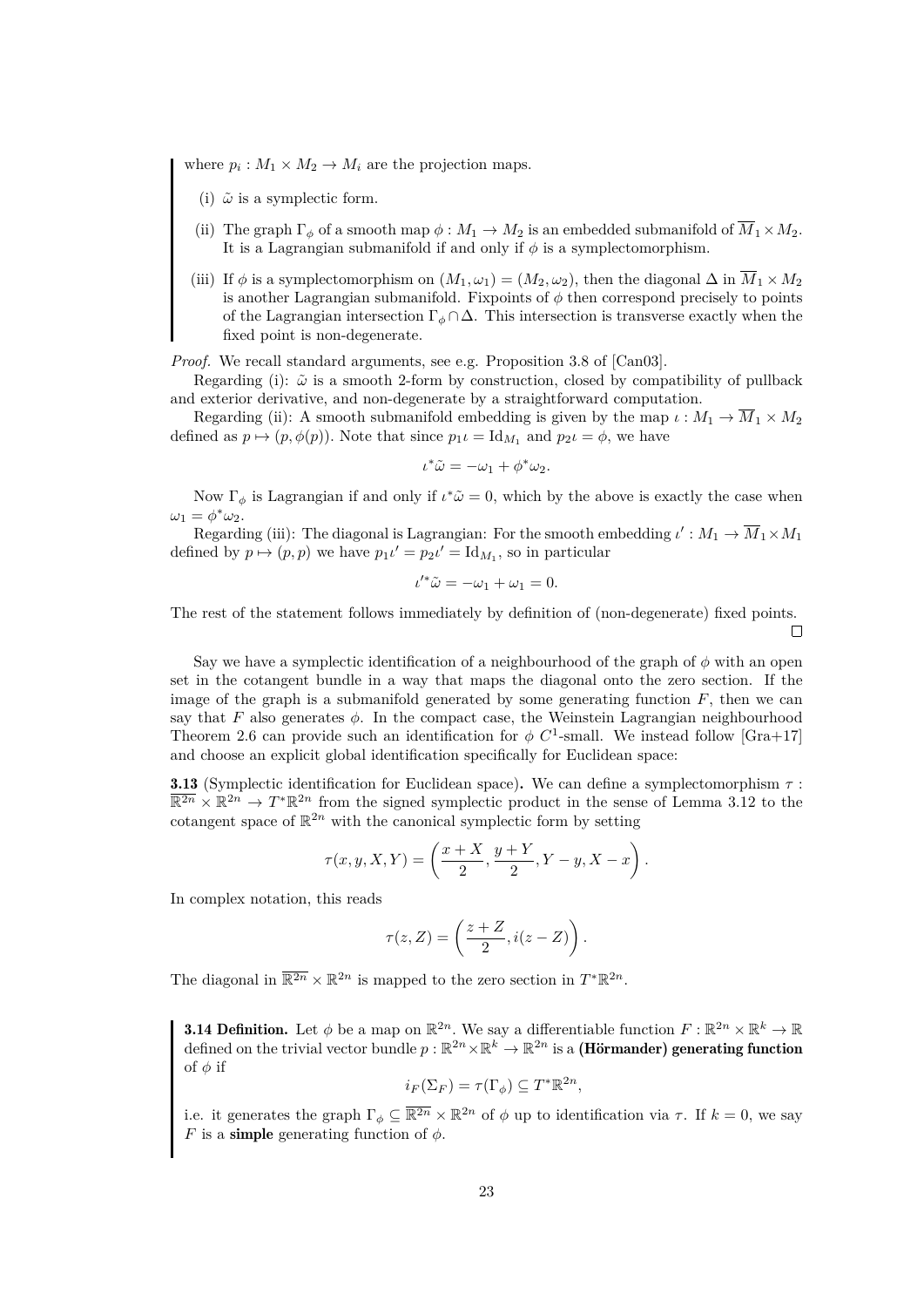where  $p_i: M_1 \times M_2 \to M_i$  are the projection maps.

- (i)  $\tilde{\omega}$  is a symplectic form.
- (ii) The graph  $\Gamma_{\phi}$  of a smooth map  $\phi : M_1 \to M_2$  is an embedded submanifold of  $M_1 \times M_2$ . It is a Lagrangian submanifold if and only if  $\phi$  is a symplectomorphism.
- (iii) If  $\phi$  is a symplectomorphism on  $(M_1, \omega_1) = (M_2, \omega_2)$ , then the diagonal  $\Delta$  in  $\overline{M}_1 \times M_2$ is another Lagrangian submanifold. Fixpoints of  $\phi$  then correspond precisely to points of the Lagrangian intersection  $\Gamma_{\phi} \cap \Delta$ . This intersection is transverse exactly when the fixed point is non-degenerate.

*Proof.* We recall standard arguments, see e.g. Proposition 3.8 of [\[Can03\]](#page-58-16).

Regarding (i):  $\tilde{\omega}$  is a smooth 2-form by construction, closed by compatibility of pullback and exterior derivative, and non-degenerate by a straightforward computation.

Regarding (ii): A smooth submanifold embedding is given by the map  $\iota : M_1 \to \overline{M}_1 \times M_2$ defined as  $p \mapsto (p, \phi(p))$ . Note that since  $p_1 \iota = \mathrm{Id}_{M_1}$  and  $p_2 \iota = \phi$ , we have

$$
\iota^*\tilde{\omega} = -\omega_1 + \phi^*\omega_2.
$$

Now  $\Gamma_{\phi}$  is Lagrangian if and only if  $\iota^*\tilde{\omega}=0$ , which by the above is exactly the case when  $\omega_1 = \phi^* \omega_2.$ 

Regarding (iii): The diagonal is Lagrangian: For the smooth embedding  $\iota': M_1 \to \overline{M}_1 \times M_1$ defined by  $p \mapsto (p, p)$  we have  $p_1 \iota' = p_2 \iota' = \mathrm{Id}_{M_1}$ , so in particular

$$
\iota'^*\tilde{\omega} = -\omega_1 + \omega_1 = 0.
$$

The rest of the statement follows immediately by definition of (non-degenerate) fixed points.  $\Box$ 

Say we have a symplectic identification of a neighbourhood of the graph of  $\phi$  with an open set in the cotangent bundle in a way that maps the diagonal onto the zero section. If the image of the graph is a submanifold generated by some generating function  $F$ , then we can say that F also generates  $\phi$ . In the compact case, the Weinstein Lagrangian neighbourhood Theorem [2.6](#page-9-1) can provide such an identification for  $\phi$  C<sup>1</sup>-small. We instead follow [\[Gra+17\]](#page-59-0) and choose an explicit global identification specifically for Euclidean space:

<span id="page-26-0"></span>**3.13** (Symplectic identification for Euclidean space). We can define a symplectomorphism  $\tau$ :  $\overline{\mathbb{R}^{2n}} \times \mathbb{R}^{2n} \to T^*\mathbb{R}^{2n}$  from the signed symplectic product in the sense of Lemma [3.12](#page-25-1) to the cotangent space of  $\mathbb{R}^{2n}$  with the canonical symplectic form by setting

$$
\tau(x, y, X, Y) = \left(\frac{x + X}{2}, \frac{y + Y}{2}, Y - y, X - x\right).
$$

In complex notation, this reads

$$
\tau(z,Z) = \left(\frac{z+Z}{2}, i(z-Z)\right).
$$

The diagonal in  $\overline{\mathbb{R}^{2n}} \times \mathbb{R}^{2n}$  is mapped to the zero section in  $T^*\mathbb{R}^{2n}$ .

**3.14 Definition.** Let  $\phi$  be a map on  $\mathbb{R}^{2n}$ . We say a differentiable function  $F: \mathbb{R}^{2n} \times \mathbb{R}^k \to \mathbb{R}$ defined on the trivial vector bundle  $p: \mathbb{R}^{2n} \times \mathbb{R}^k \to \mathbb{R}^{2n}$  is a (Hörmander) generating function of  $\phi$  if

$$
i_F(\Sigma_F) = \tau(\Gamma_\phi) \subseteq T^* \mathbb{R}^{2n},
$$

i.e. it generates the graph  $\Gamma_{\phi} \subseteq \overline{\mathbb{R}^{2n}} \times \mathbb{R}^{2n}$  of  $\phi$  up to identification via  $\tau$ . If  $k = 0$ , we say F is a **simple** generating function of  $\phi$ .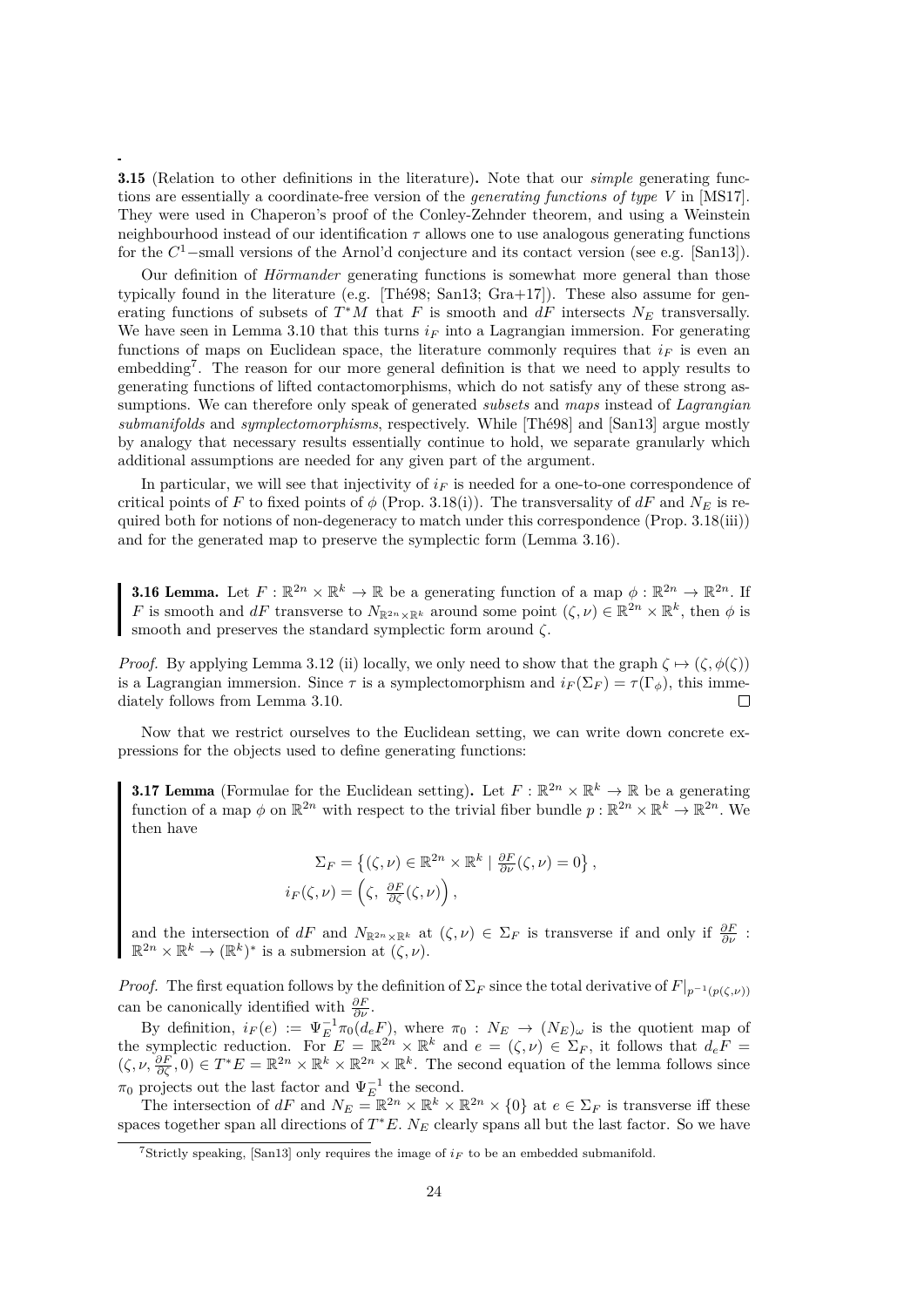<span id="page-27-3"></span>3.15 (Relation to other definitions in the literature). Note that our *simple* generating functions are essentially a coordinate-free version of the *generating functions of type V* in [\[MS17\]](#page-59-3). They were used in Chaperon's proof of the Conley-Zehnder theorem, and using a Weinstein neighbourhood instead of our identification  $\tau$  allows one to use analogous generating functions for the  $C<sup>1</sup>$ -small versions of the Arnol'd conjecture and its contact version (see e.g. [\[San13\]](#page-60-1)).

Our definition of *Hörmander* generating functions is somewhat more general than those typically found in the literature (e.g. [\[Thé98;](#page-60-3) [San13;](#page-60-1) [Gra+17\]](#page-59-0)). These also assume for generating functions of subsets of  $T^*M$  that F is smooth and dF intersects  $N_E$  transversally. We have seen in Lemma [3.10](#page-24-1) that this turns  $i_F$  into a Lagrangian immersion. For generating functions of maps on Euclidean space, the literature commonly requires that  $i_F$  is even an embedding[7](#page-27-1) . The reason for our more general definition is that we need to apply results to generating functions of lifted contactomorphisms, which do not satisfy any of these strong assumptions. We can therefore only speak of generated *subsets* and *maps* instead of *Lagrangian submanifolds* and *symplectomorphisms*, respectively. While [\[Thé98\]](#page-60-3) and [\[San13\]](#page-60-1) argue mostly by analogy that necessary results essentially continue to hold, we separate granularly which additional assumptions are needed for any given part of the argument.

In particular, we will see that injectivity of  $i_F$  is needed for a one-to-one correspondence of critical points of F to fixed points of  $\phi$  (Prop. [3.18\(](#page-28-0)i)). The transversality of dF and  $N_E$  is required both for notions of non-degeneracy to match under this correspondence (Prop. [3.18\(](#page-28-0)iii)) and for the generated map to preserve the symplectic form (Lemma [3.16\)](#page-27-2).

<span id="page-27-2"></span>**3.16 Lemma.** Let  $F: \mathbb{R}^{2n} \times \mathbb{R}^k \to \mathbb{R}$  be a generating function of a map  $\phi: \mathbb{R}^{2n} \to \mathbb{R}^{2n}$ . If F is smooth and dF transverse to  $N_{\mathbb{R}^{2n}\times\mathbb{R}^k}$  around some point  $(\zeta,\nu)\in\mathbb{R}^{2n}\times\mathbb{R}^k$ , then  $\phi$  is smooth and preserves the standard symplectic form around  $\zeta$ .

*Proof.* By applying Lemma [3.12](#page-25-1) (ii) locally, we only need to show that the graph  $\zeta \mapsto (\zeta, \phi(\zeta))$ is a Lagrangian immersion. Since  $\tau$  is a symplectomorphism and  $i_F(\Sigma_F) = \tau(\Gamma_{\phi})$ , this immediately follows from Lemma [3.10.](#page-24-1)  $\Box$ 

Now that we restrict ourselves to the Euclidean setting, we can write down concrete expressions for the objects used to define generating functions:

<span id="page-27-0"></span>**3.17 Lemma** (Formulae for the Euclidean setting). Let  $F : \mathbb{R}^{2n} \times \mathbb{R}^k \to \mathbb{R}$  be a generating function of a map  $\phi$  on  $\mathbb{R}^{2n}$  with respect to the trivial fiber bundle  $p : \mathbb{R}^{2n} \times \mathbb{R}^k \to \mathbb{R}^{2n}$ . We then have

$$
\Sigma_F = \{ (\zeta, \nu) \in \mathbb{R}^{2n} \times \mathbb{R}^k \mid \frac{\partial F}{\partial \nu}(\zeta, \nu) = 0 \},
$$
  

$$
i_F(\zeta, \nu) = \left( \zeta, \frac{\partial F}{\partial \zeta}(\zeta, \nu) \right),
$$

and the intersection of  $dF$  and  $N_{\mathbb{R}^{2n}\times\mathbb{R}^k}$  at  $(\zeta,\nu)\in\Sigma_F$  is transverse if and only if  $\frac{\partial F}{\partial\nu}$ :  $\mathbb{R}^{2n} \times \mathbb{R}^k \to (\mathbb{R}^k)^*$  is a submersion at  $(\zeta, \nu)$ .

*Proof.* The first equation follows by the definition of  $\Sigma_F$  since the total derivative of  $F|_{p^{-1}(p(\zeta,\nu))}$ can be canonically identified with  $\frac{\partial F}{\partial \nu}$ .

By definition,  $i_F(e) := \Psi_E^{-1} \pi_0(d_e F)$ , where  $\pi_0 : N_E \to (N_E)_{\omega}$  is the quotient map of the symplectic reduction. For  $E = \mathbb{R}^{2n} \times \mathbb{R}^k$  and  $e = (\zeta, \nu) \in \Sigma_F$ , it follows that  $d_e F =$  $(\zeta, \nu, \frac{\partial F}{\partial \zeta}, 0) \in T^*E = \mathbb{R}^{2n} \times \mathbb{R}^k \times \mathbb{R}^{2n} \times \mathbb{R}^k$ . The second equation of the lemma follows since  $\pi_0$  projects out the last factor and  $\Psi_E^{-1}$  the second.

The intersection of dF and  $N_E = \mathbb{R}^{2n} \times \mathbb{R}^k \times \mathbb{R}^{2n} \times \{0\}$  at  $e \in \Sigma_F$  is transverse iff these spaces together span all directions of  $T^*E$ . N<sub>E</sub> clearly spans all but the last factor. So we have

<span id="page-27-1"></span><sup>&</sup>lt;sup>7</sup>Strictly speaking, [\[San13\]](#page-60-1) only requires the image of  $i_F$  to be an embedded submanifold.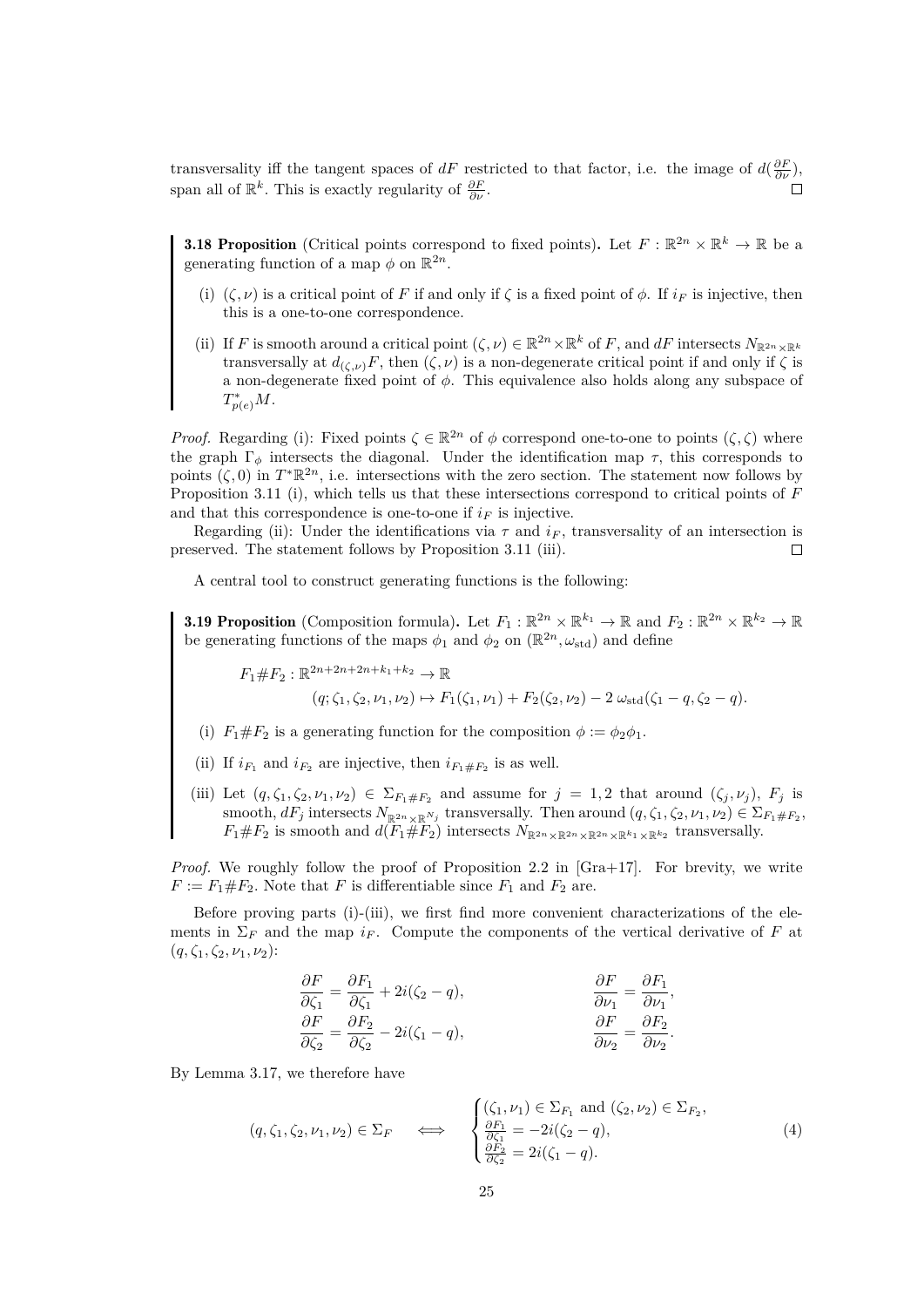transversality iff the tangent spaces of dF restricted to that factor, i.e. the image of  $d(\frac{\partial F}{\partial \nu})$ , span all of  $\mathbb{R}^k$ . This is exactly regularity of  $\frac{\partial F}{\partial \nu}$ .

<span id="page-28-0"></span>**3.18 Proposition** (Critical points correspond to fixed points). Let  $F : \mathbb{R}^{2n} \times \mathbb{R}^k \to \mathbb{R}$  be a generating function of a map  $\phi$  on  $\mathbb{R}^{2n}$ .

- (i)  $(\zeta, \nu)$  is a critical point of F if and only if  $\zeta$  is a fixed point of  $\phi$ . If  $i_F$  is injective, then this is a one-to-one correspondence.
- (ii) If F is smooth around a critical point  $(\zeta, \nu) \in \mathbb{R}^{2n} \times \mathbb{R}^k$  of F, and  $dF$  intersects  $N_{\mathbb{R}^{2n} \times \mathbb{R}^k}$ transversally at  $d_{(\zeta,\nu)}F$ , then  $(\zeta,\nu)$  is a non-degenerate critical point if and only if  $\zeta$  is a non-degenerate fixed point of  $\phi$ . This equivalence also holds along any subspace of T ∗  $p_{(e)}^*M$ .

*Proof.* Regarding (i): Fixed points  $\zeta \in \mathbb{R}^{2n}$  of  $\phi$  correspond one-to-one to points  $(\zeta, \zeta)$  where the graph  $\Gamma_{\phi}$  intersects the diagonal. Under the identification map  $\tau$ , this corresponds to points  $(\zeta, 0)$  in  $T^*\mathbb{R}^{2n}$ , i.e. intersections with the zero section. The statement now follows by Proposition [3.11](#page-24-2) (i), which tells us that these intersections correspond to critical points of F and that this correspondence is one-to-one if  $i_F$  is injective.

Regarding (ii): Under the identifications via  $\tau$  and  $i_F$ , transversality of an intersection is preserved. The statement follows by Proposition [3.11](#page-24-2) (iii).  $\Box$ 

A central tool to construct generating functions is the following:

<span id="page-28-2"></span>**3.19 Proposition** (Composition formula). Let  $F_1 : \mathbb{R}^{2n} \times \mathbb{R}^{k_1} \to \mathbb{R}$  and  $F_2 : \mathbb{R}^{2n} \times \mathbb{R}^{k_2} \to \mathbb{R}$ be generating functions of the maps  $\phi_1$  and  $\phi_2$  on  $(\mathbb{R}^{2n}, \omega_{\text{std}})$  and define

 $F_1 \# F_2 : \mathbb{R}^{2n+2n+2n+k_1+k_2} \to \mathbb{R}$  $(q; \zeta_1, \zeta_2, \nu_1, \nu_2) \mapsto F_1(\zeta_1, \nu_1) + F_2(\zeta_2, \nu_2) - 2 \omega_{\text{std}}(\zeta_1 - q, \zeta_2 - q).$ 

- (i)  $F_1 \# F_2$  is a generating function for the composition  $\phi := \phi_2 \phi_1$ .
- (ii) If  $i_{F_1}$  and  $i_{F_2}$  are injective, then  $i_{F_1 \# F_2}$  is as well.
- (iii) Let  $(q,\zeta_1,\zeta_2,\nu_1,\nu_2) \in \Sigma_{F_1\#F_2}$  and assume for  $j=1,2$  that around  $(\zeta_j,\nu_j)$ ,  $F_j$  is smooth,  $dF_j$  intersects  $N_{\mathbb{R}^{2n}\times\mathbb{R}^{N_j}}$  transversally. Then around  $(q, \zeta_1, \zeta_2, \nu_1, \nu_2) \in \Sigma_{F_1\#F_2}$ ,  $F_1 \# F_2$  is smooth and  $d(F_1 \# F_2)$  intersects  $N_{\mathbb{R}^{2n} \times \mathbb{R}^{2n} \times \mathbb{R}^{k_1} \times \mathbb{R}^{k_2}}$  transversally.

*Proof.* We roughly follow the proof of Proposition 2.2 in [\[Gra+17\]](#page-59-0). For brevity, we write  $F := F_1 \# F_2$ . Note that F is differentiable since  $F_1$  and  $F_2$  are.

Before proving parts (i)-(iii), we first find more convenient characterizations of the elements in  $\Sigma_F$  and the map  $i_F$ . Compute the components of the vertical derivative of F at  $(q, \zeta_1, \zeta_2, \nu_1, \nu_2)$ :

$$
\begin{aligned}\n\frac{\partial F}{\partial \zeta_1} &= \frac{\partial F_1}{\partial \zeta_1} + 2i(\zeta_2 - q), & \frac{\partial F}{\partial \nu_1} &= \frac{\partial F_1}{\partial \nu_1}, \\
\frac{\partial F}{\partial \zeta_2} &= \frac{\partial F_2}{\partial \zeta_2} - 2i(\zeta_1 - q), & \frac{\partial F}{\partial \nu_2} &= \frac{\partial F_2}{\partial \nu_2}.\n\end{aligned}
$$

By Lemma [3.17,](#page-27-0) we therefore have

<span id="page-28-1"></span>
$$
(q, \zeta_1, \zeta_2, \nu_1, \nu_2) \in \Sigma_F \quad \Longleftrightarrow \quad \begin{cases} (\zeta_1, \nu_1) \in \Sigma_{F_1} \text{ and } (\zeta_2, \nu_2) \in \Sigma_{F_2}, \\ \frac{\partial F_1}{\partial \zeta_1} = -2i(\zeta_2 - q), \\ \frac{\partial F_2}{\partial \zeta_2} = 2i(\zeta_1 - q). \end{cases} \tag{4}
$$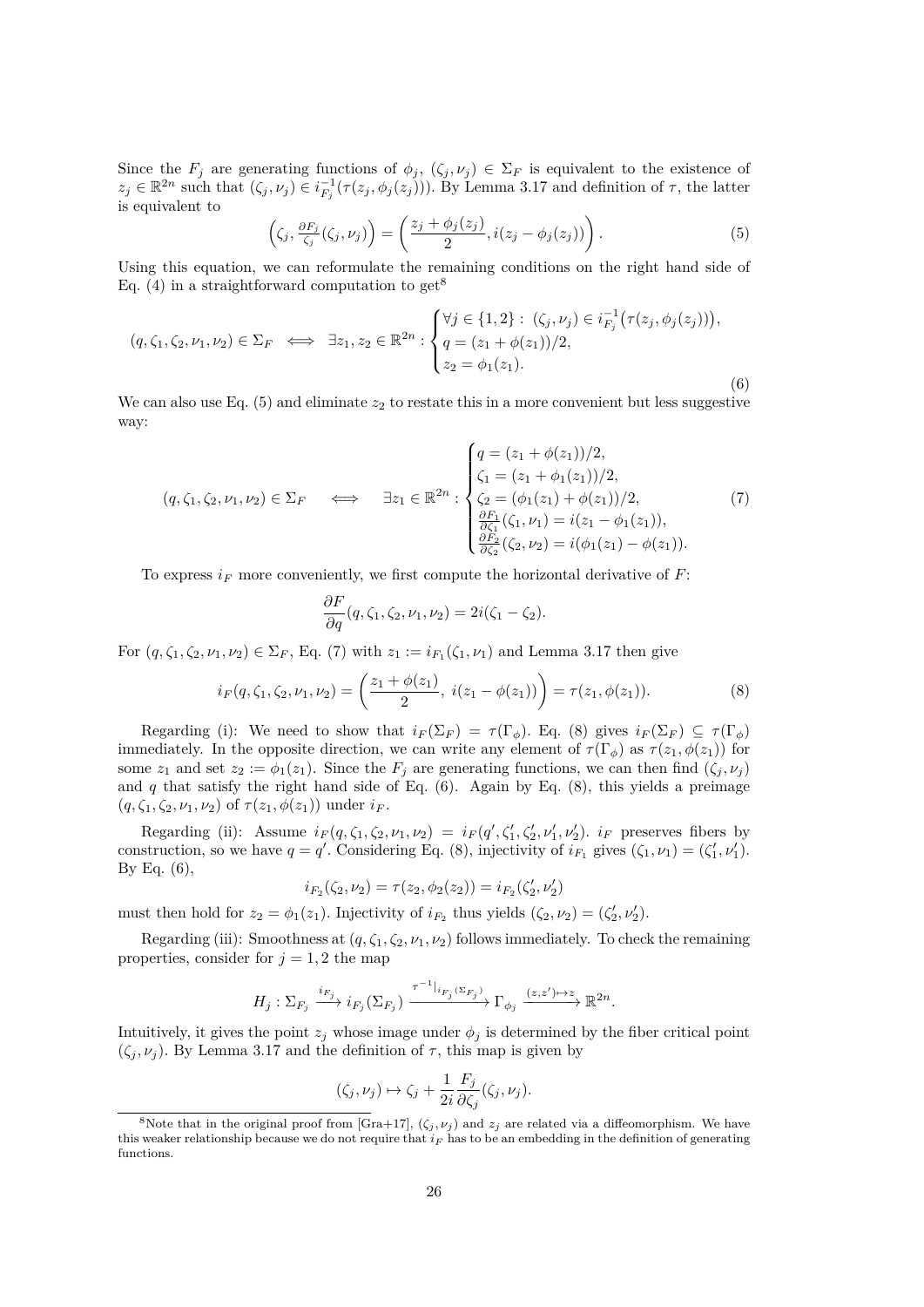Since the  $F_j$  are generating functions of  $\phi_j$ ,  $(\zeta_j, \nu_j) \in \Sigma_F$  is equivalent to the existence of  $z_j \in \mathbb{R}^{2n}$  such that  $(\zeta_j, \nu_j) \in i_{F_j}^{-1}(\tau(z_j, \phi_j(z_j)))$ . By Lemma [3.17](#page-27-0) and definition of  $\tau$ , the latter is equivalent to

<span id="page-29-1"></span>
$$
\left(\zeta_j, \frac{\partial F_j}{\zeta_j}(\zeta_j, \nu_j)\right) = \left(\frac{z_j + \phi_j(z_j)}{2}, i(z_j - \phi_j(z_j))\right). \tag{5}
$$

Using this equation, we can reformulate the remaining conditions on the right hand side of Eq. [\(4\)](#page-28-1) in a straightforward computation to get<sup>[8](#page-29-0)</sup>

<span id="page-29-4"></span>
$$
(q, \zeta_1, \zeta_2, \nu_1, \nu_2) \in \Sigma_F \iff \exists z_1, z_2 \in \mathbb{R}^{2n} : \begin{cases} \forall j \in \{1, 2\} : (\zeta_j, \nu_j) \in i_{F_j}^{-1} \big( \tau(z_j, \phi_j(z_j)) \big), \\ q = (z_1 + \phi(z_1))/2, \\ z_2 = \phi_1(z_1). \end{cases}
$$
(6)

We can also use Eq.  $(5)$  and eliminate  $z_2$  to restate this in a more convenient but less suggestive way:

<span id="page-29-2"></span>
$$
(q, \zeta_1, \zeta_2, \nu_1, \nu_2) \in \Sigma_F \quad \Longleftrightarrow \quad \exists z_1 \in \mathbb{R}^{2n} : \begin{cases} q = (z_1 + \phi(z_1))/2, \\ \zeta_1 = (z_1 + \phi_1(z_1))/2, \\ \zeta_2 = (\phi_1(z_1) + \phi(z_1))/2, \\ \frac{\partial F_1}{\partial \zeta_1}(\zeta_1, \nu_1) = i(z_1 - \phi_1(z_1)), \\ \frac{\partial F_2}{\partial \zeta_2}(\zeta_2, \nu_2) = i(\phi_1(z_1) - \phi(z_1)). \end{cases} (7)
$$

To express  $i_F$  more conveniently, we first compute the horizontal derivative of F:

$$
\frac{\partial F}{\partial q}(q,\zeta_1,\zeta_2,\nu_1,\nu_2)=2i(\zeta_1-\zeta_2).
$$

For  $(q, \zeta_1, \zeta_2, \nu_1, \nu_2) \in \Sigma_F$ , Eq. [\(7\)](#page-29-2) with  $z_1 := i_{F_1}(\zeta_1, \nu_1)$  and Lemma [3.17](#page-27-0) then give

<span id="page-29-3"></span>
$$
i_F(q, \zeta_1, \zeta_2, \nu_1, \nu_2) = \left(\frac{z_1 + \phi(z_1)}{2}, \ i(z_1 - \phi(z_1))\right) = \tau(z_1, \phi(z_1)).\tag{8}
$$

Regarding (i): We need to show that  $i_F(\Sigma_F) = \tau(\Gamma_{\phi})$ . Eq. [\(8\)](#page-29-3) gives  $i_F(\Sigma_F) \subseteq \tau(\Gamma_{\phi})$ immediately. In the opposite direction, we can write any element of  $\tau(\Gamma_{\phi})$  as  $\tau(z_1, \phi(z_1))$  for some  $z_1$  and set  $z_2 := \phi_1(z_1)$ . Since the  $F_j$  are generating functions, we can then find  $(\zeta_j, \nu_j)$ and  $q$  that satisfy the right hand side of Eq.  $(6)$ . Again by Eq.  $(8)$ , this yields a preimage  $(q, \zeta_1, \zeta_2, \nu_1, \nu_2)$  of  $\tau(z_1, \phi(z_1))$  under  $i_F$ .

Regarding (ii): Assume  $i_F(q, \zeta_1, \zeta_2, \nu_1, \nu_2) = i_F(q', \zeta_1', \zeta_2', \nu_1', \nu_2')$ .  $i_F$  preserves fibers by construction, so we have  $q = q'$ . Considering Eq. [\(8\)](#page-29-3), injectivity of  $i_{F_1}$  gives  $(\zeta_1, \nu_1) = (\zeta_1', \nu_1')$ . By Eq.  $(6)$ ,

$$
i_{F_2}(\zeta_2, \nu_2) = \tau(z_2, \phi_2(z_2)) = i_{F_2}(\zeta_2', \nu_2')
$$

must then hold for  $z_2 = \phi_1(z_1)$ . Injectivity of  $i_{F_2}$  thus yields  $(\zeta_2, \nu_2) = (\zeta_2', \nu_2')$ .

Regarding (iii): Smoothness at  $(q, \zeta_1, \zeta_2, \nu_1, \nu_2)$  follows immediately. To check the remaining properties, consider for  $j = 1, 2$  the map

$$
H_j: \Sigma_{F_j} \xrightarrow{i_{F_j}} i_{F_j}(\Sigma_{F_j}) \xrightarrow{\tau^{-1}|_{i_{F_j}(\Sigma_{F_j})}} \Gamma_{\phi_j} \xrightarrow{(z,z')\mapsto z} \mathbb{R}^{2n}.
$$

Intuitively, it gives the point  $z_j$  whose image under  $\phi_j$  is determined by the fiber critical point  $(\zeta_i, \nu_i)$ . By Lemma [3.17](#page-27-0) and the definition of  $\tau$ , this map is given by

$$
(\zeta_j,\nu_j)\mapsto \zeta_j+\frac{1}{2i}\frac{F_j}{\partial\zeta_j}(\zeta_j,\nu_j).
$$

<span id="page-29-0"></span><sup>&</sup>lt;sup>8</sup>Note that in the original proof from [\[Gra+17\]](#page-59-0),  $(\zeta_j, \nu_j)$  and  $z_j$  are related via a diffeomorphism. We have this weaker relationship because we do not require that  $i_F$  has to be an embedding in the definition of generating functions.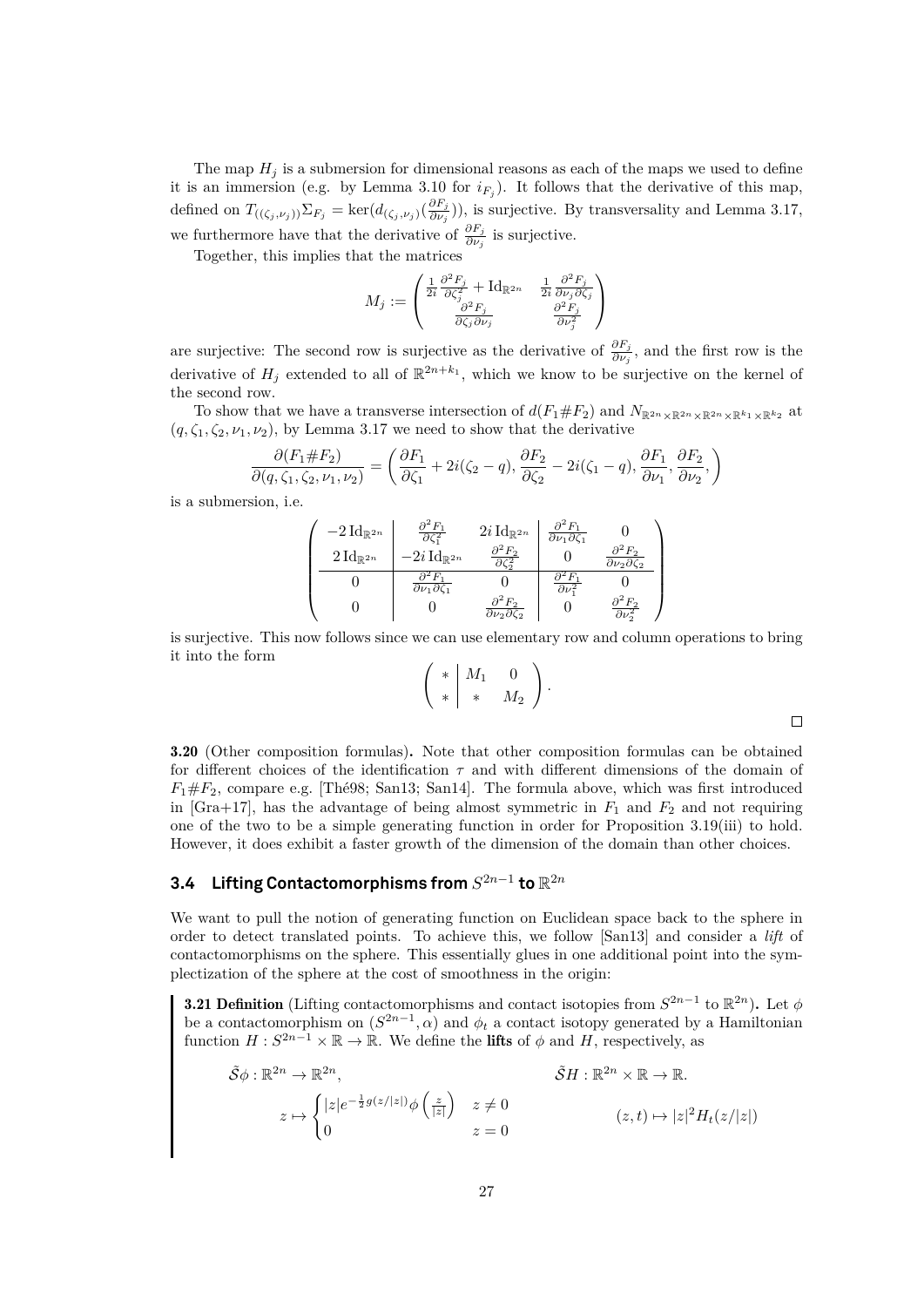The map  $H_i$  is a submersion for dimensional reasons as each of the maps we used to define it is an immersion (e.g. by Lemma [3.10](#page-24-1) for  $i_{F_j}$ ). It follows that the derivative of this map, defined on  $T_{((\zeta_j,\nu_j))}\Sigma_{F_j} = \ker(d_{(\zeta_j,\nu_j)}(\frac{\partial F_j}{\partial \nu_j}))$  $\frac{\partial P_j}{\partial \nu_j}$ ), is surjective. By transversality and Lemma [3.17,](#page-27-0) we furthermore have that the derivative of  $\frac{\partial F_j}{\partial \nu_j}$  is surjective.

Together, this implies that the matrices

$$
M_j := \begin{pmatrix} \frac{1}{2i} \frac{\partial^2 F_j}{\partial \zeta_j^2} + \mathrm{Id}_{\mathbb{R}^{2n}} & \frac{1}{2i} \frac{\partial^2 F_j}{\partial \nu_j \partial \zeta_j} \\ \frac{\partial^2 F_j}{\partial \zeta_j \partial \nu_j} & \frac{\partial^2 F_j}{\partial \nu_j^2} \end{pmatrix}
$$

are surjective: The second row is surjective as the derivative of  $\frac{\partial F_j}{\partial \nu_j}$ , and the first row is the derivative of  $H_j$  extended to all of  $\mathbb{R}^{2n+k_1}$ , which we know to be surjective on the kernel of the second row.

To show that we have a transverse intersection of  $d(F_1 \# F_2)$  and  $N_{\mathbb{R}^{2n} \times \mathbb{R}^{2n} \times \mathbb{R}^{k_1} \times \mathbb{R}^{k_2}}$  at  $(q, \zeta_1, \zeta_2, \nu_1, \nu_2)$ , by Lemma [3.17](#page-27-0) we need to show that the derivative

$$
\frac{\partial (F_1 \# F_2)}{\partial (q, \zeta_1, \zeta_2, \nu_1, \nu_2)} = \left( \frac{\partial F_1}{\partial \zeta_1} + 2i(\zeta_2 - q), \frac{\partial F_2}{\partial \zeta_2} - 2i(\zeta_1 - q), \frac{\partial F_1}{\partial \nu_1}, \frac{\partial F_2}{\partial \nu_2}, \right)
$$

is a submersion, i.e.

$$
\begin{pmatrix}\n-2 \operatorname{Id}_{\mathbb{R}^{2n}} & \frac{\partial^2 F_1}{\partial \zeta_1^2} & 2i \operatorname{Id}_{\mathbb{R}^{2n}} & \frac{\partial^2 F_1}{\partial \nu_1 \partial \zeta_1} & 0 \\
2 \operatorname{Id}_{\mathbb{R}^{2n}} & -2i \operatorname{Id}_{\mathbb{R}^{2n}} & \frac{\partial^2 F_2}{\partial \zeta_2^2} & 0 & \frac{\partial^2 F_2}{\partial \nu_2 \partial \zeta_2} \\
0 & \frac{\partial^2 F_1}{\partial \nu_1 \partial \zeta_1} & 0 & \frac{\partial^2 F_1}{\partial \nu_2^2} & 0 \\
0 & 0 & \frac{\partial^2 F_2}{\partial \nu_2 \partial \zeta_2} & 0 & \frac{\partial^2 F_2}{\partial \nu_2^2}\n\end{pmatrix}
$$

is surjective. This now follows since we can use elementary row and column operations to bring it into the form

$$
\left(\begin{array}{c|cc} * & M_1 & 0 \\ * & * & M_2 \end{array}\right).
$$

3.20 (Other composition formulas). Note that other composition formulas can be obtained for different choices of the identification  $\tau$  and with different dimensions of the domain of  $F_1 \# F_2$ , compare e.g. [\[Thé98;](#page-60-3) [San13;](#page-60-1) [San14\]](#page-60-5). The formula above, which was first introduced in [\[Gra+17\]](#page-59-0), has the advantage of being almost symmetric in  $F_1$  and  $F_2$  and not requiring one of the two to be a simple generating function in order for Proposition [3.19\(](#page-28-2)iii) to hold. However, it does exhibit a faster growth of the dimension of the domain than other choices.

# <span id="page-30-0"></span>3.4 Lifting Contactomorphisms from  $S^{2n-1}$  to  $\mathbb{R}^{2n}$

We want to pull the notion of generating function on Euclidean space back to the sphere in order to detect translated points. To achieve this, we follow [\[San13\]](#page-60-1) and consider a *lift* of contactomorphisms on the sphere. This essentially glues in one additional point into the symplectization of the sphere at the cost of smoothness in the origin:

<span id="page-30-1"></span>**3.21 Definition** (Lifting contactomorphisms and contact isotopies from  $S^{2n-1}$  to  $\mathbb{R}^{2n}$ ). Let  $\phi$ be a contactomorphism on  $(S^{2n-1}, \alpha)$  and  $\phi_t$  a contact isotopy generated by a Hamiltonian function  $H: S^{2n-1} \times \mathbb{R} \to \mathbb{R}$ . We define the **lifts** of  $\phi$  and H, respectively, as

$$
\tilde{S}\phi : \mathbb{R}^{2n} \to \mathbb{R}^{2n},
$$
  
\n
$$
z \mapsto \begin{cases}\n|z|e^{-\frac{1}{2}g(z/|z|)}\phi\left(\frac{z}{|z|}\right) & z \neq 0 \\
0 & z = 0\n\end{cases}
$$
  
\n
$$
\tilde{S}H : \mathbb{R}^{2n} \times \mathbb{R} \to \mathbb{R}.
$$
  
\n
$$
(z, t) \mapsto |z|^2 H_t(z/|z|)
$$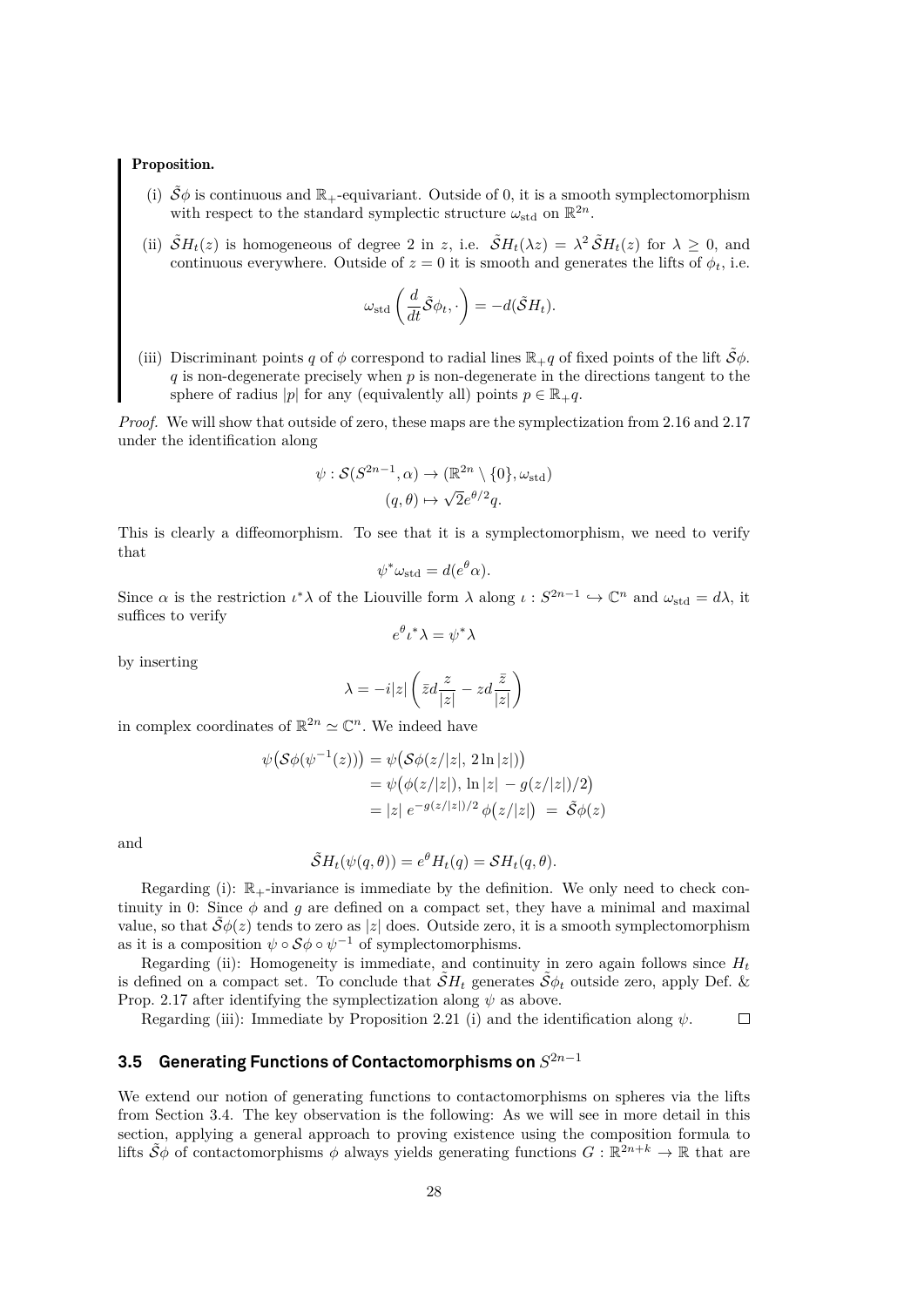#### Proposition.

- (i)  $\tilde{S}\phi$  is continuous and  $\mathbb{R}_+$ -equivariant. Outside of 0, it is a smooth symplectomorphism with respect to the standard symplectic structure  $\omega_{\text{std}}$  on  $\mathbb{R}^{2n}$ .
- (ii)  $\tilde{S}H_t(z)$  is homogeneous of degree 2 in z, i.e.  $\tilde{S}H_t(\lambda z) = \lambda^2 \tilde{S}H_t(z)$  for  $\lambda \geq 0$ , and continuous everywhere. Outside of  $z = 0$  it is smooth and generates the lifts of  $\phi_t$ , i.e.

$$
\omega_{\mathrm{std}}\left(\frac{d}{dt}\tilde{\mathcal{S}}\phi_t,\cdot\right)=-d(\tilde{\mathcal{S}}H_t).
$$

(iii) Discriminant points q of  $\phi$  correspond to radial lines  $\mathbb{R}_+$ q of fixed points of the lift  $\tilde{\mathcal{S}}\phi$ .  $q$  is non-degenerate precisely when  $p$  is non-degenerate in the directions tangent to the sphere of radius |p| for any (equivalently all) points  $p \in \mathbb{R}_+ q$ .

*Proof.* We will show that outside of zero, these maps are the symplectization from [2.16](#page-12-1) and [2.17](#page-13-3) under the identification along

$$
\psi : \mathcal{S}(S^{2n-1}, \alpha) \to (\mathbb{R}^{2n} \setminus \{0\}, \omega_{\text{std}})
$$

$$
(q, \theta) \mapsto \sqrt{2}e^{\theta/2}q.
$$

This is clearly a diffeomorphism. To see that it is a symplectomorphism, we need to verify that

$$
\psi^* \omega_{\text{std}} = d(e^{\theta} \alpha).
$$

Since  $\alpha$  is the restriction  $\iota^*\lambda$  of the Liouville form  $\lambda$  along  $\iota: S^{2n-1} \hookrightarrow \mathbb{C}^n$  and  $\omega_{\text{std}} = d\lambda$ , it suffices to verify

 $e^{\theta} \iota^* \lambda = \psi^* \lambda$ 

by inserting

$$
\lambda = -i|z| \left( \bar{z}d \frac{z}{|z|} - zd \frac{\bar{z}}{|z|} \right)
$$

in complex coordinates of  $\mathbb{R}^{2n} \simeq \mathbb{C}^n$ . We indeed have

$$
\psi(\mathcal{S}\phi(\psi^{-1}(z))) = \psi(\mathcal{S}\phi(z/|z|, 2\ln|z|)) \n= \psi(\phi(z/|z|), \ln|z| - g(z/|z|)/2) \n= |z| e^{-g(z/|z|)/2} \phi(z/|z|) = \tilde{\mathcal{S}}\phi(z)
$$

and

$$
\tilde{\mathcal{S}}H_t(\psi(q,\theta)) = e^{\theta}H_t(q) = \mathcal{S}H_t(q,\theta).
$$

Regarding (i):  $\mathbb{R}_+$ -invariance is immediate by the definition. We only need to check continuity in 0: Since  $\phi$  and  $g$  are defined on a compact set, they have a minimal and maximal value, so that  $\mathcal{S}\phi(z)$  tends to zero as |z| does. Outside zero, it is a smooth symplectomorphism as it is a composition  $\psi \circ \mathcal{S} \phi \circ \psi^{-1}$  of symplectomorphisms.

Regarding (ii): Homogeneity is immediate, and continuity in zero again follows since  $H_t$ is defined on a compact set. To conclude that  $\tilde{S}H_t$  generates  $\tilde{S}\phi_t$  outside zero, apply Def. & Prop. [2.17](#page-13-3) after identifying the symplectization along  $\psi$  as above.

Regarding (iii): Immediate by Proposition [2.21](#page-14-2) (i) and the identification along  $\psi$ .

#### $\Box$

### <span id="page-31-0"></span>**3.5 Generating Functions of Contactomorphisms on** S 2n−1

We extend our notion of generating functions to contactomorphisms on spheres via the lifts from Section [3.4.](#page-30-0) The key observation is the following: As we will see in more detail in this section, applying a general approach to proving existence using the composition formula to lifts  $\tilde{S}\phi$  of contactomorphisms  $\phi$  always yields generating functions  $G : \mathbb{R}^{2n+k} \to \mathbb{R}$  that are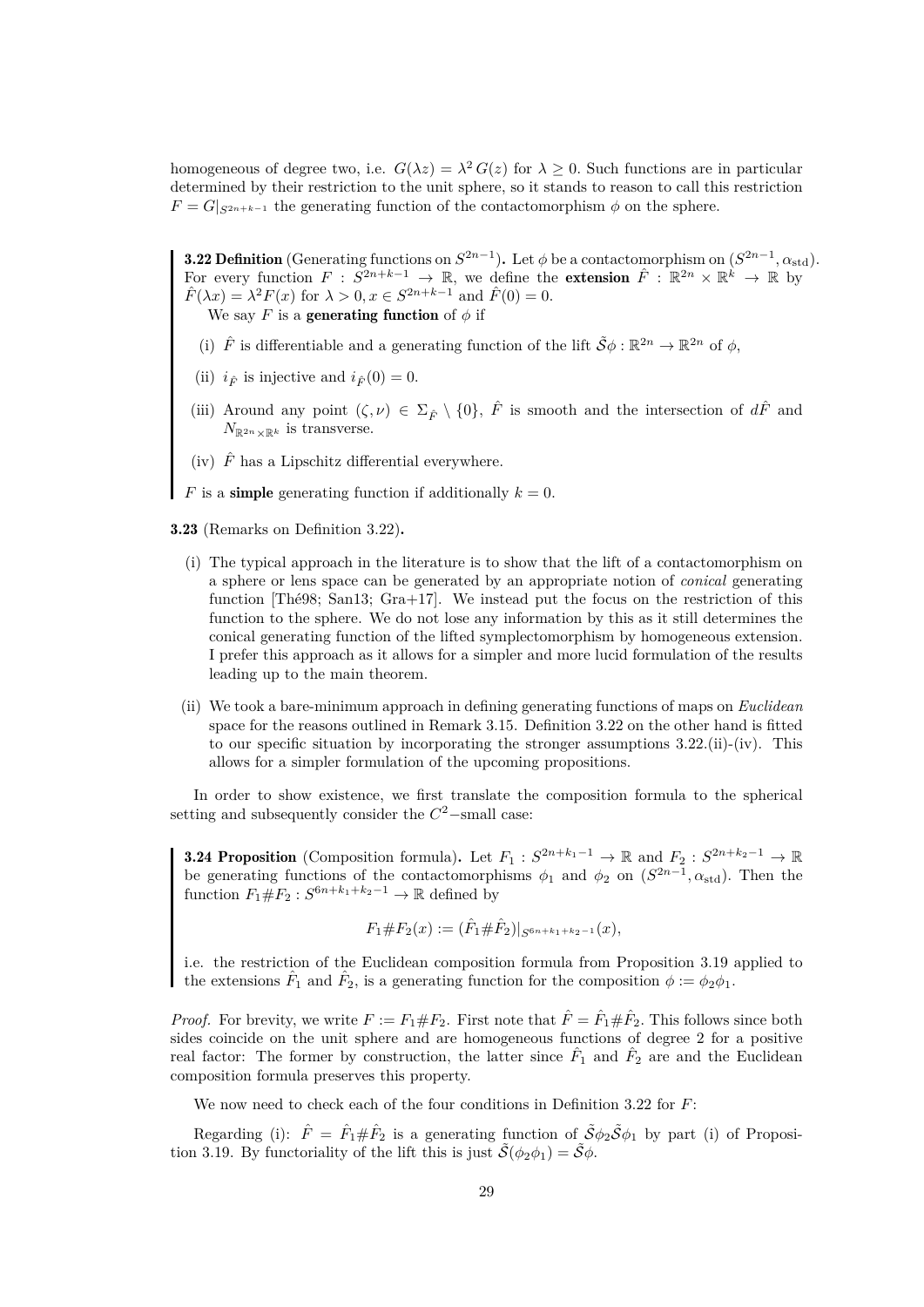homogeneous of degree two, i.e.  $G(\lambda z) = \lambda^2 G(z)$  for  $\lambda \geq 0$ . Such functions are in particular determined by their restriction to the unit sphere, so it stands to reason to call this restriction  $F = G|_{S^{2n+k-1}}$  the generating function of the contactomorphism  $\phi$  on the sphere.

<span id="page-32-0"></span>**3.22 Definition** (Generating functions on  $S^{2n-1}$ ). Let  $\phi$  be a contactomorphism on  $(S^{2n-1}, \alpha_{\text{std}})$ . For every function  $F : S^{2n+k-1} \to \mathbb{R}$ , we define the **extension**  $\hat{F} : \mathbb{R}^{2n} \times \mathbb{R}^k \to \mathbb{R}$  by  $\hat{F}(\lambda x) = \lambda^2 F(x)$  for  $\lambda > 0, x \in S^{2n+k-1}$  and  $\hat{F}(0) = 0$ . We say F is a **generating function** of  $\phi$  if

- (i)  $\hat{F}$  is differentiable and a generating function of the lift  $\tilde{S}\phi : \mathbb{R}^{2n} \to \mathbb{R}^{2n}$  of  $\phi$ ,
- (ii)  $i_{\hat{F}}$  is injective and  $i_{\hat{F}}(0) = 0$ .
- (iii) Around any point  $(\zeta, \nu) \in \Sigma_{\hat{F}} \setminus \{0\}$ ,  $\hat{F}$  is smooth and the intersection of  $d\hat{F}$  and  $N_{\mathbb{R}^{2n}\times\mathbb{R}^k}$  is transverse.
- (iv)  $\hat{F}$  has a Lipschitz differential everywhere.
- F is a **simple** generating function if additionally  $k = 0$ .
- 3.23 (Remarks on Definition [3.22\)](#page-32-0).
	- (i) The typical approach in the literature is to show that the lift of a contactomorphism on a sphere or lens space can be generated by an appropriate notion of *conical* generating function [\[Thé98;](#page-60-3) [San13;](#page-60-1) [Gra+17\]](#page-59-0). We instead put the focus on the restriction of this function to the sphere. We do not lose any information by this as it still determines the conical generating function of the lifted symplectomorphism by homogeneous extension. I prefer this approach as it allows for a simpler and more lucid formulation of the results leading up to the main theorem.
	- (ii) We took a bare-minimum approach in defining generating functions of maps on *Euclidean* space for the reasons outlined in Remark [3.15.](#page-27-3) Definition [3.22](#page-32-0) on the other hand is fitted to our specific situation by incorporating the stronger assumptions [3.22.](#page-32-0)(ii)-(iv). This allows for a simpler formulation of the upcoming propositions.

In order to show existence, we first translate the composition formula to the spherical setting and subsequently consider the  $C^2$ -small case:

<span id="page-32-1"></span>**3.24 Proposition** (Composition formula). Let  $F_1: S^{2n+k_1-1} \to \mathbb{R}$  and  $F_2: S^{2n+k_2-1} \to \mathbb{R}$ be generating functions of the contactomorphisms  $\phi_1$  and  $\phi_2$  on  $(S^{2n-1}, \alpha_{std})$ . Then the function  $F_1 \# F_2 : S^{6n+k_1+k_2-1} \to \mathbb{R}$  defined by

$$
F_1 \# F_2(x) := (\hat{F}_1 \# \hat{F}_2)|_{S^{6n+k_1+k_2-1}}(x),
$$

i.e. the restriction of the Euclidean composition formula from Proposition [3.19](#page-28-2) applied to the extensions  $\hat{F}_1$  and  $\hat{F}_2$ , is a generating function for the composition  $\phi := \phi_2 \phi_1$ .

*Proof.* For brevity, we write  $F := F_1 \# F_2$ . First note that  $\hat{F} = \hat{F}_1 \# \hat{F}_2$ . This follows since both sides coincide on the unit sphere and are homogeneous functions of degree 2 for a positive real factor: The former by construction, the latter since  $\hat{F}_1$  and  $\hat{F}_2$  are and the Euclidean composition formula preserves this property.

We now need to check each of the four conditions in Definition [3.22](#page-32-0) for  $F$ :

Regarding (i):  $\hat{F} = \hat{F}_1 \# \hat{F}_2$  is a generating function of  $\tilde{S} \phi_2 \tilde{S} \phi_1$  by part (i) of Proposi-tion [3.19.](#page-28-2) By functoriality of the lift this is just  $\tilde{\mathcal{S}}(\phi_2 \phi_1) = \tilde{\mathcal{S}} \phi$ .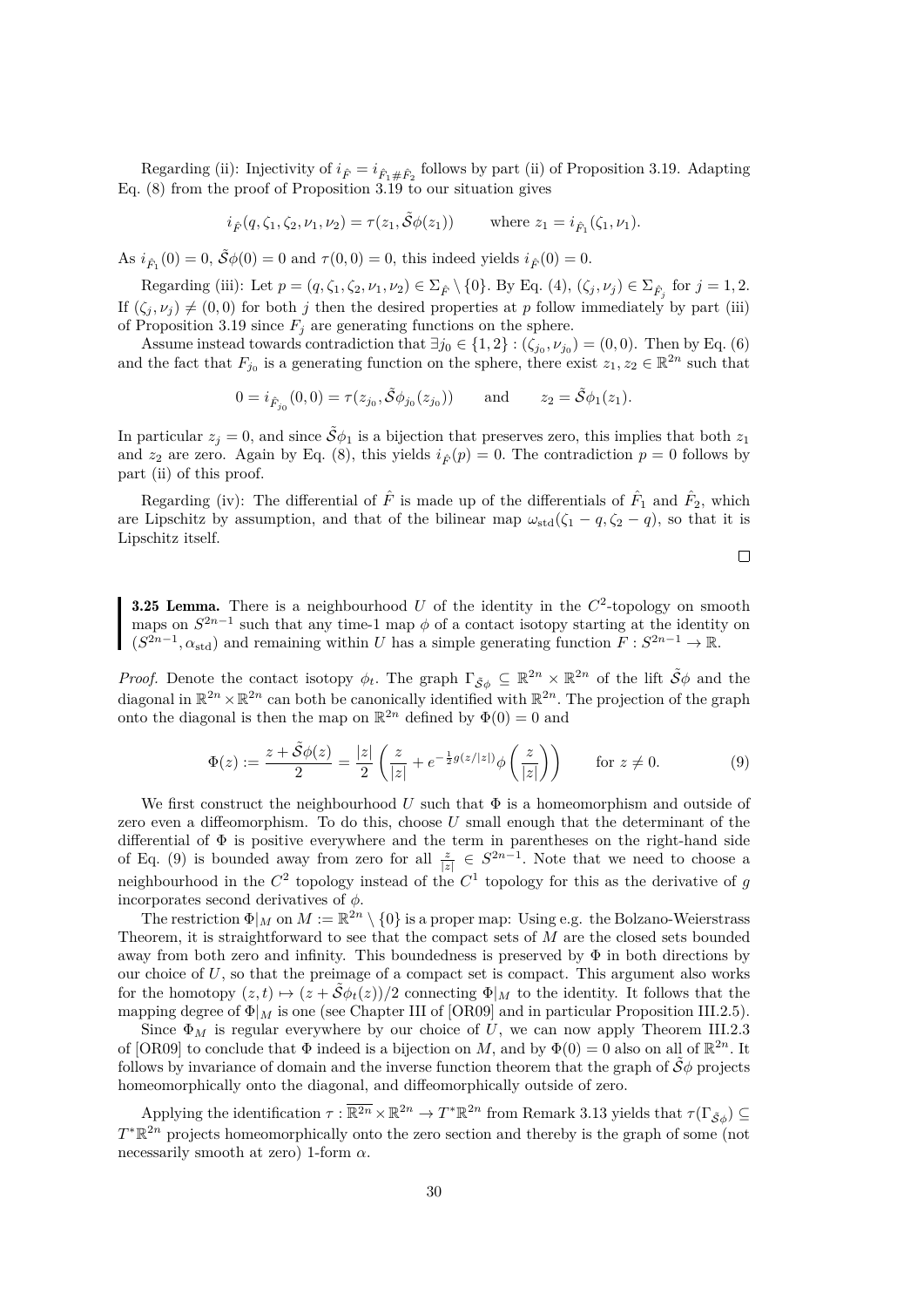Regarding (ii): Injectivity of  $i_{\hat{F}} = i_{\hat{F}_1 \# \hat{F}_2}$  follows by part (ii) of Proposition [3.19.](#page-28-2) Adapting Eq. [\(8\)](#page-29-3) from the proof of Proposition [3.19](#page-28-2) to our situation gives

$$
i_{\hat{F}}(q, \zeta_1, \zeta_2, \nu_1, \nu_2) = \tau(z_1, \tilde{\mathcal{S}}\phi(z_1))
$$
 where  $z_1 = i_{\hat{F}_1}(\zeta_1, \nu_1)$ .

As  $i_{\hat{F}_1}(0) = 0$ ,  $\tilde{S}\phi(0) = 0$  and  $\tau(0,0) = 0$ , this indeed yields  $i_{\hat{F}}(0) = 0$ .

Regarding (iii): Let  $p = (q, \zeta_1, \zeta_2, \nu_1, \nu_2) \in \Sigma_{\hat{F}} \setminus \{0\}$ . By Eq.  $(4), (\zeta_j, \nu_j) \in \Sigma_{\hat{F}_j}$  for  $j = 1, 2$ . If  $(\zeta_i, \nu_i) \neq (0, 0)$  for both j then the desired properties at p follow immediately by part (iii) of Proposition [3.19](#page-28-2) since  $F_j$  are generating functions on the sphere.

Assume instead towards contradiction that  $\exists j_0 \in \{1,2\} : (\zeta_{j_0}, \nu_{j_0}) = (0,0)$ . Then by Eq. [\(6\)](#page-29-4) and the fact that  $F_{j_0}$  is a generating function on the sphere, there exist  $z_1, z_2 \in \mathbb{R}^{2n}$  such that

$$
0 = i_{\hat{F}_{j_0}}(0,0) = \tau(z_{j_0}, \tilde{S}\phi_{j_0}(z_{j_0})) \quad \text{and} \quad z_2 = \tilde{S}\phi_1(z_1).
$$

In particular  $z_i = 0$ , and since  $\tilde{\mathcal{S}}\phi_1$  is a bijection that preserves zero, this implies that both  $z_1$ and  $z_2$  are zero. Again by Eq. [\(8\)](#page-29-3), this yields  $i_{\hat{F}}(p) = 0$ . The contradiction  $p = 0$  follows by part (ii) of this proof.

Regarding (iv): The differential of  $\hat{F}$  is made up of the differentials of  $\hat{F}_1$  and  $\hat{F}_2$ , which are Lipschitz by assumption, and that of the bilinear map  $\omega_{std}(\zeta_1 - q, \zeta_2 - q)$ , so that it is Lipschitz itself.

$$
\Box
$$

<span id="page-33-1"></span>**3.25 Lemma.** There is a neighbourhood U of the identity in the  $C^2$ -topology on smooth maps on  $S^{2n-1}$  such that any time-1 map  $\phi$  of a contact isotopy starting at the identity on  $(S^{2n-1}, \alpha_{\text{std}})$  and remaining within U has a simple generating function  $F: S^{2n-1} \to \mathbb{R}$ .

*Proof.* Denote the contact isotopy  $\phi_t$ . The graph  $\Gamma_{\tilde{S}\phi} \subseteq \mathbb{R}^{2n} \times \mathbb{R}^{2n}$  of the lift  $\tilde{S}\phi$  and the diagonal in  $\mathbb{R}^{2n} \times \mathbb{R}^{2n}$  can both be canonically identified with  $\mathbb{R}^{2n}$ . The projection of the graph onto the diagonal is then the map on  $\mathbb{R}^{2n}$  defined by  $\Phi(0) = 0$  and

<span id="page-33-0"></span>
$$
\Phi(z) := \frac{z + \tilde{S}\phi(z)}{2} = \frac{|z|}{2} \left( \frac{z}{|z|} + e^{-\frac{1}{2}g(z/|z|)} \phi\left(\frac{z}{|z|}\right) \right) \quad \text{for } z \neq 0.
$$
 (9)

We first construct the neighbourhood U such that  $\Phi$  is a homeomorphism and outside of zero even a diffeomorphism. To do this, choose  $U$  small enough that the determinant of the differential of  $\Phi$  is positive everywhere and the term in parentheses on the right-hand side of Eq. [\(9\)](#page-33-0) is bounded away from zero for all  $\frac{z}{|z|} \in S^{2n-1}$ . Note that we need to choose a neighbourhood in the  $C^2$  topology instead of the  $C^1$  topology for this as the derivative of g incorporates second derivatives of  $\phi$ .

The restriction  $\Phi|_M$  on  $M := \mathbb{R}^{2n} \setminus \{0\}$  is a proper map: Using e.g. the Bolzano-Weierstrass Theorem, it is straightforward to see that the compact sets of  $M$  are the closed sets bounded away from both zero and infinity. This boundedness is preserved by  $\Phi$  in both directions by our choice of  $U$ , so that the preimage of a compact set is compact. This argument also works for the homotopy  $(z, t) \mapsto (z + \tilde{\mathcal{S}} \phi_t(z))/2$  connecting  $\Phi|_M$  to the identity. It follows that the mapping degree of  $\Phi|_M$  is one (see Chapter III of [\[OR09\]](#page-60-13) and in particular Proposition III.2.5).

Since  $\Phi_M$  is regular everywhere by our choice of U, we can now apply Theorem III.2.3 of [\[OR09\]](#page-60-13) to conclude that  $\Phi$  indeed is a bijection on M, and by  $\Phi(0) = 0$  also on all of  $\mathbb{R}^{2n}$ . It follows by invariance of domain and the inverse function theorem that the graph of  $\tilde{S}\phi$  projects homeomorphically onto the diagonal, and diffeomorphically outside of zero.

Applying the identification  $\tau : \overline{\mathbb{R}^{2n}} \times \mathbb{R}^{2n} \to T^*\mathbb{R}^{2n}$  from Remark [3.13](#page-26-0) yields that  $\tau(\Gamma_{\tilde{\mathcal{S}}\phi}) \subseteq$  $T^*\mathbb{R}^{2n}$  projects homeomorphically onto the zero section and thereby is the graph of some (not necessarily smooth at zero) 1-form  $\alpha$ .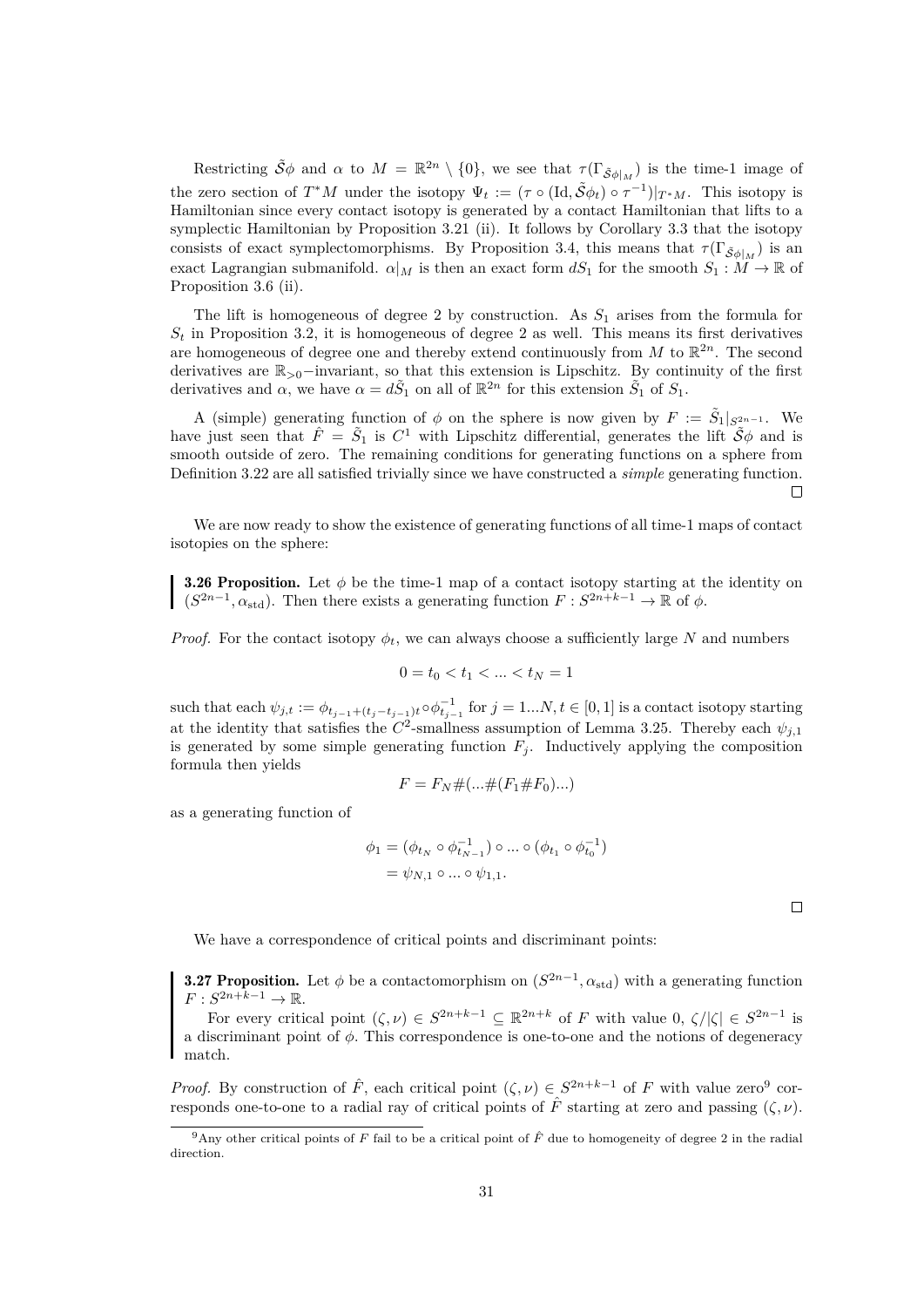Restricting  $\tilde{S}\phi$  and  $\alpha$  to  $M = \mathbb{R}^{2n} \setminus \{0\}$ , we see that  $\tau(\Gamma_{\tilde{S}\phi|_M})$  is the time-1 image of the zero section of  $T^*M$  under the isotopy  $\Psi_t := (\tau \circ (\mathrm{Id}, \tilde{\mathcal{S}}_{\phi_t}) \circ \tau^{-1})|_{T^*M}$ . This isotopy is Hamiltonian since every contact isotopy is generated by a contact Hamiltonian that lifts to a symplectic Hamiltonian by Proposition [3.21](#page-30-1) (ii). It follows by Corollary [3.3](#page-22-5) that the isotopy consists of exact symplectomorphisms. By Proposition [3.4,](#page-22-2) this means that  $\tau(\Gamma_{\tilde{\mathcal{S}}\phi|_M})$  is an exact Lagrangian submanifold.  $\alpha|_M$  is then an exact form  $dS_1$  for the smooth  $S_1 : M \to \mathbb{R}$  of Proposition [3.6](#page-23-0) (ii).

The lift is homogeneous of degree 2 by construction. As  $S_1$  arises from the formula for  $S_t$  in Proposition [3.2,](#page-21-0) it is homogeneous of degree 2 as well. This means its first derivatives are homogeneous of degree one and thereby extend continuously from M to  $\mathbb{R}^{2n}$ . The second derivatives are R>0−invariant, so that this extension is Lipschitz. By continuity of the first derivatives and  $\alpha$ , we have  $\alpha = d\tilde{S}_1$  on all of  $\mathbb{R}^{2n}$  for this extension  $\tilde{S}_1$  of  $S_1$ .

A (simple) generating function of  $\phi$  on the sphere is now given by  $F := \tilde{S}_1|_{S^{2n-1}}$ . We have just seen that  $\hat{F} = \tilde{S}_1$  is  $C^1$  with Lipschitz differential, generates the lift  $\tilde{\mathcal{S}}\phi$  and is smooth outside of zero. The remaining conditions for generating functions on a sphere from Definition [3.22](#page-32-0) are all satisfied trivially since we have constructed a *simple* generating function.  $\Box$ 

We are now ready to show the existence of generating functions of all time-1 maps of contact isotopies on the sphere:

<span id="page-34-2"></span>**3.26 Proposition.** Let  $\phi$  be the time-1 map of a contact isotopy starting at the identity on  $(S^{2n-1}, \alpha_{\text{std}})$ . Then there exists a generating function  $F: S^{2n+k-1} \to \mathbb{R}$  of  $\phi$ .

*Proof.* For the contact isotopy  $\phi_t$ , we can always choose a sufficiently large N and numbers

$$
0 = t_0 < t_1 < \ldots < t_N = 1
$$

such that each  $\psi_{j,t} := \phi_{t_{j-1}+(t_j-t_{j-1})t} \circ \phi_{t_{j-1}}^{-1}$  for  $j = 1...N, t \in [0,1]$  is a contact isotopy starting at the identity that satisfies the  $C^2$ -smallness assumption of Lemma [3.25.](#page-33-1) Thereby each  $\psi_{j,1}$ is generated by some simple generating function  $F_j$ . Inductively applying the composition formula then yields

$$
F = F_N \# (\dots \# (F_1 \# F_0) \dots )
$$

as a generating function of

$$
\phi_1 = (\phi_{t_N} \circ \phi_{t_{N-1}}^{-1}) \circ ... \circ (\phi_{t_1} \circ \phi_{t_0}^{-1})
$$
  
=  $\psi_{N,1} \circ ... \circ \psi_{1,1}.$ 

 $\Box$ 

We have a correspondence of critical points and discriminant points:

<span id="page-34-1"></span>**3.27 Proposition.** Let  $\phi$  be a contactomorphism on  $(S^{2n-1}, \alpha_{std})$  with a generating function  $F: S^{2n+k-1} \to \mathbb{R}.$ 

For every critical point  $(\zeta, \nu) \in S^{2n+k-1} \subseteq \mathbb{R}^{2n+k}$  of F with value  $0, \zeta/|\zeta| \in S^{2n-1}$  is a discriminant point of  $\phi$ . This correspondence is one-to-one and the notions of degeneracy match.

*Proof.* By construction of  $\hat{F}$ , each critical point  $(\zeta, \nu) \in S^{2n+k-1}$  of F with value zero<sup>[9](#page-34-0)</sup> corresponds one-to-one to a radial ray of critical points of  $\hat{F}$  starting at zero and passing  $(\zeta, \nu)$ .

<span id="page-34-0"></span><sup>&</sup>lt;sup>9</sup>Any other critical points of F fail to be a critical point of  $\hat{F}$  due to homogeneity of degree 2 in the radial direction.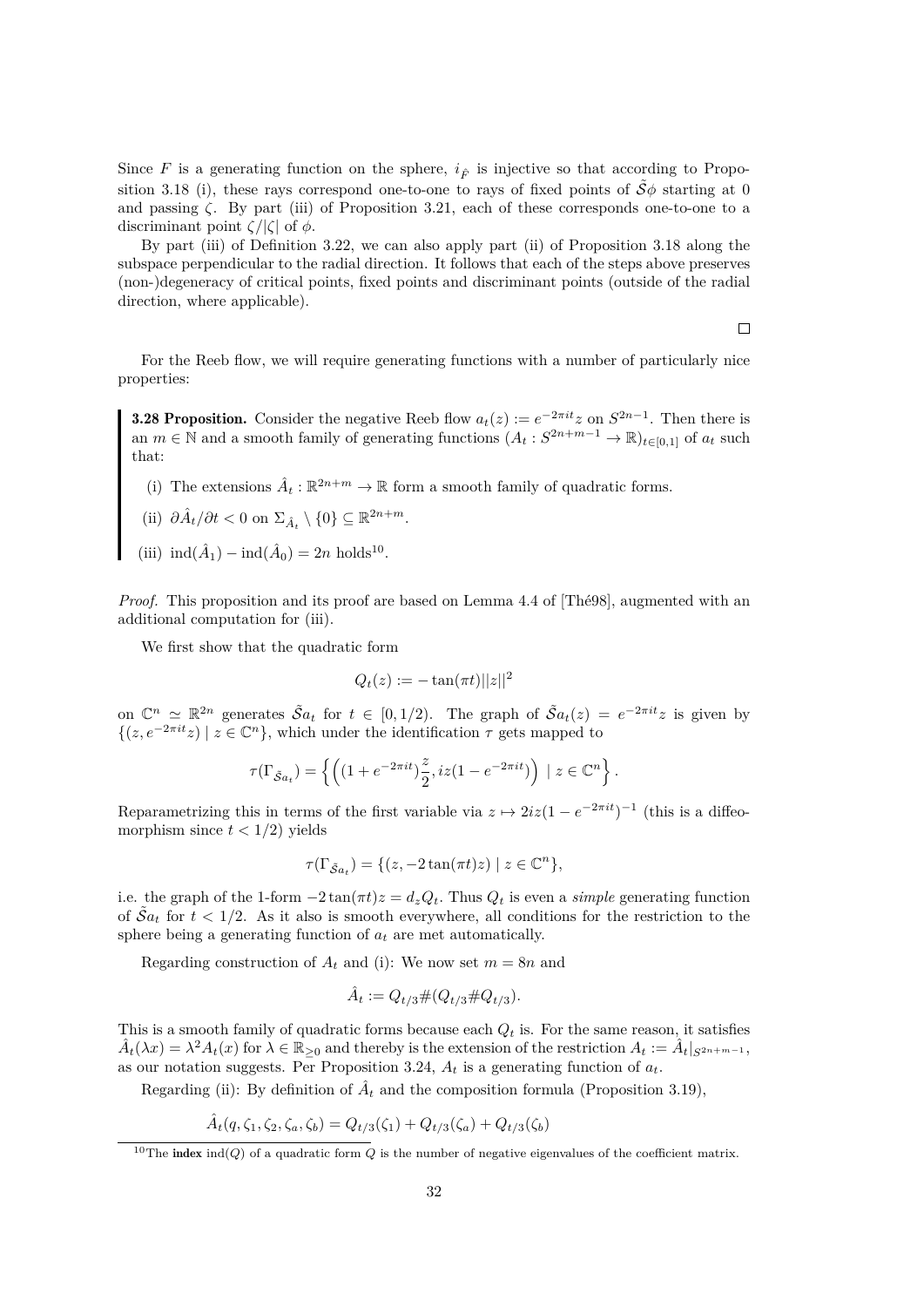Since F is a generating function on the sphere,  $i_{\hat{F}}$  is injective so that according to Propo-sition [3.18](#page-28-0) (i), these rays correspond one-to-one to rays of fixed points of  $\tilde{S}\phi$  starting at 0 and passing  $\zeta$ . By part (iii) of Proposition [3.21,](#page-30-1) each of these corresponds one-to-one to a discriminant point  $\zeta/|\zeta|$  of  $\phi$ .

By part (iii) of Definition [3.22,](#page-32-0) we can also apply part (ii) of Proposition [3.18](#page-28-0) along the subspace perpendicular to the radial direction. It follows that each of the steps above preserves (non-)degeneracy of critical points, fixed points and discriminant points (outside of the radial direction, where applicable).

 $\Box$ 

For the Reeb flow, we will require generating functions with a number of particularly nice properties:

<span id="page-35-1"></span>**3.28 Proposition.** Consider the negative Reeb flow  $a_t(z) := e^{-2\pi i t} z$  on  $S^{2n-1}$ . Then there is an  $m \in \mathbb{N}$  and a smooth family of generating functions  $(A_t : S^{2n+m-1} \to \mathbb{R})_{t \in [0,1]}$  of  $a_t$  such that:

(i) The extensions  $\hat{A}_t : \mathbb{R}^{2n+m} \to \mathbb{R}$  form a smooth family of quadratic forms.

(ii) 
$$
\partial \hat{A}_t / \partial t < 0
$$
 on  $\Sigma_{\hat{A}_t} \setminus \{0\} \subseteq \mathbb{R}^{2n+m}$ .

(iii)  $\text{ind}(\hat{A}_1) - \text{ind}(\hat{A}_0) = 2n \text{ holds}^{10}$  $\text{ind}(\hat{A}_1) - \text{ind}(\hat{A}_0) = 2n \text{ holds}^{10}$  $\text{ind}(\hat{A}_1) - \text{ind}(\hat{A}_0) = 2n \text{ holds}^{10}$ .

*Proof.* This proposition and its proof are based on Lemma 4.4 of [\[Thé98\]](#page-60-3), augmented with an additional computation for (iii).

We first show that the quadratic form

$$
Q_t(z) := -\tan(\pi t) ||z||^2
$$

on  $\mathbb{C}^n \simeq \mathbb{R}^{2n}$  generates  $\tilde{S}a_t$  for  $t \in [0, 1/2)$ . The graph of  $\tilde{S}a_t(z) = e^{-2\pi i t}z$  is given by  $\{(z, e^{-2\pi it}z) \mid z \in \mathbb{C}^n\}$ , which under the identification  $\tau$  gets mapped to

$$
\tau(\Gamma_{\tilde{S}a_t}) = \left\{ \left( (1 + e^{-2\pi it}) \frac{z}{2}, iz(1 - e^{-2\pi it}) \right) \mid z \in \mathbb{C}^n \right\}.
$$

Reparametrizing this in terms of the first variable via  $z \mapsto 2iz(1 - e^{-2\pi it})^{-1}$  (this is a diffeomorphism since  $t < 1/2$ ) yields

$$
\tau(\Gamma_{\tilde{\mathcal{S}}a_t}) = \{ (z, -2\tan(\pi t)z) \mid z \in \mathbb{C}^n \},
$$

i.e. the graph of the 1-form  $-2 \tan(\pi t)z = d_z Q_t$ . Thus  $Q_t$  is even a *simple* generating function of  $\tilde{S}_{a_t}$  for  $t < 1/2$ . As it also is smooth everywhere, all conditions for the restriction to the sphere being a generating function of  $a_t$  are met automatically.

Regarding construction of  $A_t$  and (i): We now set  $m = 8n$  and

$$
\hat{A}_t := Q_{t/3} \# (Q_{t/3} \# Q_{t/3}).
$$

This is a smooth family of quadratic forms because each  $Q_t$  is. For the same reason, it satisfies  $\hat{A}_t(\lambda x) = \lambda^2 A_t(x)$  for  $\lambda \in \mathbb{R}_{\geq 0}$  and thereby is the extension of the restriction  $A_t := \hat{A}_t|_{S^{2n+m-1}}$ , as our notation suggests. Per Proposition [3.24,](#page-32-1)  $A_t$  is a generating function of  $a_t$ .

Regarding (ii): By definition of  $\hat{A}_t$  and the composition formula (Proposition [3.19\)](#page-28-2),

$$
\hat{A}_t(q, \zeta_1, \zeta_2, \zeta_a, \zeta_b) = Q_{t/3}(\zeta_1) + Q_{t/3}(\zeta_a) + Q_{t/3}(\zeta_b)
$$

<span id="page-35-0"></span><sup>&</sup>lt;sup>10</sup>The **index** ind(*Q*) of a quadratic form *Q* is the number of negative eigenvalues of the coefficient matrix.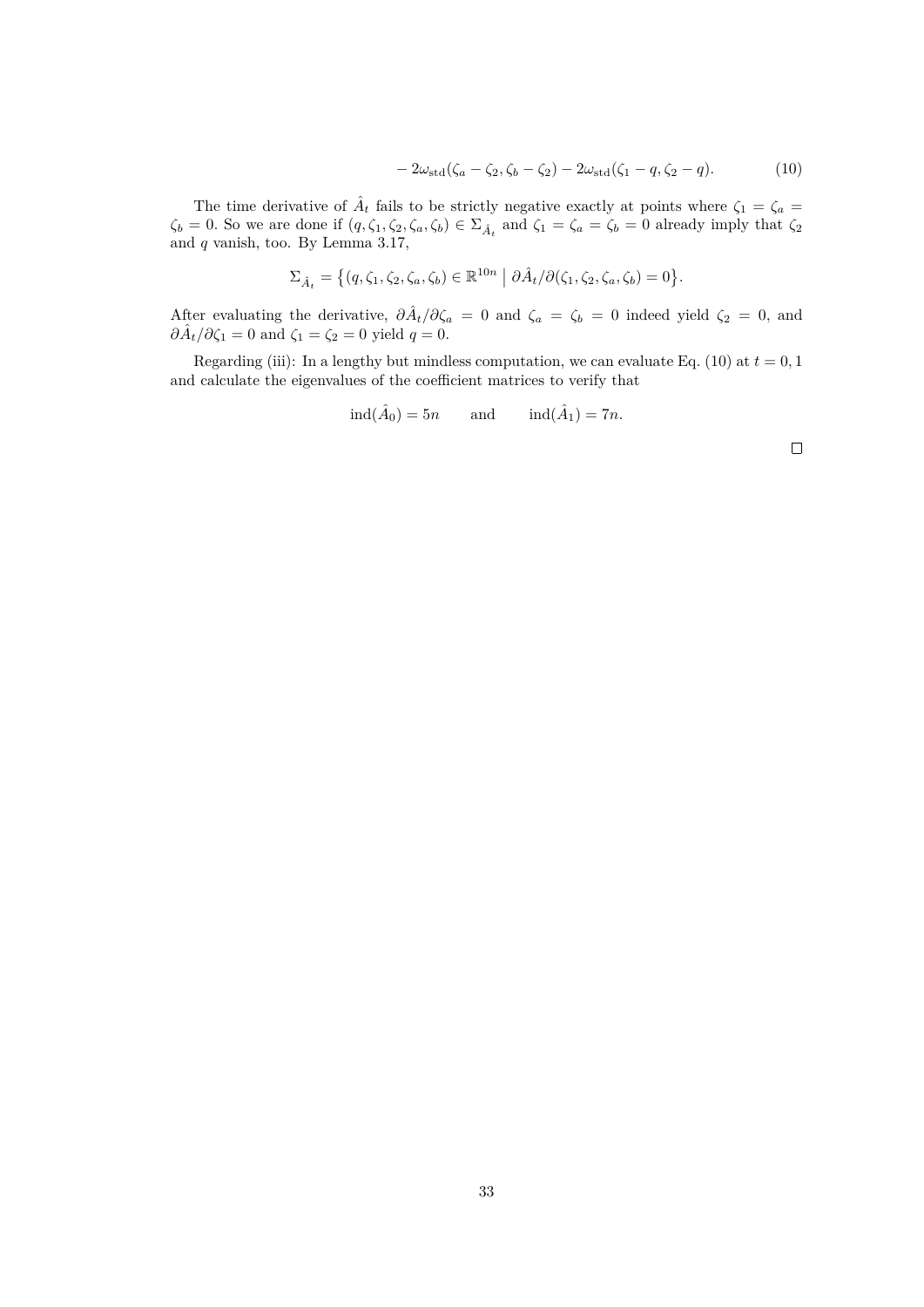$$
-2\omega_{\rm std}(\zeta_a - \zeta_2, \zeta_b - \zeta_2) - 2\omega_{\rm std}(\zeta_1 - q, \zeta_2 - q). \tag{10}
$$

The time derivative of  $\hat{A}_t$  fails to be strictly negative exactly at points where  $\zeta_1 = \zeta_a =$  $\zeta_b = 0$ . So we are done if  $(q, \zeta_1, \zeta_2, \zeta_a, \zeta_b) \in \Sigma_{\hat{A}_t}$  and  $\zeta_1 = \zeta_a = \zeta_b = 0$  already imply that  $\zeta_2$ and  $q$  vanish, too. By Lemma [3.17,](#page-27-0)

$$
\Sigma_{\hat{A}_t} = \left\{ (q, \zeta_1, \zeta_2, \zeta_a, \zeta_b) \in \mathbb{R}^{10n} \mid \partial \hat{A}_t / \partial(\zeta_1, \zeta_2, \zeta_a, \zeta_b) = 0 \right\}.
$$

After evaluating the derivative,  $\partial \hat{A}_t/\partial \zeta_a = 0$  and  $\zeta_a = \zeta_b = 0$  indeed yield  $\zeta_2 = 0$ , and  $\partial \hat{A}_t / \partial \zeta_1 = 0$  and  $\zeta_1 = \zeta_2 = 0$  yield  $q = 0$ .

Regarding (iii): In a lengthy but mindless computation, we can evaluate Eq. [\(10\)](#page-36-0) at  $t = 0, 1$ and calculate the eigenvalues of the coefficient matrices to verify that

$$
ind(\hat{A}_0) = 5n
$$
 and  $ind(\hat{A}_1) = 7n$ .

<span id="page-36-0"></span>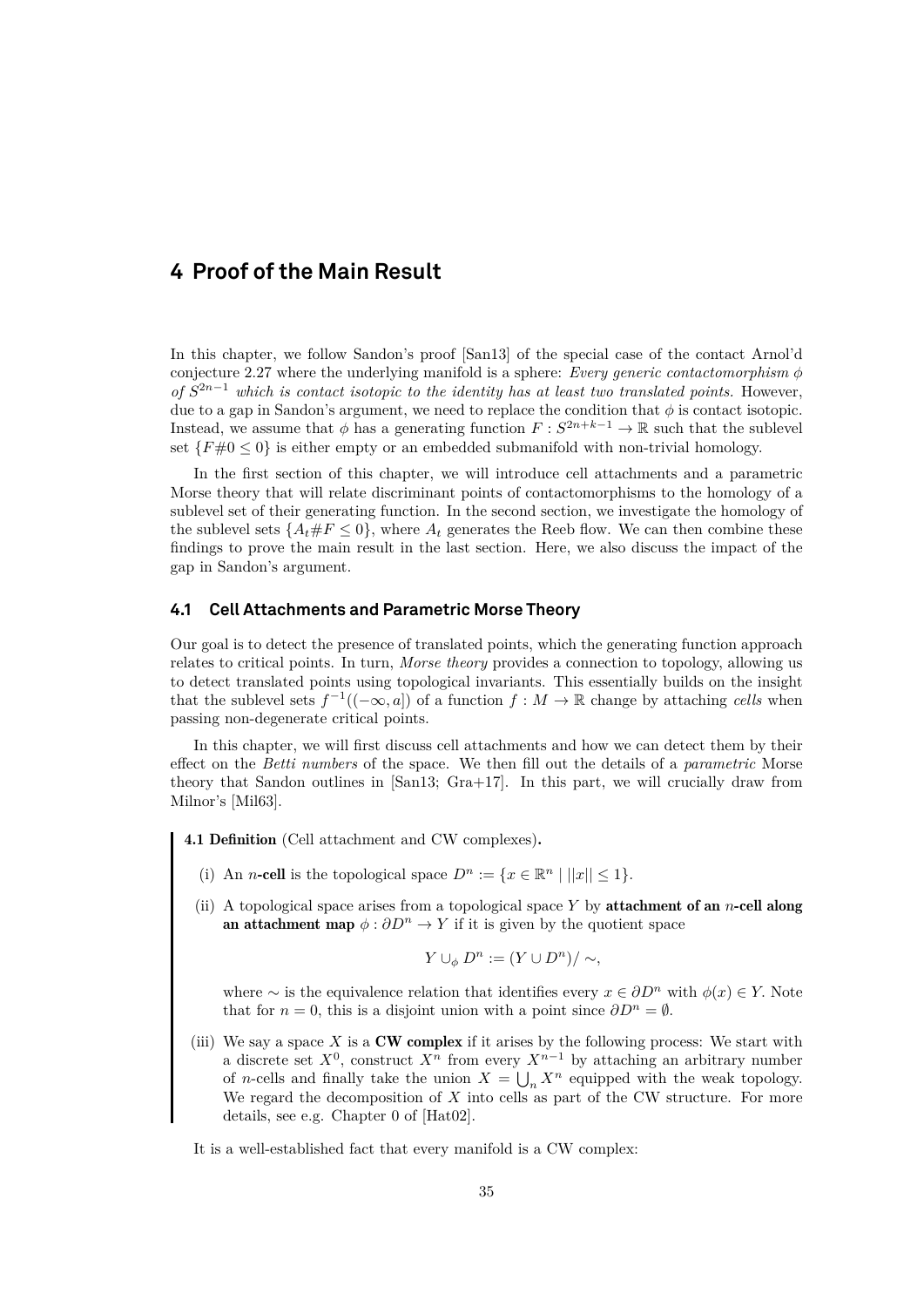# <span id="page-38-0"></span>**4 Proof of the Main Result**

In this chapter, we follow Sandon's proof [\[San13\]](#page-60-1) of the special case of the contact Arnol'd conjecture [2.27](#page-17-0) where the underlying manifold is a sphere: *Every generic contactomorphism* φ of  $S^{2n-1}$  which is contact isotopic to the identity has at least two translated points. However, due to a gap in Sandon's argument, we need to replace the condition that  $\phi$  is contact isotopic. Instead, we assume that  $\phi$  has a generating function  $F : S^{2n+k-1} \to \mathbb{R}$  such that the sublevel set  $\{F \neq 0 \leq 0\}$  is either empty or an embedded submanifold with non-trivial homology.

In the first section of this chapter, we will introduce cell attachments and a parametric Morse theory that will relate discriminant points of contactomorphisms to the homology of a sublevel set of their generating function. In the second section, we investigate the homology of the sublevel sets  $\{A_t \# F \leq 0\}$ , where  $A_t$  generates the Reeb flow. We can then combine these findings to prove the main result in the last section. Here, we also discuss the impact of the gap in Sandon's argument.

#### <span id="page-38-1"></span>**4.1 Cell Attachments and Parametric Morse Theory**

Our goal is to detect the presence of translated points, which the generating function approach relates to critical points. In turn, *Morse theory* provides a connection to topology, allowing us to detect translated points using topological invariants. This essentially builds on the insight that the sublevel sets  $f^{-1}((-\infty, a])$  of a function  $f : M \to \mathbb{R}$  change by attaching *cells* when passing non-degenerate critical points.

In this chapter, we will first discuss cell attachments and how we can detect them by their effect on the *Betti numbers* of the space. We then fill out the details of a *parametric* Morse theory that Sandon outlines in  $\text{San}13$ ; Gra $+17$ . In this part, we will crucially draw from Milnor's [\[Mil63\]](#page-59-15).

4.1 Definition (Cell attachment and CW complexes).

- (i) An n-cell is the topological space  $D^n := \{x \in \mathbb{R}^n \mid ||x|| \leq 1\}.$
- (ii) A topological space arises from a topological space Y by **attachment of an** n-cell along an attachment map  $\phi : \partial D^n \to Y$  if it is given by the quotient space

$$
Y \cup_{\phi} D^n := (Y \cup D^n) / \sim,
$$

where  $\sim$  is the equivalence relation that identifies every  $x \in \partial D^n$  with  $\phi(x) \in Y$ . Note that for  $n = 0$ , this is a disjoint union with a point since  $\partial D^n = \emptyset$ .

(iii) We say a space X is a  $\text{CW }$  complex if it arises by the following process: We start with a discrete set  $X^0$ , construct  $X^n$  from every  $X^{n-1}$  by attaching an arbitrary number of *n*-cells and finally take the union  $X = \bigcup_n X^n$  equipped with the weak topology. We regard the decomposition of  $X$  into cells as part of the CW structure. For more details, see e.g. Chapter 0 of [\[Hat02\]](#page-59-18).

It is a well-established fact that every manifold is a CW complex: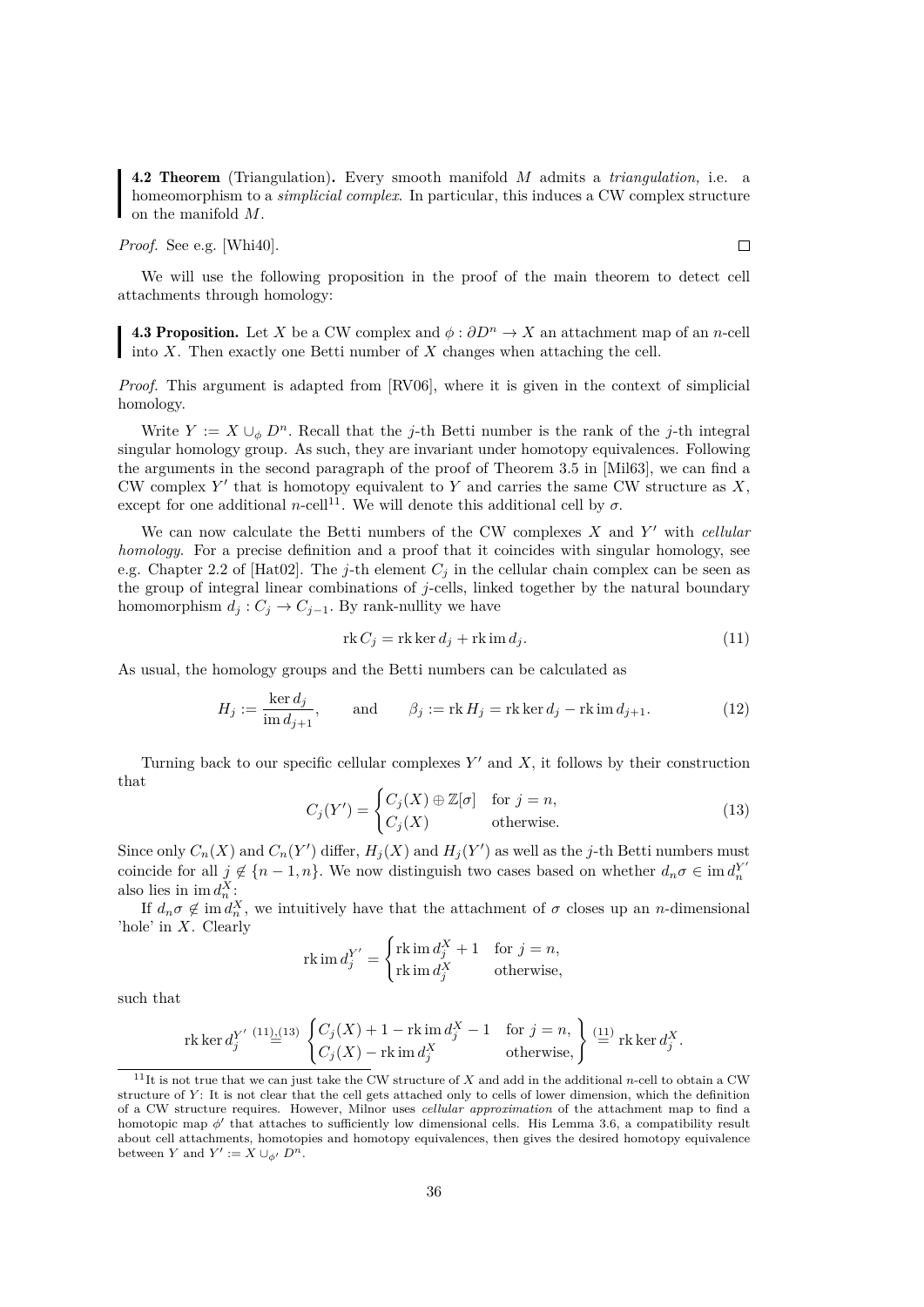<span id="page-39-4"></span>4.2 Theorem (Triangulation). Every smooth manifold M admits a *triangulation,* i.e. a homeomorphism to a *simplicial complex*. In particular, this induces a CW complex structure on the manifold M.

*Proof.* See e.g. [\[Whi40\]](#page-60-14).

We will use the following proposition in the proof of the main theorem to detect cell attachments through homology:

<span id="page-39-5"></span>4.3 Proposition. Let X be a CW complex and  $\phi : \partial D^n \to X$  an attachment map of an n-cell into  $X$ . Then exactly one Betti number of  $X$  changes when attaching the cell.

*Proof.* This argument is adapted from [\[RV06\]](#page-60-15), where it is given in the context of simplicial homology.

Write  $Y := X \cup_{\phi} D^n$ . Recall that the j-th Betti number is the rank of the j-th integral singular homology group. As such, they are invariant under homotopy equivalences. Following the arguments in the second paragraph of the proof of Theorem 3.5 in [\[Mil63\]](#page-59-15), we can find a CW complex  $Y'$  that is homotopy equivalent to Y and carries the same CW structure as  $X$ , except for one additional n-cell<sup>[11](#page-39-0)</sup>. We will denote this additional cell by  $\sigma$ .

We can now calculate the Betti numbers of the CW complexes X and Y' with *cellular homology*. For a precise definition and a proof that it coincides with singular homology, see e.g. Chapter 2.2 of [\[Hat02\]](#page-59-18). The j-th element  $C_i$  in the cellular chain complex can be seen as the group of integral linear combinations of  $j$ -cells, linked together by the natural boundary homomorphism  $d_i$  :  $C_i \rightarrow C_{i-1}$ . By rank-nullity we have

<span id="page-39-1"></span>
$$
rk C_j = rk \ker d_j + rk \operatorname{im} d_j. \tag{11}
$$

As usual, the homology groups and the Betti numbers can be calculated as

<span id="page-39-3"></span>
$$
H_j := \frac{\ker d_j}{\operatorname{im} d_{j+1}}, \quad \text{and} \quad \beta_j := \operatorname{rk} H_j = \operatorname{rk} \ker d_j - \operatorname{rk} \operatorname{im} d_{j+1}.
$$
 (12)

Turning back to our specific cellular complexes  $Y'$  and  $X$ , it follows by their construction that

<span id="page-39-2"></span>
$$
C_j(Y') = \begin{cases} C_j(X) \oplus \mathbb{Z}[\sigma] & \text{for } j = n, \\ C_j(X) & \text{otherwise.} \end{cases}
$$
(13)

Since only  $C_n(X)$  and  $C_n(Y')$  differ,  $H_j(X)$  and  $H_j(Y')$  as well as the j-th Betti numbers must coincide for all  $j \notin \{n-1, n\}$ . We now distinguish two cases based on whether  $d_n \sigma \in \text{im } d_n^{Y'}$  also lies in  $\text{im } d_n^{X'}$ .

If  $d_n \sigma \notin \text{im } d_n^X$ , we intuitively have that the attachment of  $\sigma$  closes up an n-dimensional 'hole' in X. Clearly

$$
\operatorname{rk} \operatorname{im} d_j^{Y'} = \begin{cases} \operatorname{rk} \operatorname{im} d_j^X + 1 & \text{for } j = n, \\ \operatorname{rk} \operatorname{im} d_j^X & \text{otherwise,} \end{cases}
$$

such that

$$
\operatorname{rk}\operatorname{ker} d_j^{Y'} \overset{(11),(13)}{=} \begin{cases} C_j(X) + 1 - \operatorname{rk} \operatorname{im} d_j^X - 1 & \text{for } j = n, \\ C_j(X) - \operatorname{rk} \operatorname{im} d_j^X & \text{otherwise,} \end{cases} \begin{cases} \text{(11)} \\ \stackrel{(11)}{=} \operatorname{rk} \operatorname{ker} d_j^X. \end{cases}
$$

<span id="page-39-0"></span><sup>&</sup>lt;sup>11</sup>It is not true that we can just take the CW structure of X and add in the additional n-cell to obtain a CW structure of Y: It is not clear that the cell gets attached only to cells of lower dimension, which the definition of a CW structure requires. However, Milnor uses *cellular approximation* of the attachment map to find a homotopic map  $\phi'$  that attaches to sufficiently low dimensional cells. His Lemma 3.6, a compatibility result about cell attachments, homotopies and homotopy equivalences, then gives the desired homotopy equivalence between Y and  $Y' := X \cup_{\phi'} D^n$ .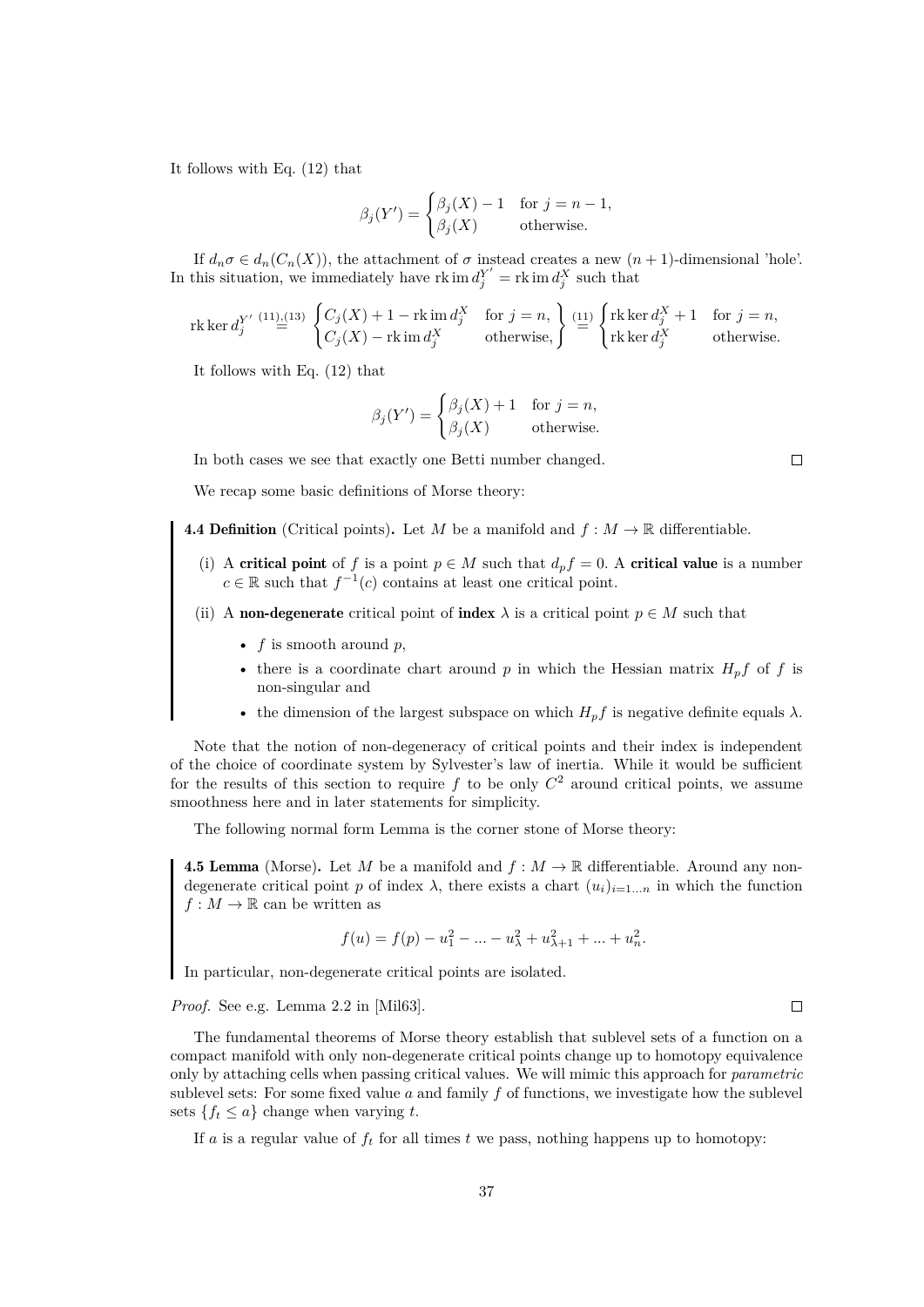It follows with Eq. [\(12\)](#page-39-3) that

$$
\beta_j(Y') = \begin{cases} \beta_j(X) - 1 & \text{for } j = n - 1, \\ \beta_j(X) & \text{otherwise.} \end{cases}
$$

If  $d_n \sigma \in d_n(C_n(X))$ , the attachment of  $\sigma$  instead creates a new  $(n+1)$ -dimensional 'hole'. In this situation, we immediately have  $\operatorname{rk} \operatorname{im} d_j^{Y'} = \operatorname{rk} \operatorname{im} d_j^X$  such that

$$
\operatorname{rk}\ker d_j^{Y'} \overset{(11),(13)}{=} \begin{cases} C_j(X)+1-\operatorname{rk}\operatorname{im} d_j^X & \text{for } j=n, \\ C_j(X)-\operatorname{rk}\operatorname{im} d_j^X & \text{otherwise,} \end{cases} \overset{(11)}{=} \begin{cases} \operatorname{rk}\ker d_j^X+1 & \text{for } j=n, \\ \operatorname{rk}\ker d_j^X & \text{otherwise.} \end{cases}
$$

It follows with Eq. [\(12\)](#page-39-3) that

$$
\beta_j(Y') = \begin{cases} \beta_j(X) + 1 & \text{for } j = n, \\ \beta_j(X) & \text{otherwise.} \end{cases}
$$

In both cases we see that exactly one Betti number changed.

We recap some basic definitions of Morse theory:

- **4.4 Definition** (Critical points). Let M be a manifold and  $f : M \to \mathbb{R}$  differentiable.
	- (i) A critical point of f is a point  $p \in M$  such that  $d_p f = 0$ . A critical value is a number  $c \in \mathbb{R}$  such that  $f^{-1}(c)$  contains at least one critical point.
	- (ii) A non-degenerate critical point of index  $\lambda$  is a critical point  $p \in M$  such that
		- $f$  is smooth around  $p$ ,
		- there is a coordinate chart around p in which the Hessian matrix  $H_p f$  of f is non-singular and
		- the dimension of the largest subspace on which  $H_p f$  is negative definite equals  $\lambda$ .

Note that the notion of non-degeneracy of critical points and their index is independent of the choice of coordinate system by Sylvester's law of inertia. While it would be sufficient for the results of this section to require  $f$  to be only  $C^2$  around critical points, we assume smoothness here and in later statements for simplicity.

The following normal form Lemma is the corner stone of Morse theory:

<span id="page-40-0"></span>**4.5 Lemma** (Morse). Let M be a manifold and  $f : M \to \mathbb{R}$  differentiable. Around any nondegenerate critical point p of index  $\lambda$ , there exists a chart  $(u_i)_{i=1...n}$  in which the function  $f:M\rightarrow\mathbb{R}$  can be written as

$$
f(u) = f(p) - u_1^2 - \dots - u_\lambda^2 + u_{\lambda+1}^2 + \dots + u_n^2.
$$

In particular, non-degenerate critical points are isolated.

*Proof.* See e.g. Lemma 2.2 in [\[Mil63\]](#page-59-15).

The fundamental theorems of Morse theory establish that sublevel sets of a function on a compact manifold with only non-degenerate critical points change up to homotopy equivalence only by attaching cells when passing critical values. We will mimic this approach for *parametric* sublevel sets: For some fixed value  $a$  and family  $f$  of functions, we investigate how the sublevel sets  $\{f_t \leq a\}$  change when varying t.

If a is a regular value of  $f_t$  for all times t we pass, nothing happens up to homotopy:

```
\Box
```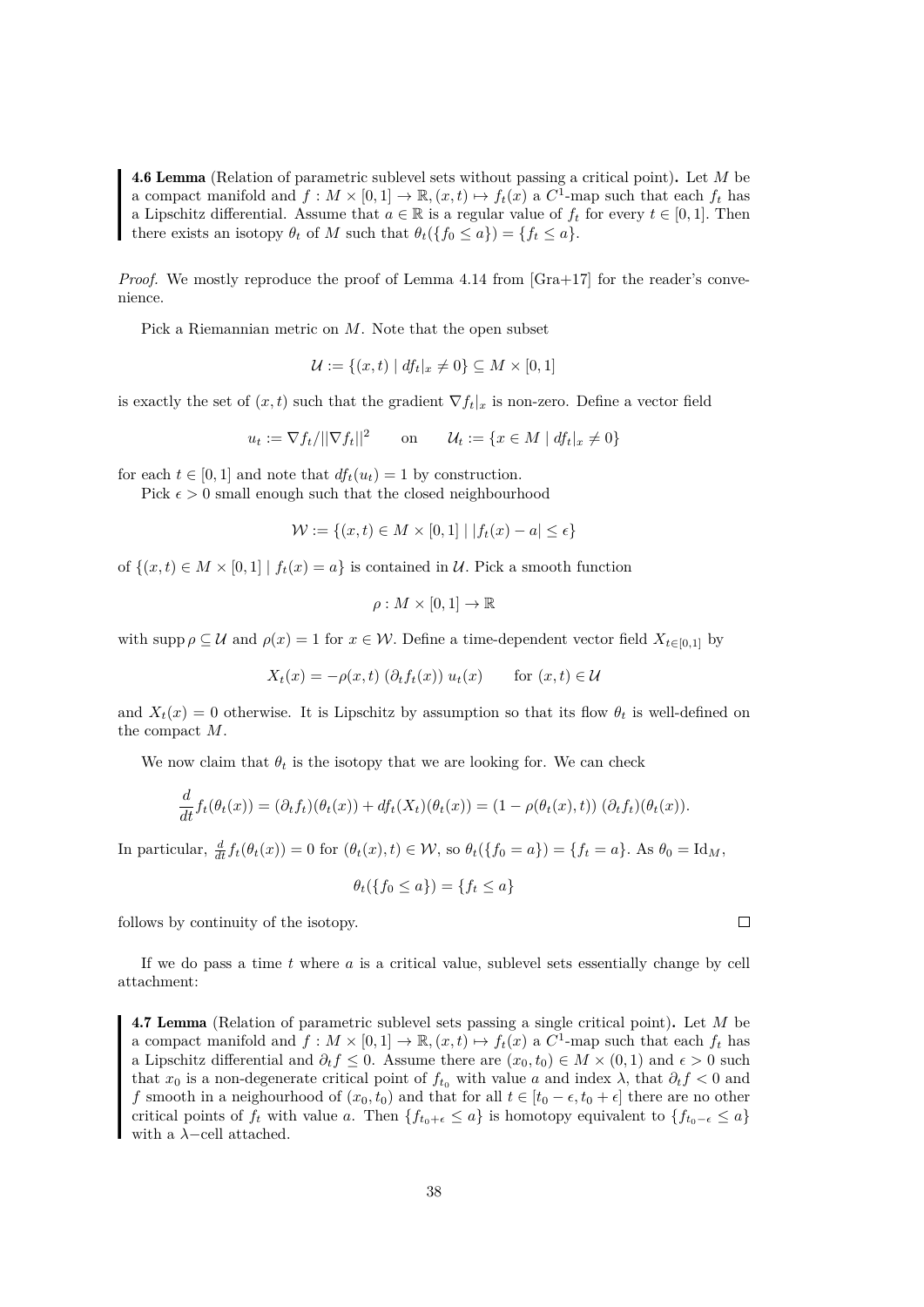<span id="page-41-0"></span>4.6 Lemma (Relation of parametric sublevel sets without passing a critical point). Let M be a compact manifold and  $f: M \times [0,1] \to \mathbb{R}, (x,t) \mapsto f_t(x)$  a  $C^1$ -map such that each  $f_t$  has a Lipschitz differential. Assume that  $a \in \mathbb{R}$  is a regular value of  $f_t$  for every  $t \in [0, 1]$ . Then there exists an isotopy  $\theta_t$  of M such that  $\theta_t({f_0 \le a}) = {f_t \le a}$ .

*Proof.* We mostly reproduce the proof of Lemma 4.14 from [\[Gra+17\]](#page-59-0) for the reader's convenience.

Pick a Riemannian metric on M. Note that the open subset

$$
\mathcal{U} := \{(x, t) \mid df_t|_x \neq 0\} \subseteq M \times [0, 1]
$$

is exactly the set of  $(x, t)$  such that the gradient  $\nabla f_t|x$  is non-zero. Define a vector field

$$
u_t := \nabla f_t / ||\nabla f_t||^2 \qquad \text{on} \qquad \mathcal{U}_t := \{ x \in M \mid df_t|_x \neq 0 \}
$$

for each  $t \in [0, 1]$  and note that  $df_t(u_t) = 1$  by construction.

Pick  $\epsilon > 0$  small enough such that the closed neighbourhood

$$
\mathcal{W} := \{(x, t) \in M \times [0, 1] \mid |f_t(x) - a| \le \epsilon\}
$$

of  $\{(x, t) \in M \times [0, 1] \mid f_t(x) = a\}$  is contained in U. Pick a smooth function

$$
\rho: M\times [0,1]\to \mathbb{R}
$$

with supp  $\rho \subseteq \mathcal{U}$  and  $\rho(x) = 1$  for  $x \in \mathcal{W}$ . Define a time-dependent vector field  $X_{t \in [0,1]}$  by

$$
X_t(x) = -\rho(x, t) \left(\partial_t f_t(x)\right) u_t(x) \quad \text{for } (x, t) \in \mathcal{U}
$$

and  $X_t(x) = 0$  otherwise. It is Lipschitz by assumption so that its flow  $\theta_t$  is well-defined on the compact M.

We now claim that  $\theta_t$  is the isotopy that we are looking for. We can check

$$
\frac{d}{dt}f_t(\theta_t(x)) = (\partial_t f_t)(\theta_t(x)) + df_t(X_t)(\theta_t(x)) = (1 - \rho(\theta_t(x), t))(\partial_t f_t)(\theta_t(x)).
$$

In particular,  $\frac{d}{dt}f_t(\theta_t(x)) = 0$  for  $(\theta_t(x), t) \in \mathcal{W}$ , so  $\theta_t(\lbrace f_0 = a \rbrace) = \lbrace f_t = a \rbrace$ . As  $\theta_0 = \text{Id}_M$ ,

$$
\theta_t(\{f_0 \le a\}) = \{f_t \le a\}
$$

follows by continuity of the isotopy.

If we do pass a time  $t$  where  $a$  is a critical value, sublevel sets essentially change by cell attachment:

<span id="page-41-1"></span>4.7 Lemma (Relation of parametric sublevel sets passing a single critical point). Let M be a compact manifold and  $f: M \times [0,1] \to \mathbb{R}, (x,t) \mapsto f_t(x)$  a  $C^1$ -map such that each  $f_t$  has a Lipschitz differential and  $\partial_t f \leq 0$ . Assume there are  $(x_0, t_0) \in M \times (0, 1)$  and  $\epsilon > 0$  such that  $x_0$  is a non-degenerate critical point of  $f_{t_0}$  with value a and index  $\lambda$ , that  $\partial_t f < 0$  and f smooth in a neighourhood of  $(x_0, t_0)$  and that for all  $t \in [t_0 - \epsilon, t_0 + \epsilon]$  there are no other critical points of  $f_t$  with value a. Then  $\{f_{t_0+\epsilon} \leq a\}$  is homotopy equivalent to  $\{f_{t_0-\epsilon} \leq a\}$ with a  $\lambda$ -cell attached.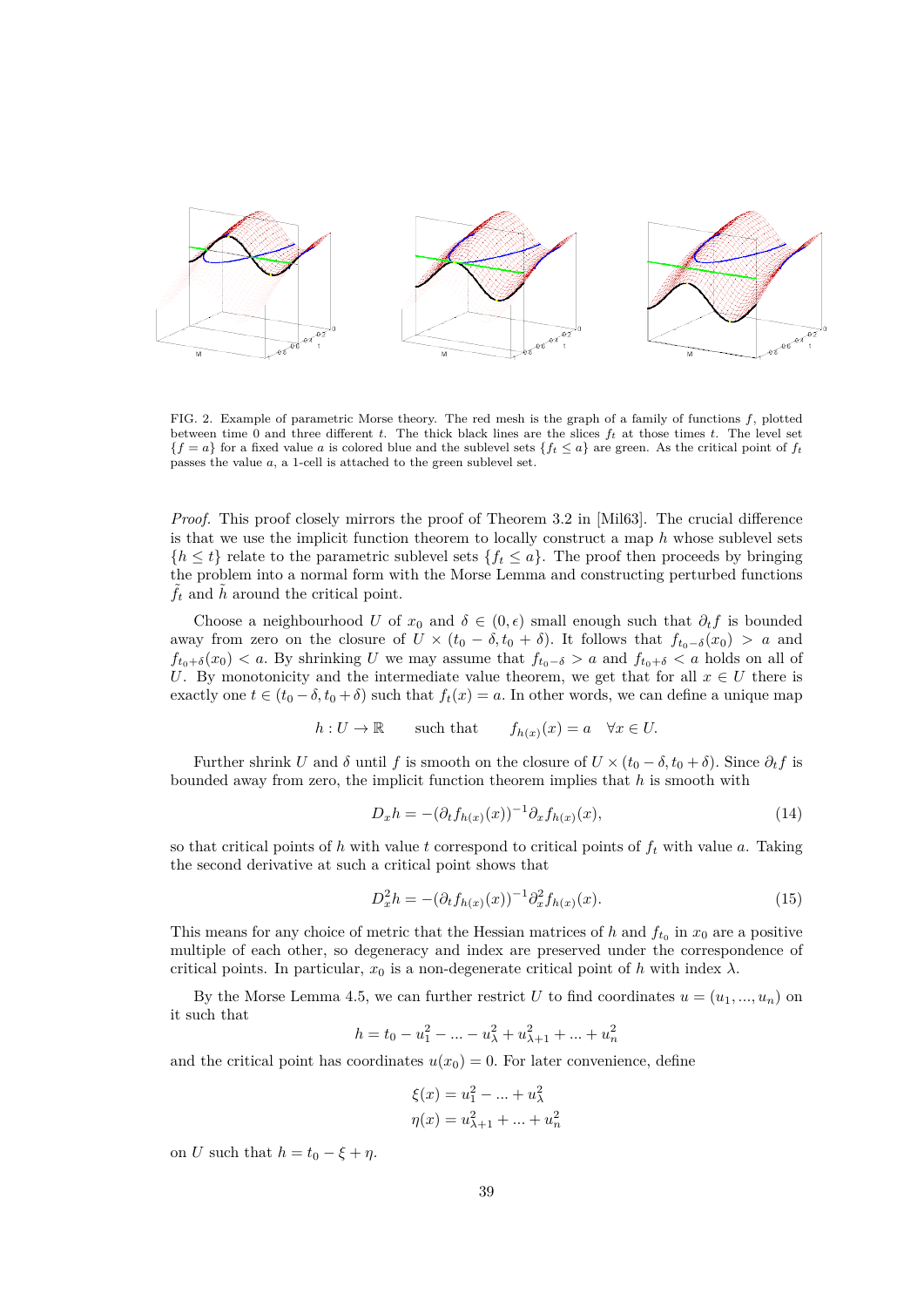

FIG. 2. Example of parametric Morse theory. The red mesh is the graph of a family of functions f, plotted between time 0 and three different t. The thick black lines are the slices  $f_t$  at those times t. The level set  ${f = a}$  for a fixed value a is colored blue and the sublevel sets  ${f_t \le a}$  are green. As the critical point of  $f_t$ passes the value a, a 1-cell is attached to the green sublevel set.

*Proof.* This proof closely mirrors the proof of Theorem 3.2 in [\[Mil63\]](#page-59-15). The crucial difference is that we use the implicit function theorem to locally construct a map  $h$  whose sublevel sets  ${h \leq t}$  relate to the parametric sublevel sets  ${f_t \leq a}$ . The proof then proceeds by bringing the problem into a normal form with the Morse Lemma and constructing perturbed functions  $\tilde{f}_t$  and  $\tilde{h}$  around the critical point.

Choose a neighbourhood U of  $x_0$  and  $\delta \in (0, \epsilon)$  small enough such that  $\partial_t f$  is bounded away from zero on the closure of  $U \times (t_0 - \delta, t_0 + \delta)$ . It follows that  $f_{t_0-\delta}(x_0) > a$  and  $f_{t_0+\delta}(x_0) < a$ . By shrinking U we may assume that  $f_{t_0-\delta} > a$  and  $f_{t_0+\delta} < a$  holds on all of U. By monotonicity and the intermediate value theorem, we get that for all  $x \in U$  there is exactly one  $t \in (t_0 - \delta, t_0 + \delta)$  such that  $f_t(x) = a$ . In other words, we can define a unique map

$$
h: U \to \mathbb{R}
$$
 such that  $f_{h(x)}(x) = a \quad \forall x \in U$ .

Further shrink U and  $\delta$  until f is smooth on the closure of  $U \times (t_0 - \delta, t_0 + \delta)$ . Since  $\partial_t f$  is bounded away from zero, the implicit function theorem implies that  $h$  is smooth with

$$
D_x h = -(\partial_t f_{h(x)}(x))^{-1} \partial_x f_{h(x)}(x), \qquad (14)
$$

so that critical points of h with value t correspond to critical points of  $f_t$  with value a. Taking the second derivative at such a critical point shows that

$$
D_x^2 h = -(\partial_t f_{h(x)}(x))^{-1} \partial_x^2 f_{h(x)}(x).
$$
\n(15)

This means for any choice of metric that the Hessian matrices of h and  $f_{t_0}$  in  $x_0$  are a positive multiple of each other, so degeneracy and index are preserved under the correspondence of critical points. In particular,  $x_0$  is a non-degenerate critical point of h with index  $\lambda$ .

By the Morse Lemma [4.5,](#page-40-0) we can further restrict U to find coordinates  $u = (u_1, ..., u_n)$  on it such that

$$
h = t_0 - u_1^2 - \dots - u_\lambda^2 + u_{\lambda+1}^2 + \dots + u_n^2
$$

and the critical point has coordinates  $u(x_0) = 0$ . For later convenience, define

$$
\xi(x) = u_1^2 - \dots + u_\lambda^2
$$

$$
\eta(x) = u_{\lambda+1}^2 + \dots + u_n^2
$$

on U such that  $h = t_0 - \xi + \eta$ .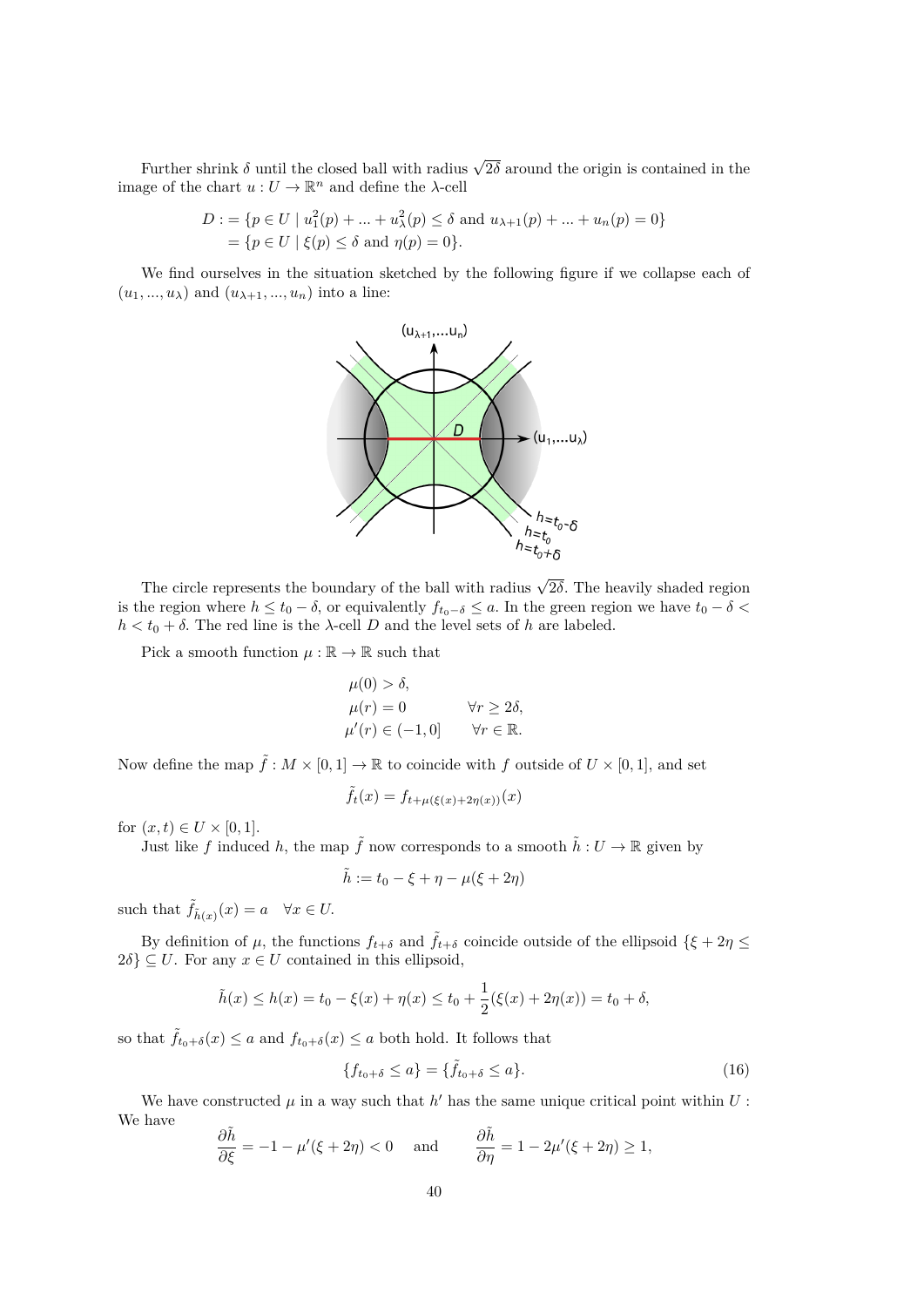Further shrink  $\delta$  until the closed ball with radius  $\sqrt{2\delta}$  around the origin is contained in the image of the chart  $u: U \to \mathbb{R}^n$  and define the  $\lambda$ -cell

$$
D := \{ p \in U \mid u_1^2(p) + \dots + u_\lambda^2(p) \le \delta \text{ and } u_{\lambda+1}(p) + \dots + u_n(p) = 0 \}
$$
  
=  $\{ p \in U \mid \xi(p) \le \delta \text{ and } \eta(p) = 0 \}.$ 

We find ourselves in the situation sketched by the following figure if we collapse each of  $(u_1, ..., u_\lambda)$  and  $(u_{\lambda+1}, ..., u_n)$  into a line:



The circle represents the boundary of the ball with radius  $\sqrt{2\delta}$ . The heavily shaded region is the region where  $h \leq t_0 - \delta$ , or equivalently  $f_{t_0-\delta} \leq a$ . In the green region we have  $t_0 - \delta <$  $h < t_0 + \delta$ . The red line is the  $\lambda$ -cell D and the level sets of h are labeled.

Pick a smooth function  $\mu : \mathbb{R} \to \mathbb{R}$  such that

$$
\mu(0) > \delta,\n\mu(r) = 0 \qquad \forall r \ge 2\delta,\n\mu'(r) \in (-1, 0] \qquad \forall r \in \mathbb{R}.
$$

Now define the map  $\tilde{f}: M \times [0,1] \to \mathbb{R}$  to coincide with f outside of  $U \times [0,1]$ , and set

$$
\tilde{f}_t(x) = f_{t+\mu(\xi(x)+2\eta(x))}(x)
$$

for  $(x, t) \in U \times [0, 1]$ .

Just like f induced h, the map  $\tilde{f}$  now corresponds to a smooth  $\tilde{h}: U \to \mathbb{R}$  given by

$$
\tilde{h} := t_0 - \xi + \eta - \mu(\xi + 2\eta)
$$

such that  $\tilde{f}_{\tilde{h}(x)}(x) = a \quad \forall x \in U$ .

By definition of  $\mu$ , the functions  $f_{t+\delta}$  and  $\tilde{f}_{t+\delta}$  coincide outside of the ellipsoid  $\{\xi+2\eta\leq\xi\}$  $2\delta$   $\subseteq$  *U*. For any  $x \in U$  contained in this ellipsoid,

$$
\tilde{h}(x) \le h(x) = t_0 - \xi(x) + \eta(x) \le t_0 + \frac{1}{2}(\xi(x) + 2\eta(x)) = t_0 + \delta,
$$

so that  $\tilde{f}_{t_0+\delta}(x) \leq a$  and  $f_{t_0+\delta}(x) \leq a$  both hold. It follows that

<span id="page-43-0"></span>
$$
\{f_{t_0+\delta} \le a\} = \{\tilde{f}_{t_0+\delta} \le a\}.
$$
\n(16)

We have constructed  $\mu$  in a way such that  $h'$  has the same unique critical point within  $U$ : We have

$$
\frac{\partial \tilde{h}}{\partial \xi} = -1 - \mu'(\xi + 2\eta) < 0 \quad \text{and} \quad \frac{\partial \tilde{h}}{\partial \eta} = 1 - 2\mu'(\xi + 2\eta) \ge 1,
$$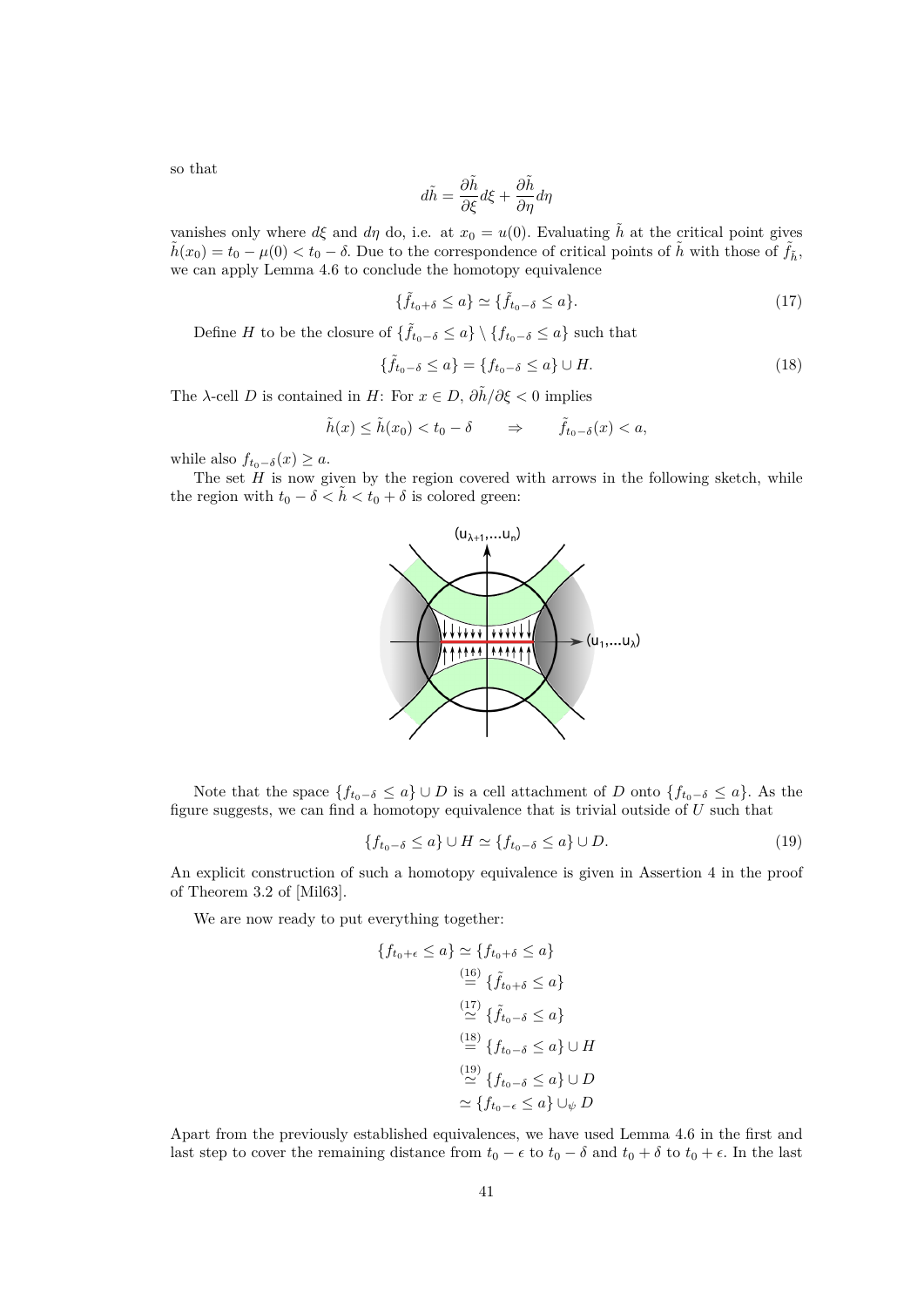so that

$$
d\tilde{h} = \frac{\partial \tilde{h}}{\partial \xi} d\xi + \frac{\partial \tilde{h}}{\partial \eta} d\eta
$$

vanishes only where  $d\xi$  and  $d\eta$  do, i.e. at  $x_0 = u(0)$ . Evaluating  $\tilde{h}$  at the critical point gives  $\tilde{h}(x_0) = t_0 - \mu(0) < t_0 - \delta$ . Due to the correspondence of critical points of  $\tilde{h}$  with those of  $\tilde{f}_h$ , we can apply Lemma [4.6](#page-41-0) to conclude the homotopy equivalence

<span id="page-44-0"></span>
$$
\{\tilde{f}_{t_0+\delta} \le a\} \simeq \{\tilde{f}_{t_0-\delta} \le a\}.\tag{17}
$$

Define H to be the closure of  $\{\tilde{f}_{t_0-\delta} \leq a\} \setminus \{f_{t_0-\delta} \leq a\}$  such that

<span id="page-44-1"></span>
$$
\{\tilde{f}_{t_0-\delta} \le a\} = \{f_{t_0-\delta} \le a\} \cup H. \tag{18}
$$

The  $\lambda$ -cell D is contained in H: For  $x \in D$ ,  $\frac{\partial \tilde{h}}{\partial \xi} < 0$  implies

$$
\tilde{h}(x) \le \tilde{h}(x_0) < t_0 - \delta \qquad \Rightarrow \qquad \tilde{f}_{t_0 - \delta}(x) < a,
$$

while also  $f_{t_0-\delta}(x) \geq a$ .

The set  $H$  is now given by the region covered with arrows in the following sketch, while the region with  $t_0 - \delta < \tilde{h} < t_0 + \delta$  is colored green:



Note that the space  ${f_{t_0-\delta} \le a} \cup D$  is a cell attachment of D onto  ${f_{t_0-\delta} \le a}$ . As the figure suggests, we can find a homotopy equivalence that is trivial outside of  $U$  such that

<span id="page-44-2"></span>
$$
\{f_{t_0-\delta}\leq a\}\cup H\simeq \{f_{t_0-\delta}\leq a\}\cup D.\tag{19}
$$

An explicit construction of such a homotopy equivalence is given in Assertion 4 in the proof of Theorem 3.2 of [\[Mil63\]](#page-59-15).

We are now ready to put everything together:

$$
\{f_{t_0+\epsilon} \le a\} \simeq \{f_{t_0+\delta} \le a\}
$$
  
\n
$$
\stackrel{(16)}{=} \{\tilde{f}_{t_0+\delta} \le a\}
$$
  
\n
$$
\stackrel{(17)}{\simeq} \{\tilde{f}_{t_0-\delta} \le a\}
$$
  
\n
$$
\stackrel{(18)}{=} \{f_{t_0-\delta} \le a\} \cup H
$$
  
\n
$$
\stackrel{(19)}{\simeq} \{f_{t_0-\delta} \le a\} \cup D
$$
  
\n
$$
\simeq \{f_{t_0-\epsilon} \le a\} \cup \psi D
$$

Apart from the previously established equivalences, we have used Lemma [4.6](#page-41-0) in the first and last step to cover the remaining distance from  $t_0 - \epsilon$  to  $t_0 - \delta$  and  $t_0 + \delta$  to  $t_0 + \epsilon$ . In the last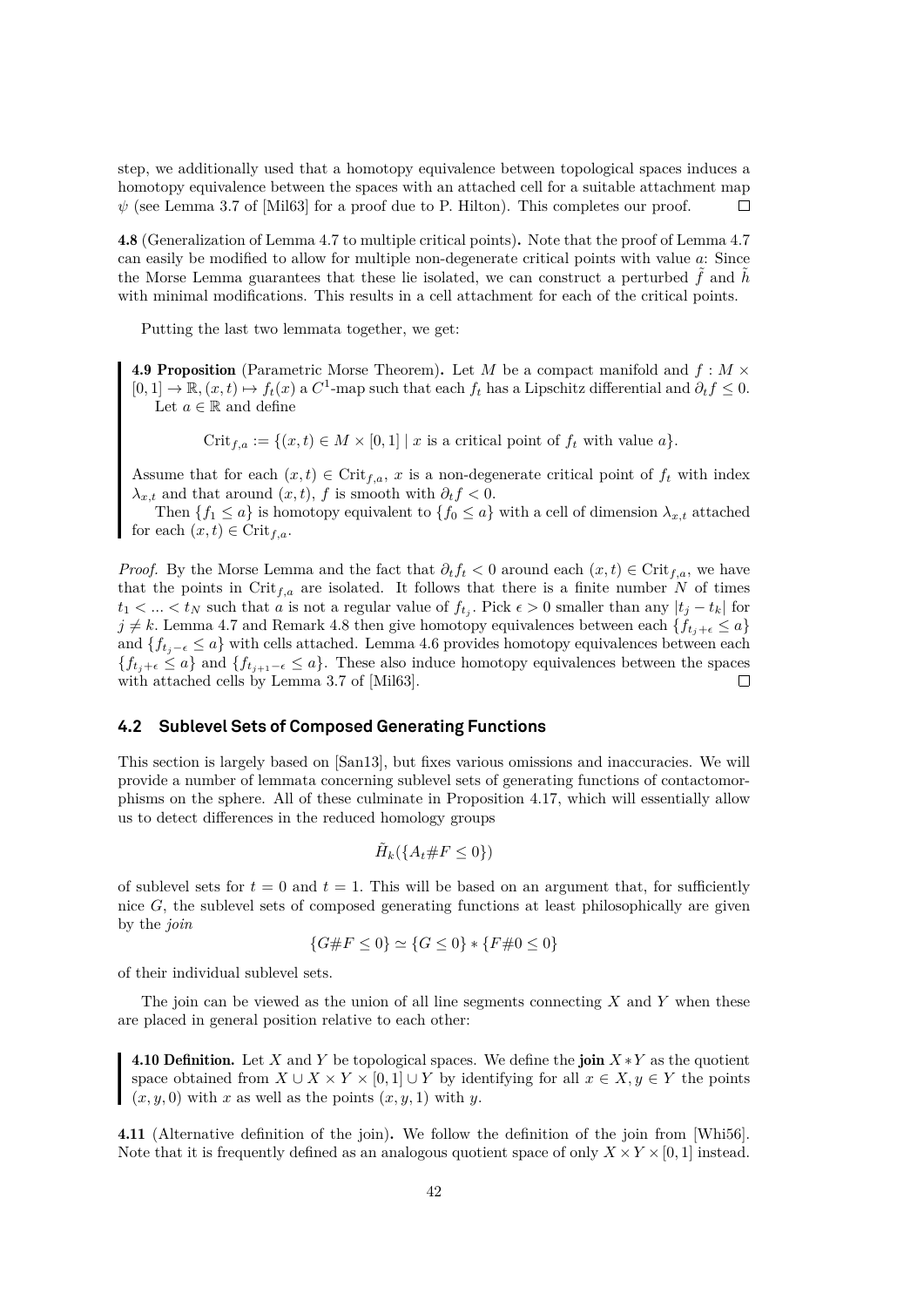step, we additionally used that a homotopy equivalence between topological spaces induces a homotopy equivalence between the spaces with an attached cell for a suitable attachment map  $\psi$  (see Lemma 3.7 of [\[Mil63\]](#page-59-15) for a proof due to P. Hilton). This completes our proof.  $\Box$ 

<span id="page-45-1"></span>4.8 (Generalization of Lemma [4.7](#page-41-1) to multiple critical points). Note that the proof of Lemma [4.7](#page-41-1) can easily be modified to allow for multiple non-degenerate critical points with value a: Since the Morse Lemma guarantees that these lie isolated, we can construct a perturbed  $\hat{f}$  and  $\hat{h}$ with minimal modifications. This results in a cell attachment for each of the critical points.

Putting the last two lemmata together, we get:

<span id="page-45-2"></span>**4.9 Proposition** (Parametric Morse Theorem). Let M be a compact manifold and  $f : M \times$  $[0,1] \to \mathbb{R}, (x,t) \mapsto f_t(x)$  a  $C^1$ -map such that each  $f_t$  has a Lipschitz differential and  $\partial_t f \leq 0$ . Let  $a \in \mathbb{R}$  and define

 $Crit_{f,a} := \{(x,t) \in M \times [0,1] \mid x \text{ is a critical point of } f_t \text{ with value } a\}.$ 

Assume that for each  $(x, t) \in \text{Crit}_{f,a}$ , x is a non-degenerate critical point of  $f_t$  with index  $\lambda_{x,t}$  and that around  $(x, t)$ , f is smooth with  $\partial_t f < 0$ .

Then  $\{f_1 \leq a\}$  is homotopy equivalent to  $\{f_0 \leq a\}$  with a cell of dimension  $\lambda_{x,t}$  attached for each  $(x, t) \in \text{Crit}_{f,a}$ .

*Proof.* By the Morse Lemma and the fact that  $\partial_t f_t < 0$  around each  $(x, t) \in \text{Crit}_{f,a}$ , we have that the points in Crit<sub>f,a</sub> are isolated. It follows that there is a finite number N of times  $t_1 < \ldots < t_N$  such that a is not a regular value of  $f_{t_j}$ . Pick  $\epsilon > 0$  smaller than any  $|t_j - t_k|$  for  $j \neq k$ . Lemma [4.7](#page-41-1) and Remark [4.8](#page-45-1) then give homotopy equivalences between each  ${f_t}_{j+\epsilon} \leq a$ and  $\{f_{t_i-\epsilon} \leq a\}$  with cells attached. Lemma [4.6](#page-41-0) provides homotopy equivalences between each  ${f_t}_{j+\epsilon} \leq a$  and  ${f_t}_{j+1-\epsilon} \leq a$ . These also induce homotopy equivalences between the spaces with attached cells by Lemma 3.7 of [\[Mil63\]](#page-59-15). П

#### <span id="page-45-0"></span>**4.2 Sublevel Sets of Composed Generating Functions**

This section is largely based on [\[San13\]](#page-60-1), but fixes various omissions and inaccuracies. We will provide a number of lemmata concerning sublevel sets of generating functions of contactomorphisms on the sphere. All of these culminate in Proposition [4.17,](#page-49-0) which will essentially allow us to detect differences in the reduced homology groups

$$
\tilde{H}_k(\{A_t\#F\leq 0\})
$$

of sublevel sets for  $t = 0$  and  $t = 1$ . This will be based on an argument that, for sufficiently nice  $G$ , the sublevel sets of composed generating functions at least philosophically are given by the *join*

$$
\{G \# F \le 0\} \simeq \{G \le 0\} * \{F \# 0 \le 0\}
$$

of their individual sublevel sets.

The join can be viewed as the union of all line segments connecting  $X$  and  $Y$  when these are placed in general position relative to each other:

4.10 Definition. Let X and Y be topological spaces. We define the join  $X * Y$  as the quotient space obtained from  $X \cup X \times Y \times [0,1] \cup Y$  by identifying for all  $x \in X, y \in Y$  the points  $(x, y, 0)$  with x as well as the points  $(x, y, 1)$  with y.

<span id="page-45-3"></span>4.11 (Alternative definition of the join). We follow the definition of the join from [\[Whi56\]](#page-60-16). Note that it is frequently defined as an analogous quotient space of only  $X \times Y \times [0, 1]$  instead.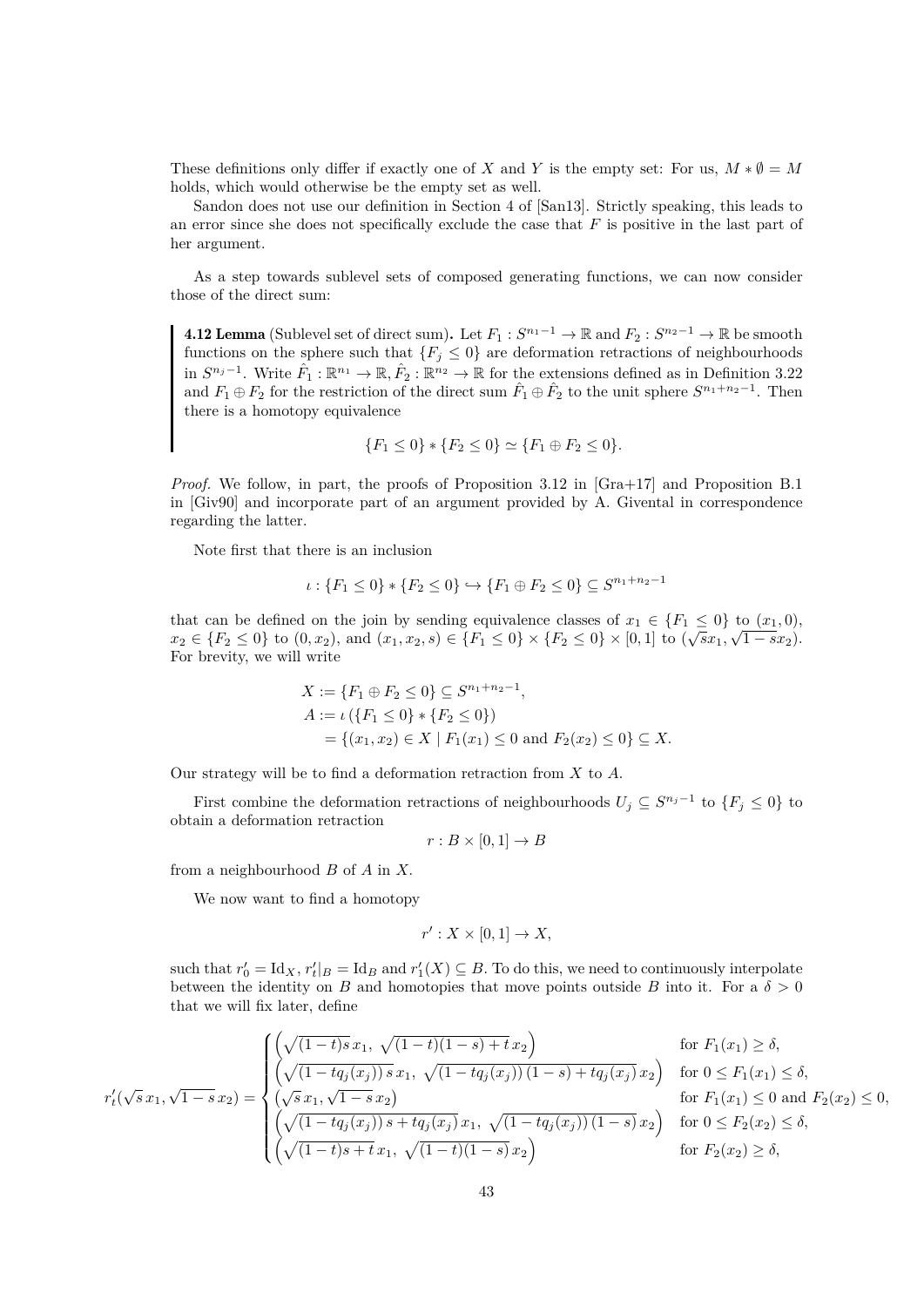These definitions only differ if exactly one of X and Y is the empty set: For us,  $M * \emptyset = M$ holds, which would otherwise be the empty set as well.

Sandon does not use our definition in Section 4 of [\[San13\]](#page-60-1). Strictly speaking, this leads to an error since she does not specifically exclude the case that  $F$  is positive in the last part of her argument.

As a step towards sublevel sets of composed generating functions, we can now consider those of the direct sum:

<span id="page-46-0"></span>**4.12 Lemma** (Sublevel set of direct sum). Let  $F_1: S^{n_1-1} \to \mathbb{R}$  and  $F_2: S^{n_2-1} \to \mathbb{R}$  be smooth functions on the sphere such that  ${F_j \leq 0}$  are deformation retractions of neighbourhoods in  $S^{n_j-1}$ . Write  $\hat{F}_1 : \mathbb{R}^{n_1} \to \mathbb{R}, \hat{F}_2 : \mathbb{R}^{n_2} \to \mathbb{R}$  for the extensions defined as in Definition [3.22](#page-32-0) and  $F_1 \oplus F_2$  for the restriction of the direct sum  $\hat{F}_1 \oplus \hat{F}_2$  to the unit sphere  $S^{n_1+n_2-1}$ . Then there is a homotopy equivalence

$$
\{F_1 \le 0\} * \{F_2 \le 0\} \simeq \{F_1 \oplus F_2 \le 0\}.
$$

*Proof.* We follow, in part, the proofs of Proposition 3.12 in [\[Gra+17\]](#page-59-0) and Proposition B.1 in [\[Giv90\]](#page-59-1) and incorporate part of an argument provided by A. Givental in correspondence regarding the latter.

Note first that there is an inclusion

$$
\iota: \{F_1 \le 0\} * \{F_2 \le 0\} \hookrightarrow \{F_1 \oplus F_2 \le 0\} \subseteq S^{n_1 + n_2 - 1}
$$

that can be defined on the join by sending equivalence classes of  $x_1 \in \{F_1 \le 0\}$  to  $(x_1, 0)$ ,  $x_2 \in \{F_2 \leq 0\}$  to  $(0, x_2)$ , and  $(x_1, x_2, s) \in \{F_1 \leq 0\} \times \{F_2 \leq 0\} \times [0, 1]$  to  $(\sqrt{s}x_1, \sqrt{1-s}x_2)$ . For brevity, we will write

$$
X := \{F_1 \oplus F_2 \le 0\} \subseteq S^{n_1 + n_2 - 1},
$$
  
\n
$$
A := \iota (\{F_1 \le 0\} * \{F_2 \le 0\})
$$
  
\n
$$
= \{(x_1, x_2) \in X \mid F_1(x_1) \le 0 \text{ and } F_2(x_2) \le 0\} \subseteq X.
$$

Our strategy will be to find a deformation retraction from  $X$  to  $A$ .

First combine the deformation retractions of neighbourhoods  $U_j \subseteq S^{n_j-1}$  to  $\{F_j \leq 0\}$  to obtain a deformation retraction

$$
r:B\times [0,1]\to B
$$

from a neighbourhood  $B$  of  $A$  in  $X$ .

We now want to find a homotopy

$$
r': X \times [0,1] \to X,
$$

such that  $r'_0 = \text{Id}_X$ ,  $r'_t|_B = \text{Id}_B$  and  $r'_1(X) \subseteq B$ . To do this, we need to continuously interpolate between the identity on B and homotopies that move points outside B into it. For a  $\delta > 0$ that we will fix later, define

$$
r'_{t}(\sqrt{s}x_{1},\sqrt{1-s}x_{2}) = \begin{cases} \left(\sqrt{(1-t)s}x_{1},\sqrt{(1-t)(1-s)+t}x_{2}\right) & \text{for } F_{1}(x_{1}) \geq \delta, \\ \left(\sqrt{(1-tq_{j}(x_{j}))s}x_{1},\sqrt{(1-tq_{j}(x_{j}))\ (1-s)+tq_{j}(x_{j})}\right) & \text{for } 0 \leq F_{1}(x_{1}) \leq \delta, \\ \left(\sqrt{s}x_{1},\sqrt{1-s}x_{2}\right) & \text{for } F_{1}(x_{1}) \leq 0 \text{ and } F_{2}(x_{2}) \leq 0, \\ \left(\sqrt{(1-tq_{j}(x_{j}))s+tq_{j}(x_{j})}x_{1},\sqrt{(1-tq_{j}(x_{j}))\ (1-s)}x_{2}\right) & \text{for } 0 \leq F_{2}(x_{2}) \leq \delta, \\ \left(\sqrt{(1-t)s+t}x_{1},\sqrt{(1-t)(1-s)}x_{2}\right) & \text{for } F_{2}(x_{2}) \geq \delta, \end{cases}
$$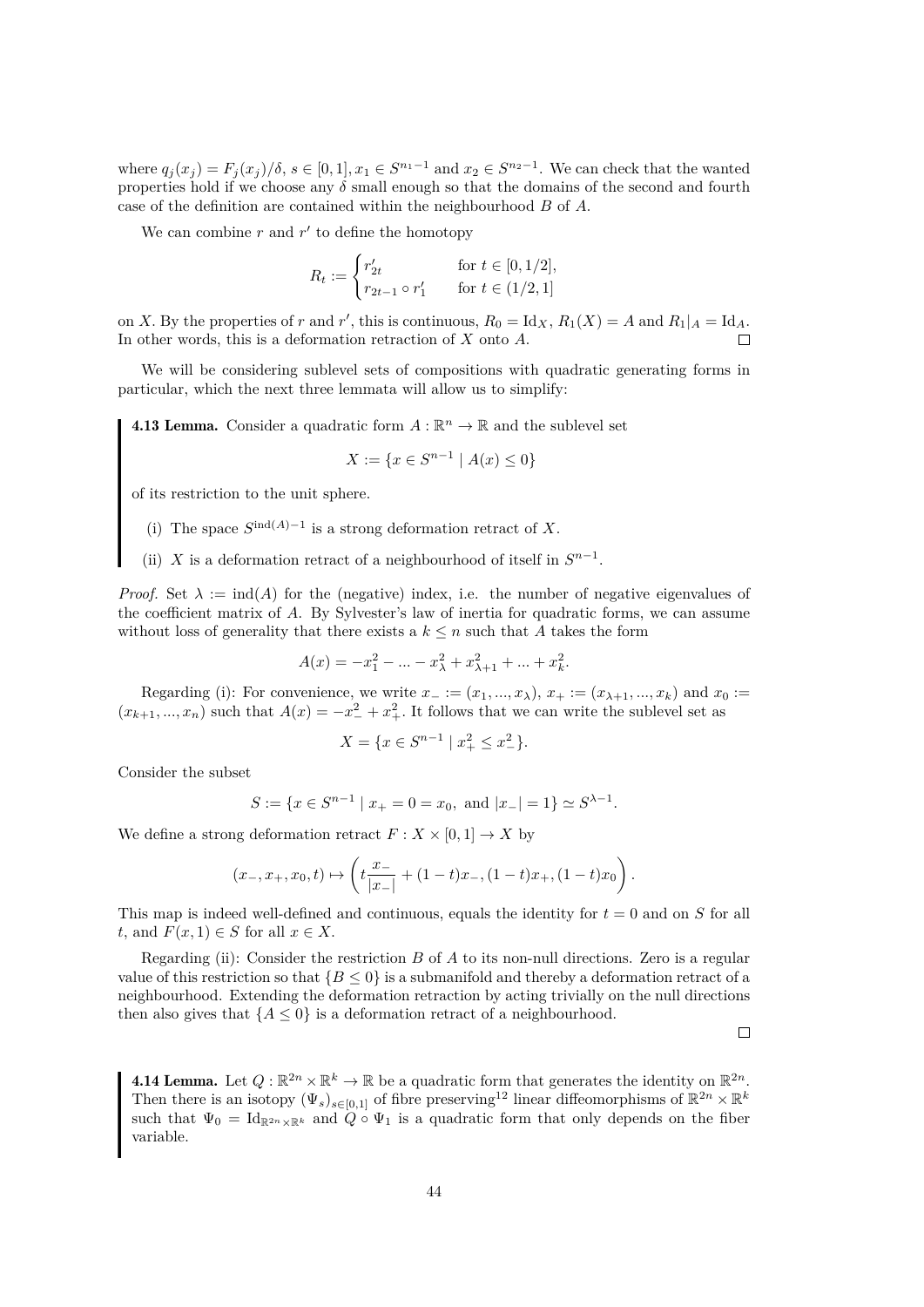where  $q_j(x_j) = F_j(x_j)/\delta$ ,  $s \in [0,1], x_1 \in S^{n_1-1}$  and  $x_2 \in S^{n_2-1}$ . We can check that the wanted properties hold if we choose any  $\delta$  small enough so that the domains of the second and fourth case of the definition are contained within the neighbourhood B of A.

We can combine  $r$  and  $r'$  to define the homotopy

$$
R_t := \begin{cases} r'_{2t} & \text{for } t \in [0, 1/2], \\ r_{2t-1} \circ r'_1 & \text{for } t \in (1/2, 1] \end{cases}
$$

on X. By the properties of r and r', this is continuous,  $R_0 = \text{Id}_X$ ,  $R_1(X) = A$  and  $R_1|_A = \text{Id}_A$ . In other words, this is a deformation retraction of X onto A.

We will be considering sublevel sets of compositions with quadratic generating forms in particular, which the next three lemmata will allow us to simplify:

<span id="page-47-1"></span>**4.13 Lemma.** Consider a quadratic form  $A : \mathbb{R}^n \to \mathbb{R}$  and the sublevel set

$$
X := \{ x \in S^{n-1} \mid A(x) \le 0 \}
$$

of its restriction to the unit sphere.

- (i) The space  $S^{\text{ind}(A)-1}$  is a strong deformation retract of X.
- (ii) X is a deformation retract of a neighbourhood of itself in  $S^{n-1}$ .

*Proof.* Set  $\lambda := \text{ind}(A)$  for the (negative) index, i.e. the number of negative eigenvalues of the coefficient matrix of A. By Sylvester's law of inertia for quadratic forms, we can assume without loss of generality that there exists a  $k \leq n$  such that A takes the form

$$
A(x) = -x_1^2 - \dots - x_\lambda^2 + x_{\lambda+1}^2 + \dots + x_k^2.
$$

Regarding (i): For convenience, we write  $x_{-}:=(x_1,...,x_{\lambda}), x_{+}:=(x_{{\lambda}+1},...,x_k)$  and  $x_0:=$  $(x_{k+1},...,x_n)$  such that  $A(x) = -x_-^2 + x_+^2$ . It follows that we can write the sublevel set as

$$
X = \{ x \in S^{n-1} \mid x_+^2 \le x_-^2 \}.
$$

Consider the subset

$$
S := \{ x \in S^{n-1} \mid x_+ = 0 = x_0, \text{ and } |x_-| = 1 \} \simeq S^{\lambda - 1}.
$$

We define a strong deformation retract  $F: X \times [0,1] \to X$  by

$$
(x_-, x_+, x_0, t) \mapsto \left(t\frac{x_-}{|x_-|} + (1-t)x_-, (1-t)x_+, (1-t)x_0\right).
$$

This map is indeed well-defined and continuous, equals the identity for  $t = 0$  and on S for all t, and  $F(x, 1) \in S$  for all  $x \in X$ .

Regarding (ii): Consider the restriction  $B$  of  $A$  to its non-null directions. Zero is a regular value of this restriction so that  ${B \le 0}$  is a submanifold and thereby a deformation retract of a neighbourhood. Extending the deformation retraction by acting trivially on the null directions then also gives that  ${A < 0}$  is a deformation retract of a neighbourhood.

 $\Box$ 

<span id="page-47-0"></span>**4.14 Lemma.** Let  $Q : \mathbb{R}^{2n} \times \mathbb{R}^k \to \mathbb{R}$  be a quadratic form that generates the identity on  $\mathbb{R}^{2n}$ . Then there is an isotopy  $(\Psi_s)_{s\in[0,1]}$  of fibre preserving<sup>[12](#page-48-0)</sup> linear diffeomorphisms of  $\mathbb{R}^{2n}\times\mathbb{R}^k$ such that  $\Psi_0 = \text{Id}_{\mathbb{R}^{2n}\times\mathbb{R}^k}$  and  $Q \circ \Psi_1$  is a quadratic form that only depends on the fiber variable.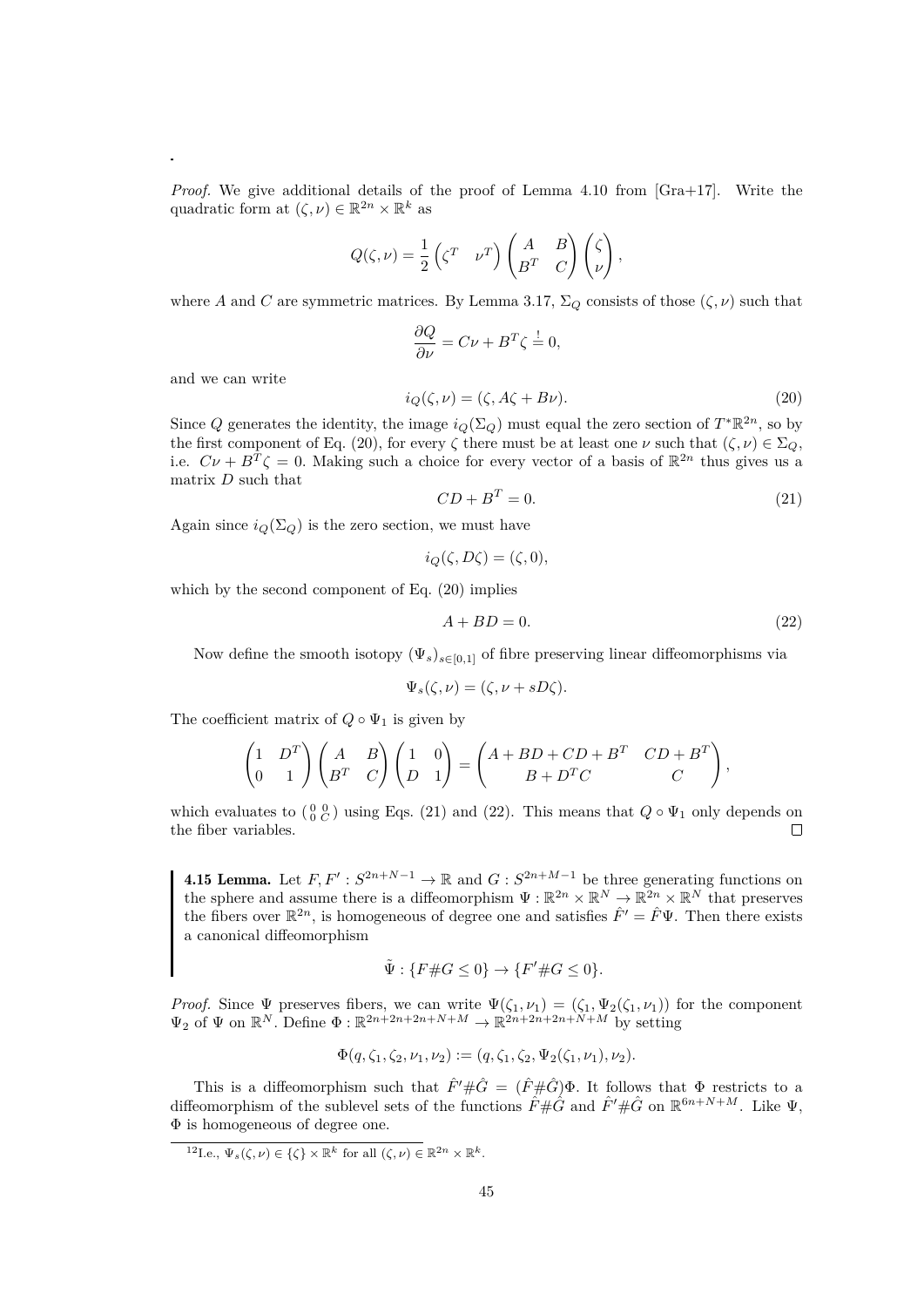*Proof.* We give additional details of the proof of Lemma 4.10 from [\[Gra+17\]](#page-59-0). Write the quadratic form at  $(\zeta, \nu) \in \mathbb{R}^{2n} \times \mathbb{R}^k$  as

$$
Q(\zeta,\nu) = \frac{1}{2} \left( \zeta^T \quad \nu^T \right) \begin{pmatrix} A & B \\ B^T & C \end{pmatrix} \begin{pmatrix} \zeta \\ \nu \end{pmatrix},
$$

where A and C are symmetric matrices. By Lemma [3.17,](#page-27-0)  $\Sigma_Q$  consists of those  $(\zeta, \nu)$  such that

<span id="page-48-1"></span>
$$
\frac{\partial Q}{\partial \nu} = C\nu + B^T \zeta = 0,
$$
  
\n
$$
i_Q(\zeta, \nu) = (\zeta, A\zeta + B\nu).
$$
\n(20)

and we can write

Since Q generates the identity, the image  $i_Q(\Sigma_Q)$  must equal the zero section of  $T^*\mathbb{R}^{2n}$ , so by the first component of Eq. [\(20\)](#page-48-1), for every  $\zeta$  there must be at least one  $\nu$  such that  $(\zeta, \nu) \in \Sigma_Q$ , i.e.  $C\nu + B^T \zeta = 0$ . Making such a choice for every vector of a basis of  $\mathbb{R}^{2n}$  thus gives us a matrix  $D$  such that

<span id="page-48-2"></span>
$$
CD + B^T = 0.\t\t(21)
$$

Again since  $i_Q(\Sigma_Q)$  is the zero section, we must have

$$
i_Q(\zeta, D\zeta) = (\zeta, 0),
$$

which by the second component of Eq. [\(20\)](#page-48-1) implies

<span id="page-48-3"></span>
$$
A + BD = 0.\t\t(22)
$$

Now define the smooth isotopy  $(\Psi_s)_{s\in[0,1]}$  of fibre preserving linear diffeomorphisms via

$$
\Psi_s(\zeta,\nu) = (\zeta,\nu + sD\zeta).
$$

The coefficient matrix of  $Q \circ \Psi_1$  is given by

$$
\begin{pmatrix} 1 & D^T \ 0 & 1 \end{pmatrix} \begin{pmatrix} A & B \ B^T & C \end{pmatrix} \begin{pmatrix} 1 & 0 \ D & 1 \end{pmatrix} = \begin{pmatrix} A + BD + CD + B^T & CD + B^T \ B + D^T C & C \end{pmatrix},
$$

which evaluates to  $\begin{pmatrix} 0 & 0 \\ 0 & C \end{pmatrix}$  using Eqs. [\(21\)](#page-48-2) and [\(22\)](#page-48-3). This means that  $Q \circ \Psi_1$  only depends on the fiber variables.  $\Box$ 

<span id="page-48-4"></span>**4.15 Lemma.** Let  $F, F': S^{2n+N-1} \to \mathbb{R}$  and  $G: S^{2n+M-1}$  be three generating functions on the sphere and assume there is a diffeomorphism  $\Psi : \mathbb{R}^{2n} \times \mathbb{R}^N \to \mathbb{R}^{2n} \times \mathbb{R}^N$  that preserves the fibers over  $\mathbb{R}^{2n}$ , is homogeneous of degree one and satisfies  $\hat{F}' = \hat{F}\Psi$ . Then there exists a canonical diffeomorphism

$$
\tilde{\Psi} : \{ F \# G \le 0 \} \to \{ F' \# G \le 0 \}.
$$

*Proof.* Since  $\Psi$  preserves fibers, we can write  $\Psi(\zeta_1,\nu_1) = (\zeta_1,\Psi_2(\zeta_1,\nu_1))$  for the component  $\Psi_2$  of  $\Psi$  on  $\mathbb{R}^N$ . Define  $\Phi : \mathbb{R}^{2n+2n+2n+N+M} \to \mathbb{R}^{2n+2n+2n+N+M}$  by setting

$$
\Phi(q,\zeta_1,\zeta_2,\nu_1,\nu_2):=(q,\zeta_1,\zeta_2,\Psi_2(\zeta_1,\nu_1),\nu_2).
$$

This is a diffeomorphism such that  $\hat{F}' \# \hat{G} = (\hat{F} \# \hat{G}) \Phi$ . It follows that  $\Phi$  restricts to a diffeomorphism of the sublevel sets of the functions  $\hat{F} \# \hat{G}$  and  $\hat{F}' \# \hat{G}$  on  $\mathbb{R}^{6n+N+M}$ . Like  $\Psi$ , Φ is homogeneous of degree one.

<span id="page-48-0"></span><sup>&</sup>lt;sup>12</sup>I.e.,  $\Psi_s(\zeta,\nu) \in {\{\zeta\}} \times \mathbb{R}^k$  for all  $(\zeta,\nu) \in \mathbb{R}^{2n} \times \mathbb{R}^k$ .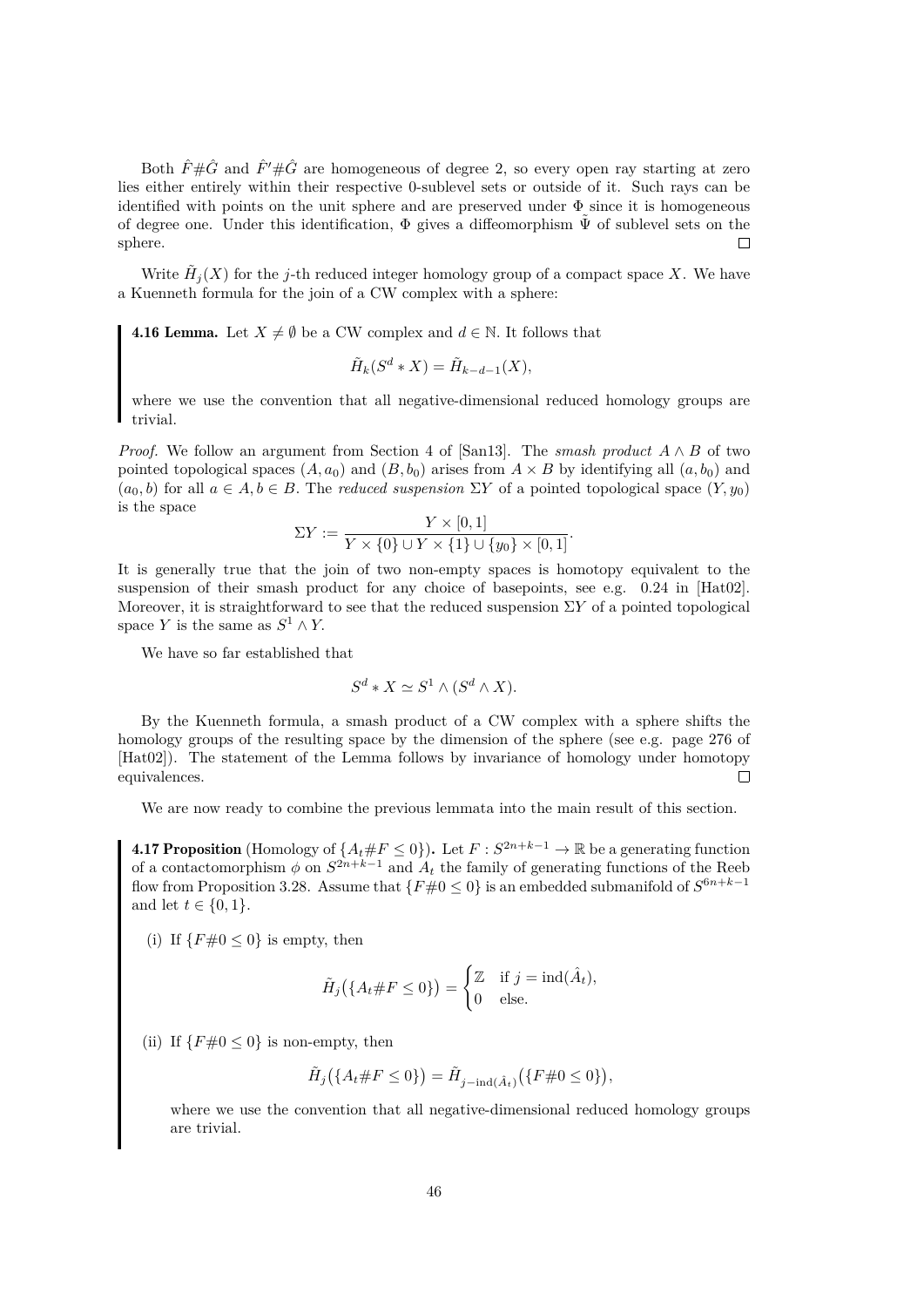Both  $\hat{F} \# \hat{G}$  and  $\hat{F}' \# \hat{G}$  are homogeneous of degree 2, so every open ray starting at zero lies either entirely within their respective 0-sublevel sets or outside of it. Such rays can be identified with points on the unit sphere and are preserved under  $\Phi$  since it is homogeneous of degree one. Under this identification,  $\Phi$  gives a diffeomorphism  $\tilde{\Psi}$  of sublevel sets on the sphere.  $\Box$ 

Write  $\tilde{H}_j(X)$  for the j-th reduced integer homology group of a compact space X. We have a Kuenneth formula for the join of a CW complex with a sphere:

<span id="page-49-1"></span>**4.16 Lemma.** Let  $X \neq \emptyset$  be a CW complex and  $d \in \mathbb{N}$ . It follows that

$$
\tilde{H}_k(S^d * X) = \tilde{H}_{k-d-1}(X),
$$

where we use the convention that all negative-dimensional reduced homology groups are trivial.

*Proof.* We follow an argument from Section 4 of [\[San13\]](#page-60-1). The *smash product* A ∧ B of two pointed topological spaces  $(A, a_0)$  and  $(B, b_0)$  arises from  $A \times B$  by identifying all  $(a, b_0)$  and  $(a_0, b)$  for all  $a \in A, b \in B$ . The *reduced suspension*  $\Sigma Y$  of a pointed topological space  $(Y, y_0)$ is the space

$$
\Sigma Y := \frac{Y \times [0,1]}{Y \times \{0\} \cup Y \times \{1\} \cup \{y_0\} \times [0,1]}.
$$

It is generally true that the join of two non-empty spaces is homotopy equivalent to the suspension of their smash product for any choice of basepoints, see e.g. 0.24 in [\[Hat02\]](#page-59-18). Moreover, it is straightforward to see that the reduced suspension  $\Sigma Y$  of a pointed topological space Y is the same as  $S^1 \wedge Y$ .

We have so far established that

$$
S^d * X \simeq S^1 \wedge (S^d \wedge X).
$$

By the Kuenneth formula, a smash product of a CW complex with a sphere shifts the homology groups of the resulting space by the dimension of the sphere (see e.g. page 276 of [\[Hat02\]](#page-59-18)). The statement of the Lemma follows by invariance of homology under homotopy equivalences.  $\Box$ 

We are now ready to combine the previous lemmata into the main result of this section.

<span id="page-49-0"></span>**4.17 Proposition** (Homology of  $\{A_t \# F \leq 0\}$ ). Let  $F : S^{2n+k-1} \to \mathbb{R}$  be a generating function of a contactomorphism  $\phi$  on  $S^{2n+k-1}$  and  $A_t$  the family of generating functions of the Reeb flow from Proposition [3.28.](#page-35-1) Assume that  $\{F\#0 \le 0\}$  is an embedded submanifold of  $S^{6n+k-1}$ and let  $t \in \{0, 1\}.$ 

(i) If  $\{F \# 0 \leq 0\}$  is empty, then

$$
\tilde{H}_j\big(\{A_t\#F\leq 0\}\big) = \begin{cases} \mathbb{Z} & \text{if } j = \text{ind}(\hat{A}_t), \\ 0 & \text{else.} \end{cases}
$$

(ii) If  $\{F \# 0 \le 0\}$  is non-empty, then

$$
\tilde{H}_j(\{A_t \# F \le 0\}) = \tilde{H}_{j-\text{ind}(\hat{A}_t)}(\{F \# 0 \le 0\}),
$$

where we use the convention that all negative-dimensional reduced homology groups are trivial.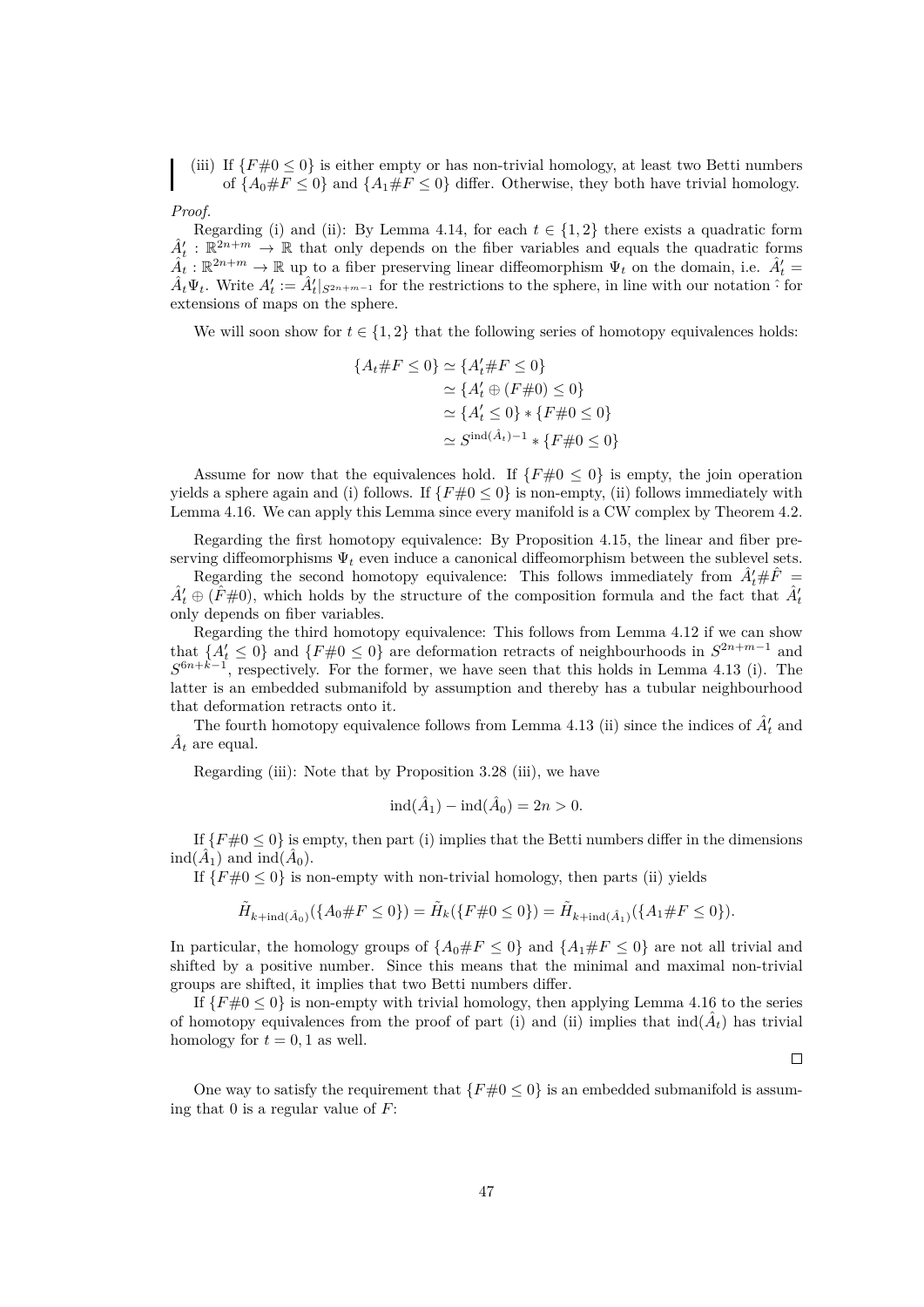(iii) If  $\{F \neq 0 \leq 0\}$  is either empty or has non-trivial homology, at least two Betti numbers of  ${A_0 \# F \leq 0}$  and  ${A_1 \# F \leq 0}$  differ. Otherwise, they both have trivial homology.

*Proof.*

Regarding (i) and (ii): By Lemma [4.14,](#page-47-0) for each  $t \in \{1,2\}$  there exists a quadratic form  $A_t$ :  $\mathbb{R}^{2n+m} \to \mathbb{R}$  that only depends on the fiber variables and equals the quadratic forms  $\hat{A}_t : \mathbb{R}^{2n+m} \to \mathbb{R}$  up to a fiber preserving linear diffeomorphism  $\Psi_t$  on the domain, i.e.  $\hat{A}_t' =$  $\hat{A}_t \Psi_t$ . Write  $A'_t := \hat{A}'_t|_{S^{2n+m-1}}$  for the restrictions to the sphere, in line with our notation  $\hat{S}$  for extensions of maps on the sphere.

We will soon show for  $t \in \{1,2\}$  that the following series of homotopy equivalences holds:

$$
\{A_t \# F \le 0\} \simeq \{A'_t \# F \le 0\}
$$
  
\n
$$
\simeq \{A'_t \oplus (F \# 0) \le 0\}
$$
  
\n
$$
\simeq \{A'_t \le 0\} * \{F \# 0 \le 0\}
$$
  
\n
$$
\simeq S^{\text{ind}(\hat{A}_t) - 1} * \{F \# 0 \le 0\}
$$

Assume for now that the equivalences hold. If  $\{F#0 \le 0\}$  is empty, the join operation yields a sphere again and (i) follows. If  $\{F \neq 0 \leq 0\}$  is non-empty, (ii) follows immediately with Lemma [4.16.](#page-49-1) We can apply this Lemma since every manifold is a CW complex by Theorem [4.2.](#page-39-4)

Regarding the first homotopy equivalence: By Proposition [4.15,](#page-48-4) the linear and fiber preserving diffeomorphisms  $\Psi_t$  even induce a canonical diffeomorphism between the sublevel sets.

Regarding the second homotopy equivalence: This follows immediately from  $\hat{A}'_t \# \hat{F} =$  $\hat{A}'_t \oplus (\hat{F} \# 0)$ , which holds by the structure of the composition formula and the fact that  $\hat{A}'_t$ only depends on fiber variables.

Regarding the third homotopy equivalence: This follows from Lemma [4.12](#page-46-0) if we can show that  $\{A_t' \leq 0\}$  and  $\{F \neq 0 \leq 0\}$  are deformation retracts of neighbourhoods in  $S^{2n+m-1}$  and  $S^{6n+k-1}$ , respectively. For the former, we have seen that this holds in Lemma [4.13](#page-47-1) (i). The latter is an embedded submanifold by assumption and thereby has a tubular neighbourhood that deformation retracts onto it.

The fourth homotopy equivalence follows from Lemma [4.13](#page-47-1) (ii) since the indices of  $\hat{A}'_t$  and  $\hat{A}_t$  are equal.

Regarding (iii): Note that by Proposition [3.28](#page-35-1) (iii), we have

$$
ind(\hat{A}_1) - ind(\hat{A}_0) = 2n > 0.
$$

If  $\{F \neq 0 \leq 0\}$  is empty, then part (i) implies that the Betti numbers differ in the dimensions  $\text{ind}(\hat{A}_1)$  and  $\text{ind}(\hat{A}_0)$ .

If  ${F#0 \leq 0}$  is non-empty with non-trivial homology, then parts (ii) yields

$$
\tilde{H}_{k+\text{ind}(\hat{A}_0)}(\{A_0\#F\leq 0\}) = \tilde{H}_k(\{F\#0\leq 0\}) = \tilde{H}_{k+\text{ind}(\hat{A}_1)}(\{A_1\#F\leq 0\}).
$$

In particular, the homology groups of  $\{A_0 \# F \le 0\}$  and  $\{A_1 \# F \le 0\}$  are not all trivial and shifted by a positive number. Since this means that the minimal and maximal non-trivial groups are shifted, it implies that two Betti numbers differ.

If  ${F#0 \le 0}$  is non-empty with trivial homology, then applying Lemma [4.16](#page-49-1) to the series of homotopy equivalences from the proof of part (i) and (ii) implies that  $\text{ind}(\hat{A}_t)$  has trivial homology for  $t = 0, 1$  as well.

 $\Box$ 

One way to satisfy the requirement that  $\{F \neq 0 \leq 0\}$  is an embedded submanifold is assuming that 0 is a regular value of  $F$ :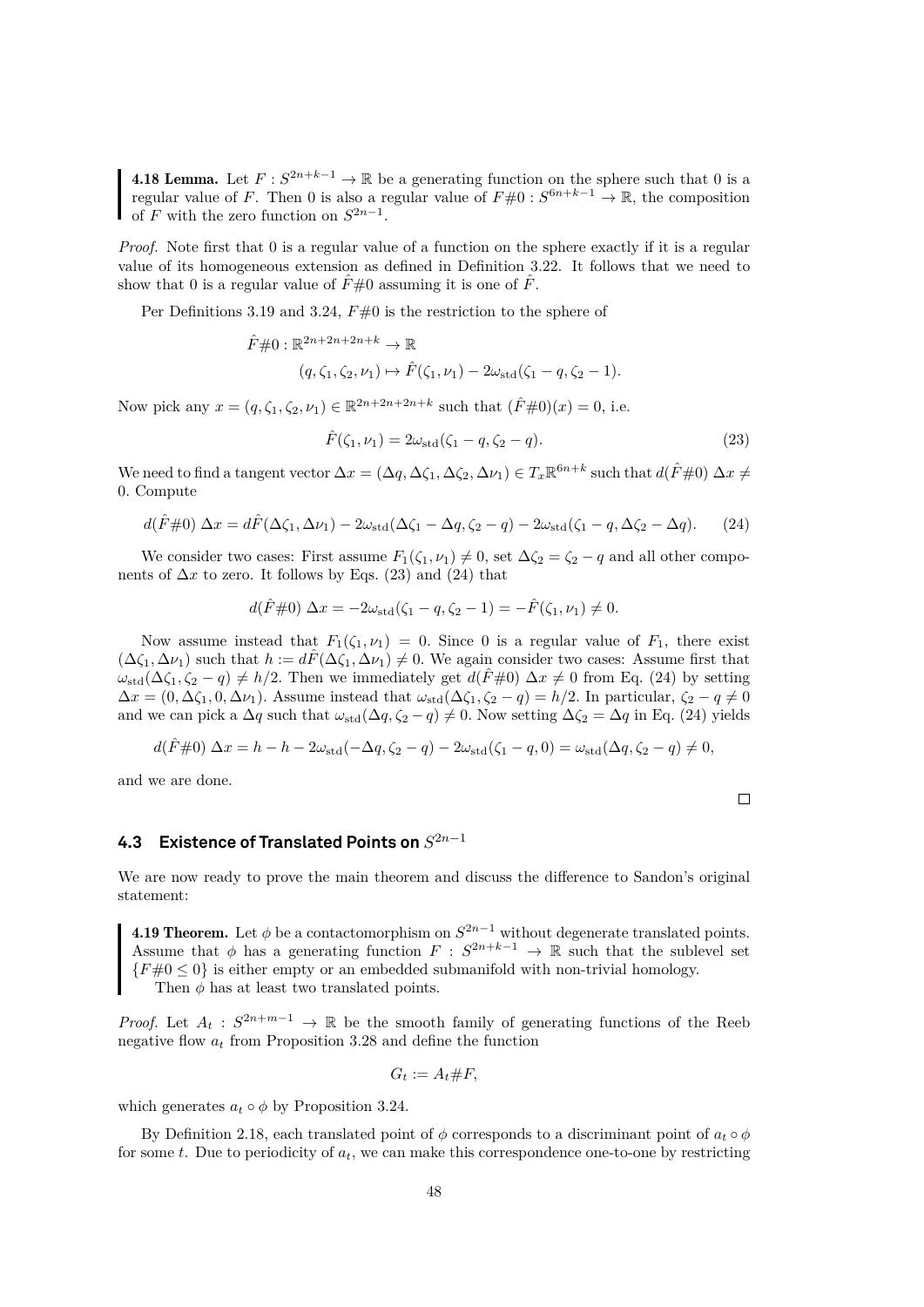<span id="page-51-4"></span>**4.18 Lemma.** Let  $F: S^{2n+k-1} \to \mathbb{R}$  be a generating function on the sphere such that 0 is a regular value of F. Then 0 is also a regular value of  $F\#0: S^{6n+k-1} \to \mathbb{R}$ , the composition of F with the zero function on  $S^{2n-1}$ .

*Proof.* Note first that 0 is a regular value of a function on the sphere exactly if it is a regular value of its homogeneous extension as defined in Definition [3.22.](#page-32-0) It follows that we need to show that 0 is a regular value of  $\hat{F} \neq 0$  assuming it is one of  $\hat{F}$ .

Per Definitions [3.19](#page-28-2) and [3.24,](#page-32-1)  $F\neq 0$  is the restriction to the sphere of

$$
\hat{F} \# 0 : \mathbb{R}^{2n+2n+2n+k} \to \mathbb{R}
$$
  

$$
(q, \zeta_1, \zeta_2, \nu_1) \mapsto \hat{F}(\zeta_1, \nu_1) - 2\omega_{\text{std}}(\zeta_1 - q, \zeta_2 - 1).
$$

Now pick any  $x = (q, \zeta_1, \zeta_2, \nu_1) \in \mathbb{R}^{2n+2n+2n+k}$  such that  $(\hat{F} \# 0)(x) = 0$ , i.e.

<span id="page-51-1"></span>
$$
\hat{F}(\zeta_1, \nu_1) = 2\omega_{\text{std}}(\zeta_1 - q, \zeta_2 - q). \tag{23}
$$

We need to find a tangent vector  $\Delta x = (\Delta q, \Delta \zeta_1, \Delta \zeta_2, \Delta \nu_1) \in T_x \mathbb{R}^{6n+k}$  such that  $d(\hat{F} \# 0) \Delta x \neq 0$ 0. Compute

<span id="page-51-2"></span>
$$
d(\hat{F}\#0) \Delta x = d\hat{F}(\Delta\zeta_1, \Delta\nu_1) - 2\omega_{\text{std}}(\Delta\zeta_1 - \Delta q, \zeta_2 - q) - 2\omega_{\text{std}}(\zeta_1 - q, \Delta\zeta_2 - \Delta q). \tag{24}
$$

We consider two cases: First assume  $F_1(\zeta_1, \nu_1) \neq 0$ , set  $\Delta \zeta_2 = \zeta_2 - q$  and all other components of  $\Delta x$  to zero. It follows by Eqs. [\(23\)](#page-51-1) and [\(24\)](#page-51-2) that

$$
d(\hat{F}\#0) \Delta x = -2\omega_{\rm std}(\zeta_1 - q, \zeta_2 - 1) = -\hat{F}(\zeta_1, \nu_1) \neq 0.
$$

Now assume instead that  $F_1(\zeta_1, \nu_1) = 0$ . Since 0 is a regular value of  $F_1$ , there exist  $(\Delta \zeta_1, \Delta \nu_1)$  such that  $h := d\hat{F}(\Delta \zeta_1, \Delta \nu_1) \neq 0$ . We again consider two cases: Assume first that  $\omega_{\text{std}}(\Delta \zeta_1, \zeta_2 - q) \neq h/2$ . Then we immediately get  $d(\hat{F} \# 0) \Delta x \neq 0$  from Eq. [\(24\)](#page-51-2) by setting  $\Delta x = (0, \Delta \zeta_1, 0, \Delta \nu_1)$ . Assume instead that  $\omega_{\text{std}}(\Delta \zeta_1, \zeta_2 - q) = h/2$ . In particular,  $\zeta_2 - q \neq 0$ and we can pick a  $\Delta q$  such that  $\omega_{\text{std}}(\Delta q, \zeta_2 - q) \neq 0$ . Now setting  $\Delta \zeta_2 = \Delta q$  in Eq. [\(24\)](#page-51-2) yields

$$
d(\hat{F}\#0) \Delta x = h - h - 2\omega_{\rm std}(-\Delta q, \zeta_2 - q) - 2\omega_{\rm std}(\zeta_1 - q, 0) = \omega_{\rm std}(\Delta q, \zeta_2 - q) \neq 0,
$$

and we are done.

### <span id="page-51-0"></span>**4.3 Existence of Translated Points on** S 2n−1

We are now ready to prove the main theorem and discuss the difference to Sandon's original statement:

<span id="page-51-3"></span>**4.19 Theorem.** Let  $\phi$  be a contactomorphism on  $S^{2n-1}$  without degenerate translated points. Assume that  $\phi$  has a generating function  $F : S^{2n+k-1} \to \mathbb{R}$  such that the sublevel set  ${F#0 \le 0}$  is either empty or an embedded submanifold with non-trivial homology. Then  $\phi$  has at least two translated points.

*Proof.* Let  $A_t$ :  $S^{2n+m-1} \to \mathbb{R}$  be the smooth family of generating functions of the Reeb negative flow  $a_t$  from Proposition [3.28](#page-35-1) and define the function

$$
G_t := A_t \# F,
$$

which generates  $a_t \circ \phi$  by Proposition [3.24.](#page-32-1)

By Definition [2.18,](#page-14-0) each translated point of  $\phi$  corresponds to a discriminant point of  $a_t \circ \phi$ for some t. Due to periodicity of  $a_t$ , we can make this correspondence one-to-one by restricting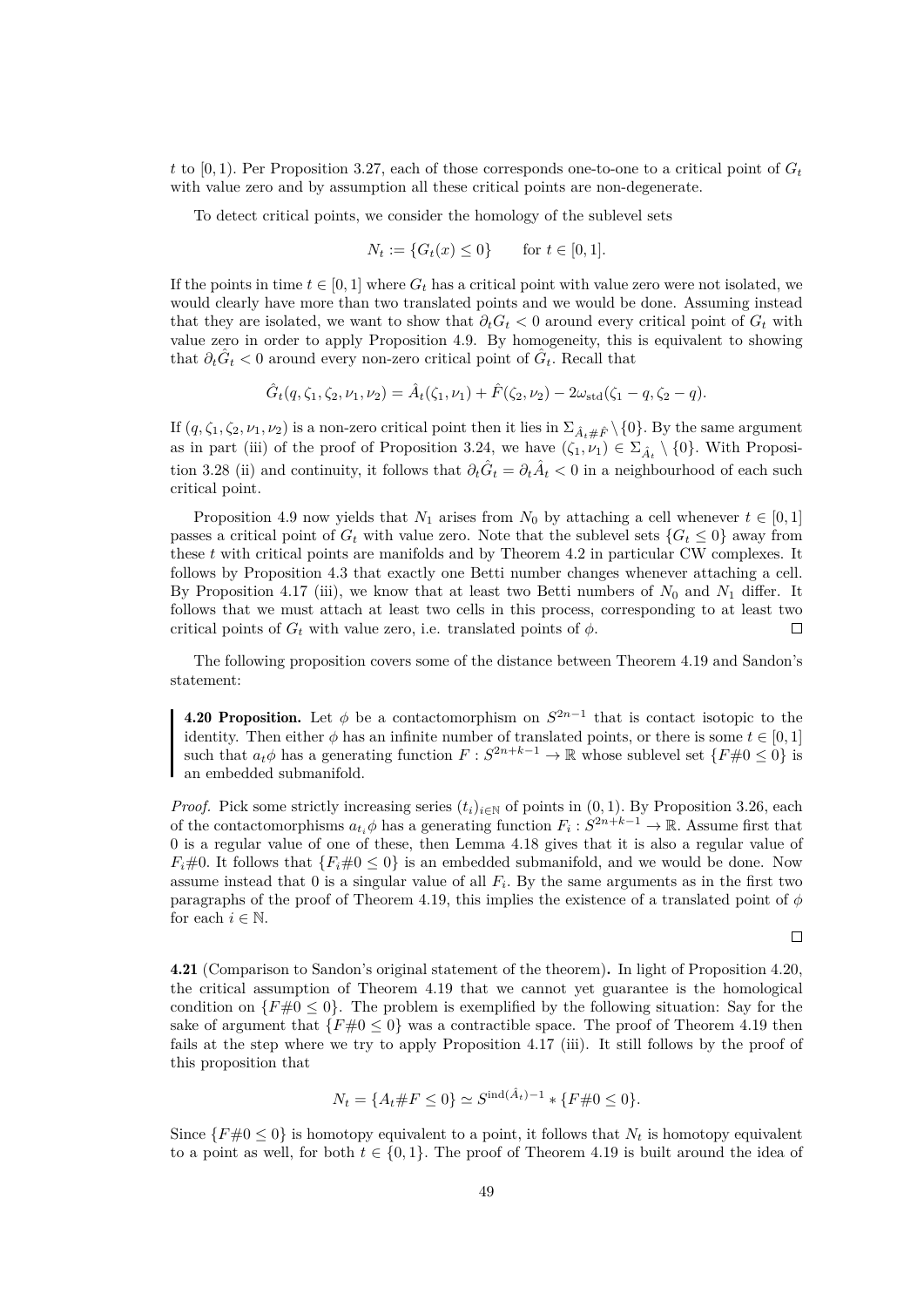t to [0, 1). Per Proposition [3.27,](#page-34-1) each of those corresponds one-to-one to a critical point of  $G_t$ with value zero and by assumption all these critical points are non-degenerate.

To detect critical points, we consider the homology of the sublevel sets

$$
N_t := \{ G_t(x) \le 0 \} \quad \text{for } t \in [0, 1].
$$

If the points in time  $t \in [0, 1]$  where  $G_t$  has a critical point with value zero were not isolated, we would clearly have more than two translated points and we would be done. Assuming instead that they are isolated, we want to show that  $\partial_t G_t < 0$  around every critical point of  $G_t$  with value zero in order to apply Proposition [4.9.](#page-45-2) By homogeneity, this is equivalent to showing that  $\partial_t \hat{G}_t < 0$  around every non-zero critical point of  $\hat{G}_t$ . Recall that

 $\hat{G}_t(q, \zeta_1, \zeta_2, \nu_1, \nu_2) = \hat{A}_t(\zeta_1, \nu_1) + \hat{F}(\zeta_2, \nu_2) - 2\omega_{\text{std}}(\zeta_1 - q, \zeta_2 - q).$ 

If  $(q, \zeta_1, \zeta_2, \nu_1, \nu_2)$  is a non-zero critical point then it lies in  $\Sigma_{\hat{A}_t\# \hat{F}} \setminus \{0\}$ . By the same argument as in part (iii) of the proof of Proposition [3.24,](#page-32-1) we have  $(\zeta_1, \nu_1) \in \Sigma_{\hat{A}_t} \setminus \{0\}$ . With Proposi-tion [3.28](#page-35-1) (ii) and continuity, it follows that  $\partial_t \hat{G}_t = \partial_t \hat{A}_t < 0$  in a neighbourhood of each such critical point.

Proposition [4.9](#page-45-2) now yields that  $N_1$  arises from  $N_0$  by attaching a cell whenever  $t \in [0,1]$ passes a critical point of  $G_t$  with value zero. Note that the sublevel sets  ${G_t \leq 0}$  away from these t with critical points are manifolds and by Theorem [4.2](#page-39-4) in particular CW complexes. It follows by Proposition [4.3](#page-39-5) that exactly one Betti number changes whenever attaching a cell. By Proposition [4.17](#page-49-0) (iii), we know that at least two Betti numbers of  $N_0$  and  $N_1$  differ. It follows that we must attach at least two cells in this process, corresponding to at least two critical points of  $G_t$  with value zero, i.e. translated points of  $\phi$ .  $\Box$ 

The following proposition covers some of the distance between Theorem [4.19](#page-51-3) and Sandon's statement:

<span id="page-52-1"></span>**4.20 Proposition.** Let  $\phi$  be a contactomorphism on  $S^{2n-1}$  that is contact isotopic to the identity. Then either  $\phi$  has an infinite number of translated points, or there is some  $t \in [0, 1]$ such that  $a_t \phi$  has a generating function  $F : S^{2n+k-1} \to \mathbb{R}$  whose sublevel set  $\{F \neq 0 \leq 0\}$  is an embedded submanifold.

*Proof.* Pick some strictly increasing series  $(t_i)_{i\in\mathbb{N}}$  of points in  $(0, 1)$ . By Proposition [3.26,](#page-34-2) each of the contactomorphisms  $a_{t_i}\phi$  has a generating function  $F_i: S^{2n+k-1} \to \mathbb{R}$ . Assume first that 0 is a regular value of one of these, then Lemma [4.18](#page-51-4) gives that it is also a regular value of  $F_i \neq 0$ . It follows that  $\{F_i \neq 0 \leq 0\}$  is an embedded submanifold, and we would be done. Now assume instead that  $0$  is a singular value of all  $F_i$ . By the same arguments as in the first two paragraphs of the proof of Theorem [4.19,](#page-51-3) this implies the existence of a translated point of  $\phi$ for each  $i \in \mathbb{N}$ .

 $\Box$ 

<span id="page-52-0"></span>4.21 (Comparison to Sandon's original statement of the theorem). In light of Proposition [4.20,](#page-52-1) the critical assumption of Theorem [4.19](#page-51-3) that we cannot yet guarantee is the homological condition on  $\{F \neq 0 \leq 0\}$ . The problem is exemplified by the following situation: Say for the sake of argument that  $\{F \neq 0 \leq 0\}$  was a contractible space. The proof of Theorem [4.19](#page-51-3) then fails at the step where we try to apply Proposition [4.17](#page-49-0) (iii). It still follows by the proof of this proposition that

$$
N_t = \{A_t \# F \le 0\} \simeq S^{\text{ind}(\hat{A}_t) - 1} * \{F \# 0 \le 0\}.
$$

Since  $\{F \neq 0 \leq 0\}$  is homotopy equivalent to a point, it follows that  $N_t$  is homotopy equivalent to a point as well, for both  $t \in \{0, 1\}$ . The proof of Theorem [4.19](#page-51-3) is built around the idea of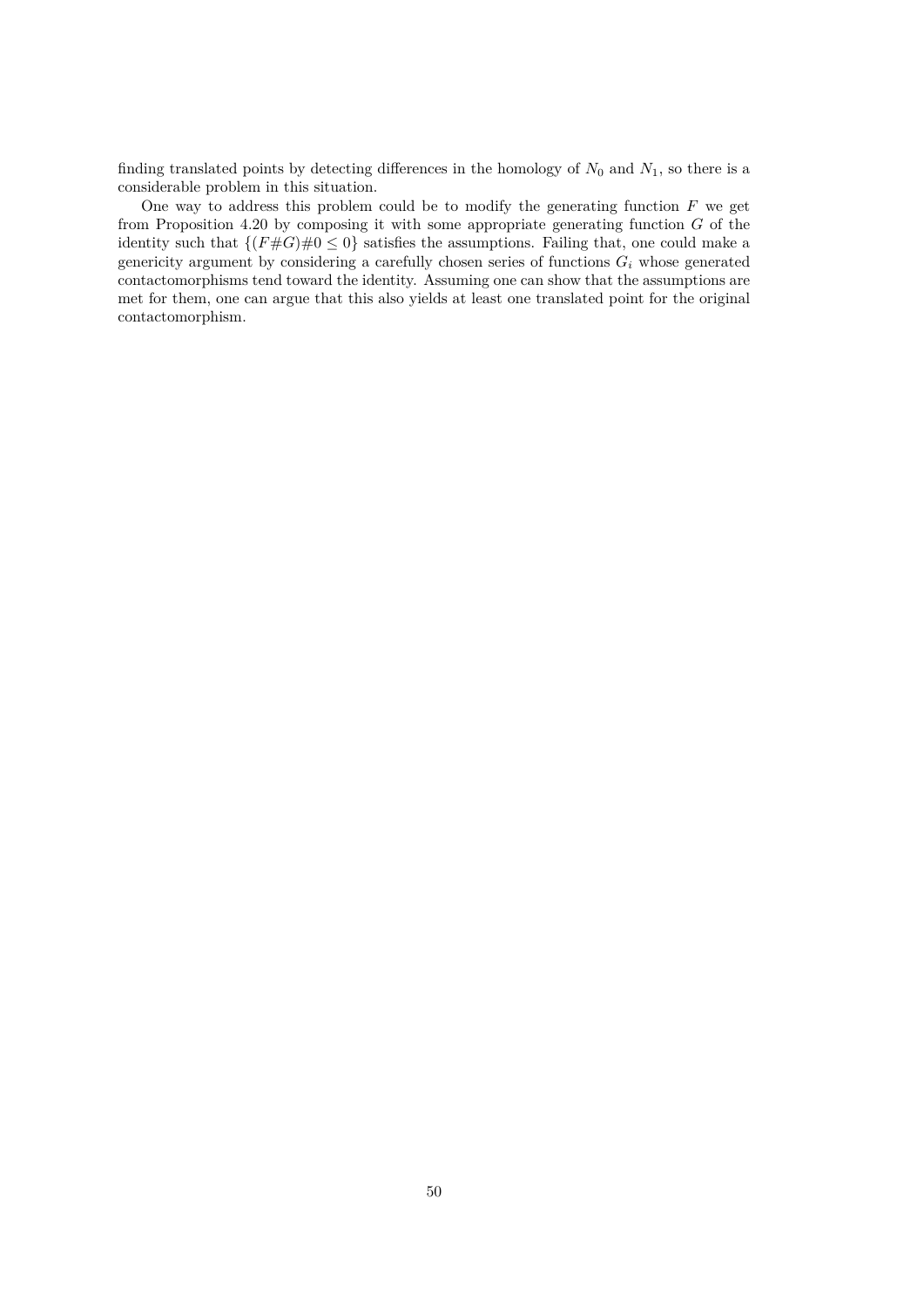finding translated points by detecting differences in the homology of  $N_0$  and  $N_1$ , so there is a considerable problem in this situation.

One way to address this problem could be to modify the generating function  $F$  we get from Proposition [4.20](#page-52-1) by composing it with some appropriate generating function  $G$  of the identity such that  $\{(F \# G) \# 0 \leq 0\}$  satisfies the assumptions. Failing that, one could make a genericity argument by considering a carefully chosen series of functions  $G_i$  whose generated contactomorphisms tend toward the identity. Assuming one can show that the assumptions are met for them, one can argue that this also yields at least one translated point for the original contactomorphism.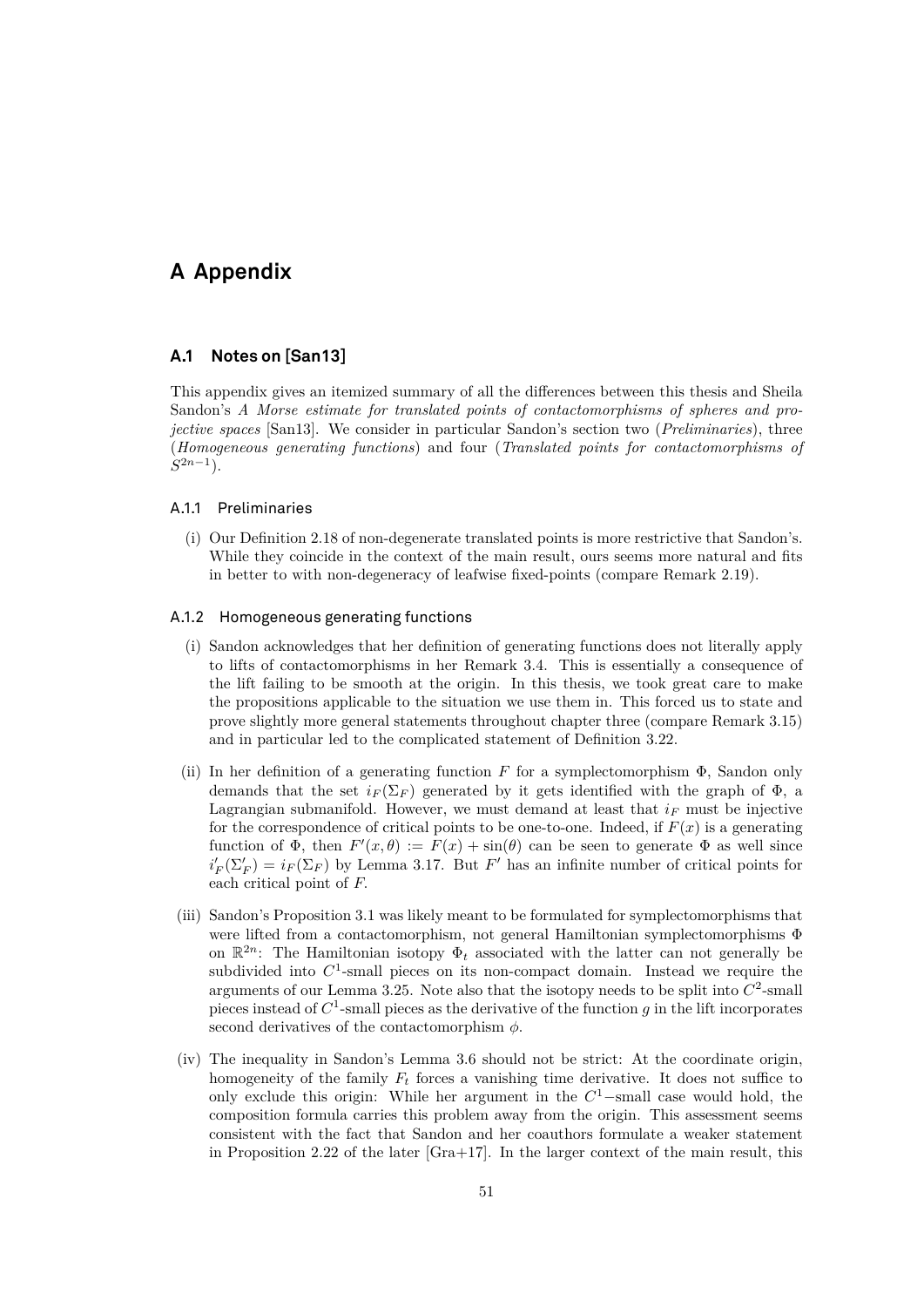# <span id="page-54-0"></span>**A Appendix**

#### <span id="page-54-1"></span>**A.1 Notes on [\[San13\]](#page-60-1)**

This appendix gives an itemized summary of all the differences between this thesis and Sheila Sandon's *A Morse estimate for translated points of contactomorphisms of spheres and projective spaces* [\[San13\]](#page-60-1). We consider in particular Sandon's section two (*Preliminaries*), three (*Homogeneous generating functions*) and four (*Translated points for contactomorphisms of*  $S^{2n-1}$ ).

#### A.1.1 Preliminaries

(i) Our Definition [2.18](#page-14-0) of non-degenerate translated points is more restrictive that Sandon's. While they coincide in the context of the main result, ours seems more natural and fits in better to with non-degeneracy of leafwise fixed-points (compare Remark [2.19\)](#page-14-1).

#### A.1.2 Homogeneous generating functions

- (i) Sandon acknowledges that her definition of generating functions does not literally apply to lifts of contactomorphisms in her Remark 3.4. This is essentially a consequence of the lift failing to be smooth at the origin. In this thesis, we took great care to make the propositions applicable to the situation we use them in. This forced us to state and prove slightly more general statements throughout chapter three (compare Remark [3.15\)](#page-27-3) and in particular led to the complicated statement of Definition [3.22.](#page-32-0)
- (ii) In her definition of a generating function F for a symplectomorphism  $\Phi$ , Sandon only demands that the set  $i_F(\Sigma_F)$  generated by it gets identified with the graph of  $\Phi$ , a Lagrangian submanifold. However, we must demand at least that  $i_F$  must be injective for the correspondence of critical points to be one-to-one. Indeed, if  $F(x)$  is a generating function of  $\Phi$ , then  $F'(x,\theta) := F(x) + \sin(\theta)$  can be seen to generate  $\Phi$  as well since  $i_F'(\Sigma'_F) = i_F(\Sigma_F)$  by Lemma [3.17.](#page-27-0) But F' has an infinite number of critical points for each critical point of F.
- (iii) Sandon's Proposition 3.1 was likely meant to be formulated for symplectomorphisms that were lifted from a contactomorphism, not general Hamiltonian symplectomorphisms Φ on  $\mathbb{R}^{2n}$ : The Hamiltonian isotopy  $\Phi_t$  associated with the latter can not generally be subdivided into  $C<sup>1</sup>$ -small pieces on its non-compact domain. Instead we require the arguments of our Lemma [3.25.](#page-33-1) Note also that the isotopy needs to be split into  $C^2$ -small pieces instead of  $C^1$ -small pieces as the derivative of the function g in the lift incorporates second derivatives of the contactomorphism  $\phi$ .
- (iv) The inequality in Sandon's Lemma 3.6 should not be strict: At the coordinate origin, homogeneity of the family  $F_t$  forces a vanishing time derivative. It does not suffice to only exclude this origin: While her argument in the  $C<sup>1</sup>$ -small case would hold, the composition formula carries this problem away from the origin. This assessment seems consistent with the fact that Sandon and her coauthors formulate a weaker statement in Proposition 2.22 of the later  $[Gra+17]$ . In the larger context of the main result, this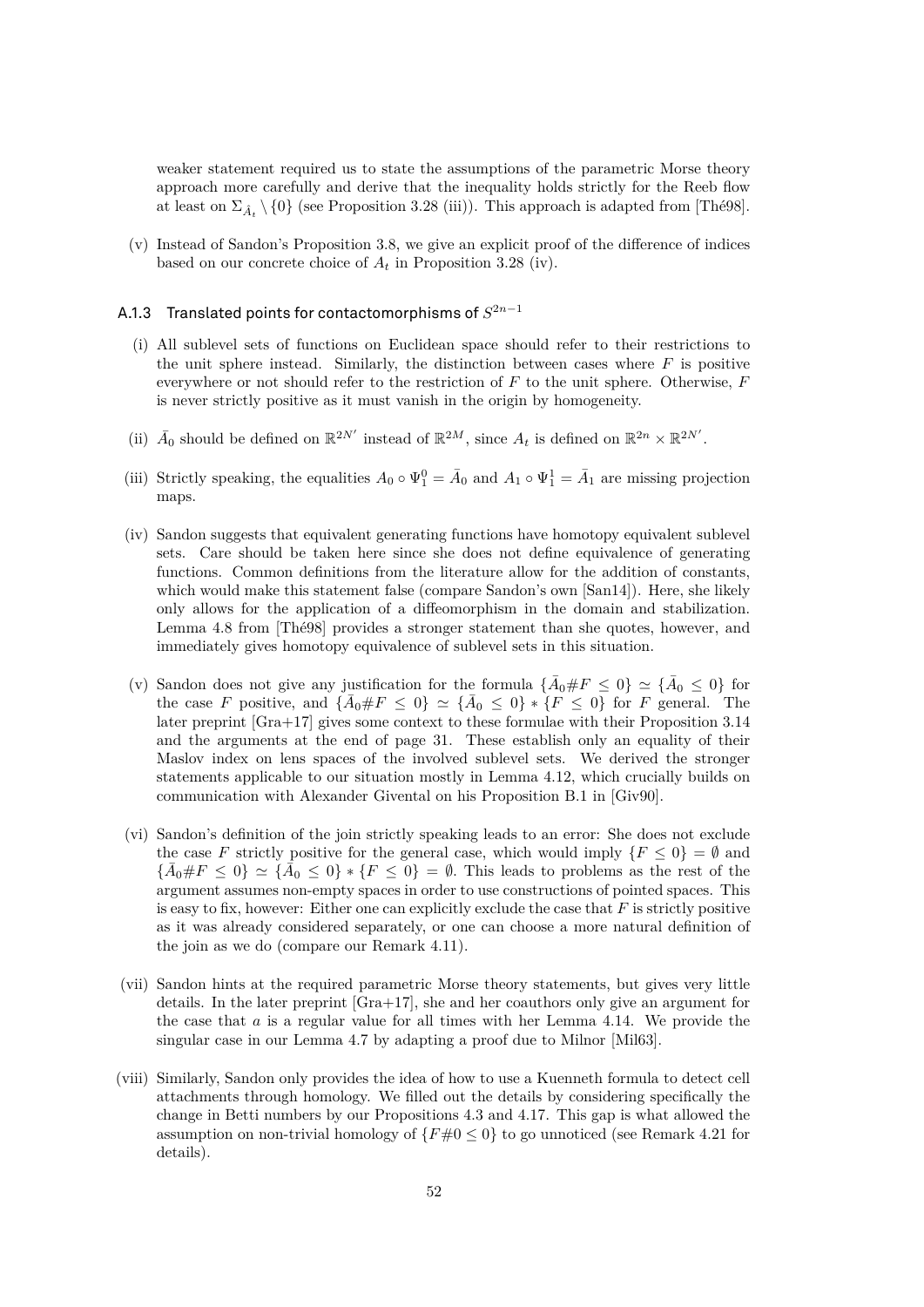weaker statement required us to state the assumptions of the parametric Morse theory approach more carefully and derive that the inequality holds strictly for the Reeb flow at least on  $\Sigma_{\hat{A}_t} \setminus \{0\}$  (see Proposition [3.28](#page-35-1) (iii)). This approach is adapted from [\[Thé98\]](#page-60-3).

(v) Instead of Sandon's Proposition 3.8, we give an explicit proof of the difference of indices based on our concrete choice of  $A_t$  in Proposition [3.28](#page-35-1) (iv).

#### <code>A.1.3  $\,$  Translated points for contactomorphisms of  $S^{2n-1}$ </code>

- (i) All sublevel sets of functions on Euclidean space should refer to their restrictions to the unit sphere instead. Similarly, the distinction between cases where  $F$  is positive everywhere or not should refer to the restriction of  $F$  to the unit sphere. Otherwise,  $F$ is never strictly positive as it must vanish in the origin by homogeneity.
- (ii)  $\bar{A}_0$  should be defined on  $\mathbb{R}^{2N'}$  instead of  $\mathbb{R}^{2M}$ , since  $A_t$  is defined on  $\mathbb{R}^{2n} \times \mathbb{R}^{2N'}$ .
- (iii) Strictly speaking, the equalities  $A_0 \circ \Psi_1^0 = \overline{A}_0$  and  $A_1 \circ \Psi_1^1 = \overline{A}_1$  are missing projection maps.
- (iv) Sandon suggests that equivalent generating functions have homotopy equivalent sublevel sets. Care should be taken here since she does not define equivalence of generating functions. Common definitions from the literature allow for the addition of constants, which would make this statement false (compare Sandon's own [\[San14\]](#page-60-5)). Here, she likely only allows for the application of a diffeomorphism in the domain and stabilization. Lemma 4.8 from [\[Thé98\]](#page-60-3) provides a stronger statement than she quotes, however, and immediately gives homotopy equivalence of sublevel sets in this situation.
- (v) Sandon does not give any justification for the formula  $\{\bar{A}_0 \# F \leq 0\} \simeq \{\bar{A}_0 \leq 0\}$  for the case F positive, and  $\{\bar{A}_0 \# F \leq 0\} \simeq \{\bar{A}_0 \leq 0\} * \{F \leq 0\}$  for F general. The later preprint [\[Gra+17\]](#page-59-0) gives some context to these formulae with their Proposition 3.14 and the arguments at the end of page 31. These establish only an equality of their Maslov index on lens spaces of the involved sublevel sets. We derived the stronger statements applicable to our situation mostly in Lemma [4.12,](#page-46-0) which crucially builds on communication with Alexander Givental on his Proposition B.1 in [\[Giv90\]](#page-59-1).
- (vi) Sandon's definition of the join strictly speaking leads to an error: She does not exclude the case F strictly positive for the general case, which would imply  $\{F \le 0\} = \emptyset$  and  $\{\bar{A}_0 \# F \leq 0\} \simeq \{\bar{A}_0 \leq 0\} * \{F \leq 0\} = \emptyset$ . This leads to problems as the rest of the argument assumes non-empty spaces in order to use constructions of pointed spaces. This is easy to fix, however: Either one can explicitly exclude the case that  $F$  is strictly positive as it was already considered separately, or one can choose a more natural definition of the join as we do (compare our Remark [4.11\)](#page-45-3).
- (vii) Sandon hints at the required parametric Morse theory statements, but gives very little details. In the later preprint [\[Gra+17\]](#page-59-0), she and her coauthors only give an argument for the case that  $a$  is a regular value for all times with her Lemma 4.14. We provide the singular case in our Lemma [4.7](#page-41-1) by adapting a proof due to Milnor [\[Mil63\]](#page-59-15).
- <span id="page-55-0"></span>(viii) Similarly, Sandon only provides the idea of how to use a Kuenneth formula to detect cell attachments through homology. We filled out the details by considering specifically the change in Betti numbers by our Propositions [4.3](#page-39-5) and [4.17.](#page-49-0) This gap is what allowed the assumption on non-trivial homology of  ${F#0 \le 0}$  to go unnoticed (see Remark [4.21](#page-52-0) for details).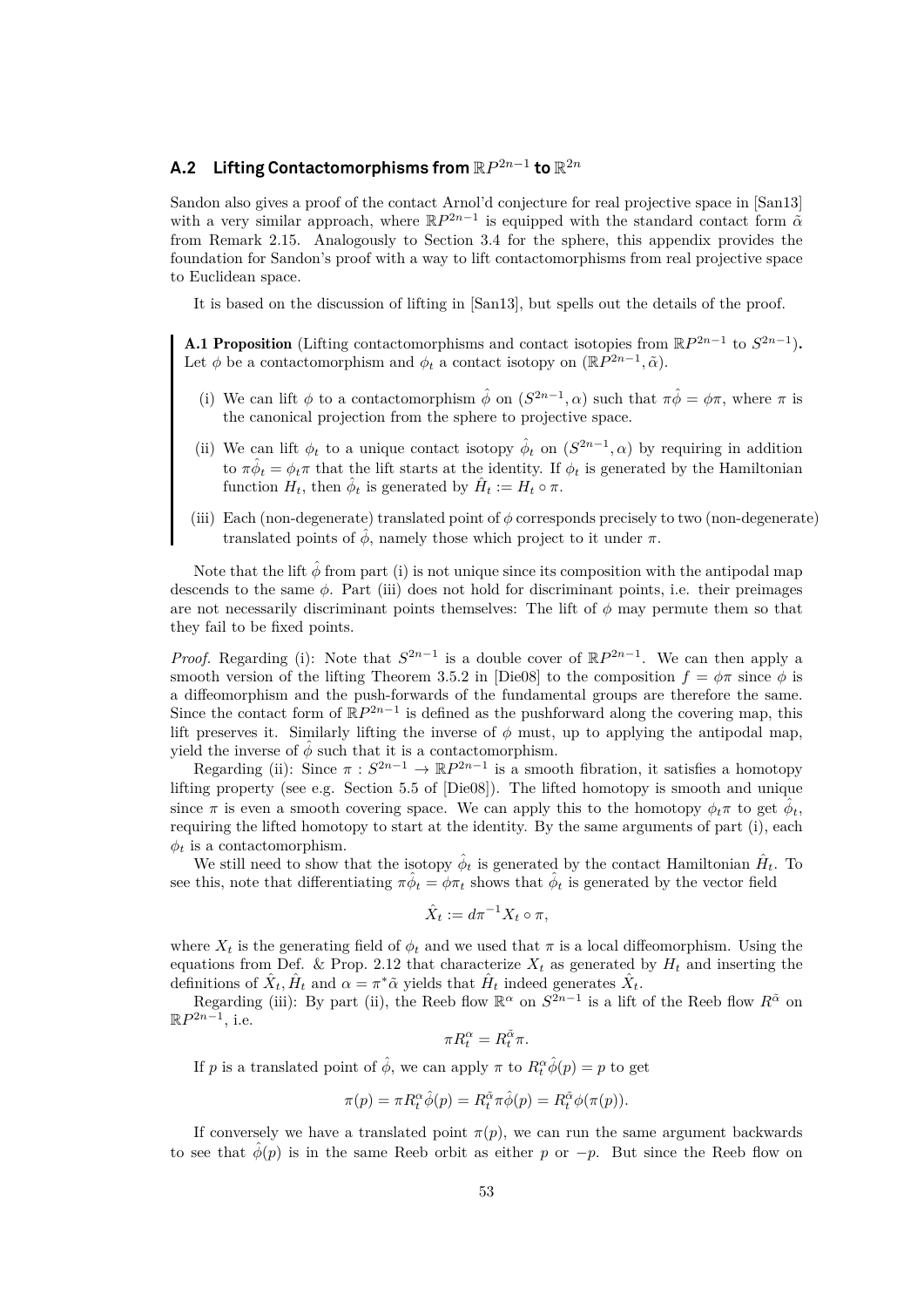# **A.2** Lifting Contactomorphisms from  $\mathbb{R}P^{2n-1}$  to  $\mathbb{R}^{2n}$

Sandon also gives a proof of the contact Arnol'd conjecture for real projective space in [\[San13\]](#page-60-1) with a very similar approach, where  $\mathbb{R}P^{2n-1}$  is equipped with the standard contact form  $\tilde{\alpha}$ from Remark [2.15.](#page-12-2) Analogously to Section [3.4](#page-30-0) for the sphere, this appendix provides the foundation for Sandon's proof with a way to lift contactomorphisms from real projective space to Euclidean space.

It is based on the discussion of lifting in [\[San13\]](#page-60-1), but spells out the details of the proof.

**A.1 Proposition** (Lifting contactomorphisms and contact isotopies from  $\mathbb{R}P^{2n-1}$  to  $S^{2n-1}$ ). Let  $\phi$  be a contactomorphism and  $\phi_t$  a contact isotopy on  $(\mathbb{R}P^{2n-1}, \tilde{\alpha})$ .

- (i) We can lift  $\phi$  to a contactomorphism  $\hat{\phi}$  on  $(S^{2n-1}, \alpha)$  such that  $\pi \hat{\phi} = \phi \pi$ , where  $\pi$  is the canonical projection from the sphere to projective space.
- (ii) We can lift  $\phi_t$  to a unique contact isotopy  $\hat{\phi}_t$  on  $(S^{2n-1}, \alpha)$  by requiring in addition to  $\pi \hat{\phi}_t = \phi_t \pi$  that the lift starts at the identity. If  $\phi_t$  is generated by the Hamiltonian function  $H_t$ , then  $\hat{\phi}_t$  is generated by  $\hat{H}_t := H_t \circ \pi$ .
- (iii) Each (non-degenerate) translated point of  $\phi$  corresponds precisely to two (non-degenerate) translated points of  $\hat{\phi}$ , namely those which project to it under  $\pi$ .

Note that the lift  $\hat{\phi}$  from part (i) is not unique since its composition with the antipodal map descends to the same  $\phi$ . Part (iii) does not hold for discriminant points, i.e. their preimages are not necessarily discriminant points themselves: The lift of  $\phi$  may permute them so that they fail to be fixed points.

*Proof.* Regarding (i): Note that  $S^{2n-1}$  is a double cover of  $\mathbb{R}P^{2n-1}$ . We can then apply a smooth version of the lifting Theorem 3.5.2 in [\[Die08\]](#page-58-17) to the composition  $f = \phi \pi$  since  $\phi$  is a diffeomorphism and the push-forwards of the fundamental groups are therefore the same. Since the contact form of  $\mathbb{R}P^{2n-1}$  is defined as the pushforward along the covering map, this lift preserves it. Similarly lifting the inverse of  $\phi$  must, up to applying the antipodal map, yield the inverse of  $\phi$  such that it is a contactomorphism.

Regarding (ii): Since  $\pi : S^{2n-1} \to \mathbb{R}P^{2n-1}$  is a smooth fibration, it satisfies a homotopy lifting property (see e.g. Section 5.5 of [\[Die08\]](#page-58-17)). The lifted homotopy is smooth and unique since  $\pi$  is even a smooth covering space. We can apply this to the homotopy  $\phi_t \pi$  to get  $\hat{\phi}_t$ , requiring the lifted homotopy to start at the identity. By the same arguments of part (i), each  $\phi_t$  is a contactomorphism.

We still need to show that the isotopy  $\hat{\phi}_t$  is generated by the contact Hamiltonian  $\hat{H}_t$ . To see this, note that differentiating  $\pi \hat{\phi}_t = \phi \pi_t$  shows that  $\hat{\phi}_t$  is generated by the vector field

$$
\hat{X}_t := d\pi^{-1}X_t \circ \pi,
$$

where  $X_t$  is the generating field of  $\phi_t$  and we used that  $\pi$  is a local diffeomorphism. Using the equations from Def. & Prop. [2.12](#page-11-0) that characterize  $X_t$  as generated by  $H_t$  and inserting the definitions of  $\hat{X}_t$ ,  $\hat{H}_t$  and  $\alpha = \pi^* \tilde{\alpha}$  yields that  $\hat{H}_t$  indeed generates  $\hat{X}_t$ .

Regarding (iii): By part (ii), the Reeb flow  $\mathbb{R}^{\alpha}$  on  $S^{2n-1}$  is a lift of the Reeb flow  $R^{\tilde{\alpha}}$  on  $\mathbb{R}P^{2n-1}$ , i.e.

$$
\pi R_t^{\alpha} = R_t^{\tilde{\alpha}} \pi.
$$

If p is a translated point of  $\hat{\phi}$ , we can apply  $\pi$  to  $R_t^{\alpha} \hat{\phi}(p) = p$  to get

$$
\pi(p)=\pi R_t^\alpha \hat{\phi}(p)=R_t^{\tilde{\alpha}} \pi \hat{\phi}(p)=R_t^{\tilde{\alpha}} \phi(\pi(p)).
$$

If conversely we have a translated point  $\pi(p)$ , we can run the same argument backwards to see that  $\hat{\phi}(p)$  is in the same Reeb orbit as either p or  $-p$ . But since the Reeb flow on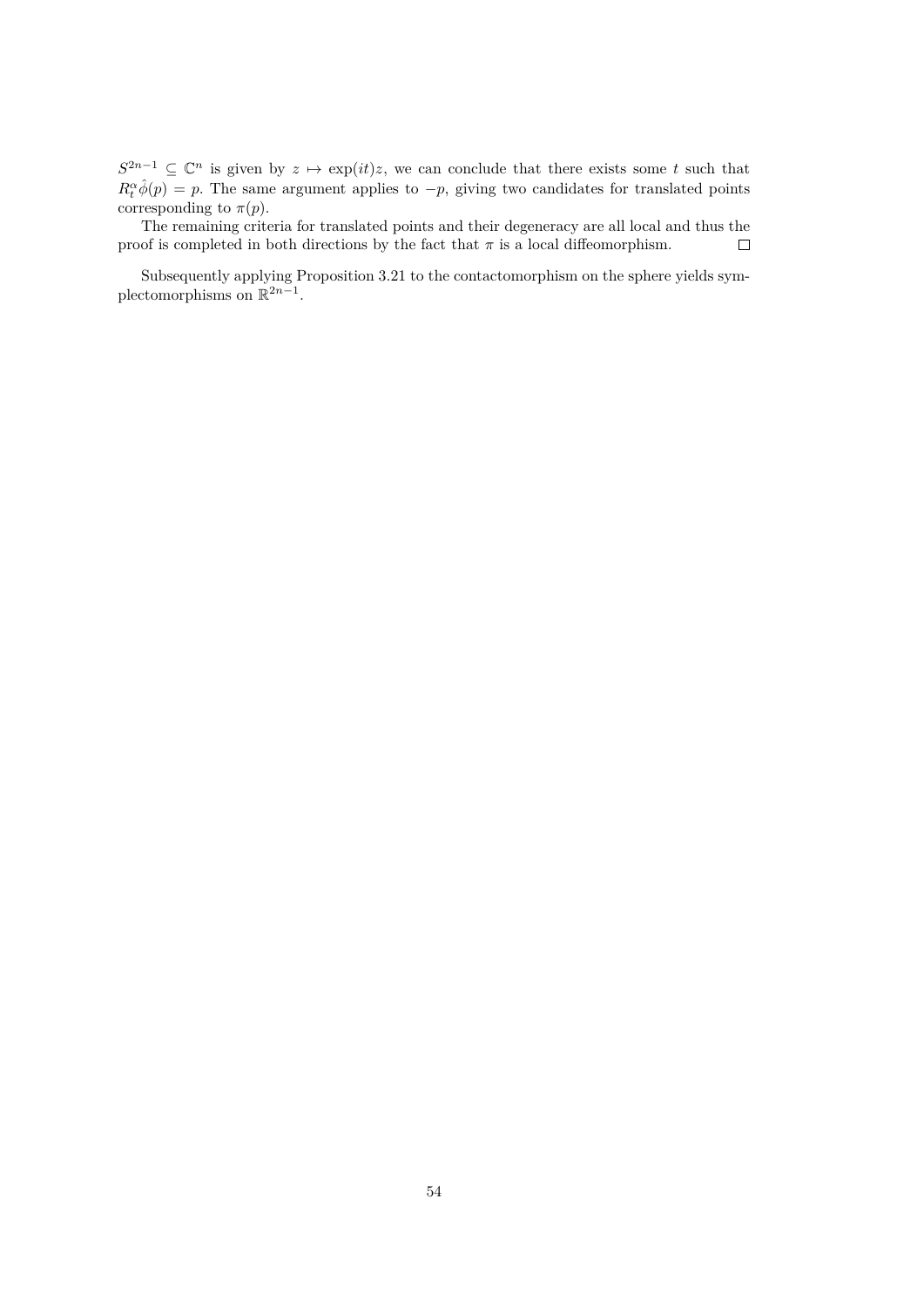$S^{2n-1} \subseteq \mathbb{C}^n$  is given by  $z \mapsto \exp(it)z$ , we can conclude that there exists some t such that  $R_t^{\alpha} \hat{\phi}(p) = p$ . The same argument applies to  $-p$ , giving two candidates for translated points corresponding to  $\pi(p)$ .

The remaining criteria for translated points and their degeneracy are all local and thus the proof is completed in both directions by the fact that  $\pi$  is a local diffeomorphism.  $\Box$ 

Subsequently applying Proposition [3.21](#page-30-1) to the contactomorphism on the sphere yields symplectomorphisms on  $\mathbb{R}^{2n-1}$ .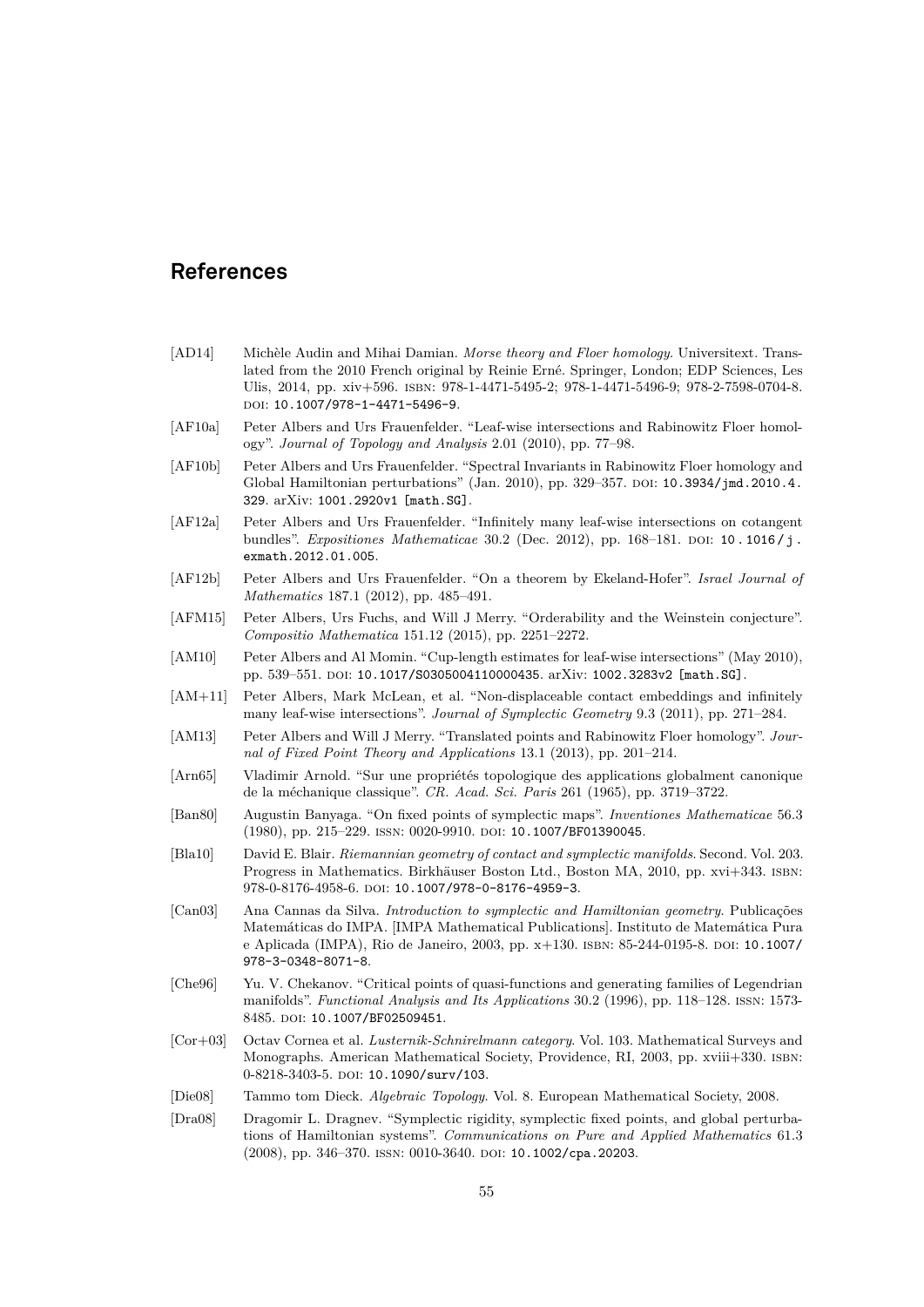# <span id="page-58-0"></span>**References**

- <span id="page-58-15"></span>[AD14] Michèle Audin and Mihai Damian. *Morse theory and Floer homology*. Universitext. Translated from the 2010 French original by Reinie Erné. Springer, London; EDP Sciences, Les Ulis, 2014, pp. xiv+596. isbn: 978-1-4471-5495-2; 978-1-4471-5496-9; 978-2-7598-0704-8. doi: [10.1007/978-1-4471-5496-9](https://doi.org/10.1007/978-1-4471-5496-9).
- <span id="page-58-5"></span>[AF10a] Peter Albers and Urs Frauenfelder. "Leaf-wise intersections and Rabinowitz Floer homology". *Journal of Topology and Analysis* 2.01 (2010), pp. 77–98.
- <span id="page-58-8"></span>[AF10b] Peter Albers and Urs Frauenfelder. "Spectral Invariants in Rabinowitz Floer homology and Global Hamiltonian perturbations" (Jan. 2010), pp. 329–357. doi: [10.3934/jmd.2010.4.](https://doi.org/10.3934/jmd.2010.4.329) [329](https://doi.org/10.3934/jmd.2010.4.329). arXiv: [1001.2920v1 \[math.SG\]](https://arxiv.org/abs/1001.2920v1).
- <span id="page-58-7"></span>[AF12a] Peter Albers and Urs Frauenfelder. "Infinitely many leaf-wise intersections on cotangent bundles". *Expositiones Mathematicae* 30.2 (Dec. 2012), pp. 168–181. poi: 10. 1016/j. [exmath.2012.01.005](https://doi.org/10.1016/j.exmath.2012.01.005).
- <span id="page-58-10"></span>[AF12b] Peter Albers and Urs Frauenfelder. "On a theorem by Ekeland-Hofer". *Israel Journal of Mathematics* 187.1 (2012), pp. 485–491.
- <span id="page-58-12"></span>[AFM15] Peter Albers, Urs Fuchs, and Will J Merry. "Orderability and the Weinstein conjecture". *Compositio Mathematica* 151.12 (2015), pp. 2251–2272.
- <span id="page-58-6"></span>[AM10] Peter Albers and Al Momin. "Cup-length estimates for leaf-wise intersections" (May 2010), pp. 539–551. doi: [10.1017/S0305004110000435](https://doi.org/10.1017/S0305004110000435). arXiv: [1002.3283v2 \[math.SG\]](https://arxiv.org/abs/1002.3283v2).
- <span id="page-58-9"></span>[AM+11] Peter Albers, Mark McLean, et al. "Non-displaceable contact embeddings and infinitely many leaf-wise intersections". *Journal of Symplectic Geometry* 9.3 (2011), pp. 271–284.
- <span id="page-58-11"></span>[AM13] Peter Albers and Will J Merry. "Translated points and Rabinowitz Floer homology". *Journal of Fixed Point Theory and Applications* 13.1 (2013), pp. 201–214.
- <span id="page-58-13"></span>[Arn65] Vladimir Arnold. "Sur une propriétés topologique des applications globalment canonique de la méchanique classique". *CR. Acad. Sci. Paris* 261 (1965), pp. 3719–3722.
- <span id="page-58-3"></span>[Ban80] Augustin Banyaga. "On fixed points of symplectic maps". *Inventiones Mathematicae* 56.3 (1980), pp. 215–229. ISSN: 0020-9910. DOI: [10.1007/BF01390045](https://doi.org/10.1007/BF01390045).
- <span id="page-58-1"></span>[Bla10] David E. Blair. *Riemannian geometry of contact and symplectic manifolds*. Second. Vol. 203. Progress in Mathematics. Birkhäuser Boston Ltd., Boston MA, 2010, pp. xvi+343. isbn: 978-0-8176-4958-6. doi: [10.1007/978-0-8176-4959-3](https://doi.org/10.1007/978-0-8176-4959-3).
- <span id="page-58-16"></span>[Can03] Ana Cannas da Silva. *Introduction to symplectic and Hamiltonian geometry*. Publicações Matemáticas do IMPA. [IMPA Mathematical Publications]. Instituto de Matemática Pura e Aplicada (IMPA), Rio de Janeiro, 2003, pp. x+130. ISBN: 85-244-0195-8. DOI: [10.1007/](https://doi.org/10.1007/978-3-0348-8071-8) [978-3-0348-8071-8](https://doi.org/10.1007/978-3-0348-8071-8).
- <span id="page-58-2"></span>[Che96] Yu. V. Chekanov. "Critical points of quasi-functions and generating families of Legendrian manifolds". *Functional Analysis and Its Applications* 30.2 (1996), pp. 118–128. issn: 1573- 8485. doi: [10.1007/BF02509451](https://doi.org/10.1007/BF02509451).
- <span id="page-58-14"></span>[Cor+03] Octav Cornea et al. *Lusternik-Schnirelmann category*. Vol. 103. Mathematical Surveys and Monographs. American Mathematical Society, Providence, RI, 2003, pp. xviii+330. isbn: 0-8218-3403-5. doi: [10.1090/surv/103](https://doi.org/10.1090/surv/103).
- <span id="page-58-17"></span>[Die08] Tammo tom Dieck. *Algebraic Topology*. Vol. 8. European Mathematical Society, 2008.
- <span id="page-58-4"></span>[Dra08] Dragomir L. Dragnev. "Symplectic rigidity, symplectic fixed points, and global perturbations of Hamiltonian systems". *Communications on Pure and Applied Mathematics* 61.3 (2008), pp. 346-370. ISSN: 0010-3640. DOI: [10.1002/cpa.20203](https://doi.org/10.1002/cpa.20203).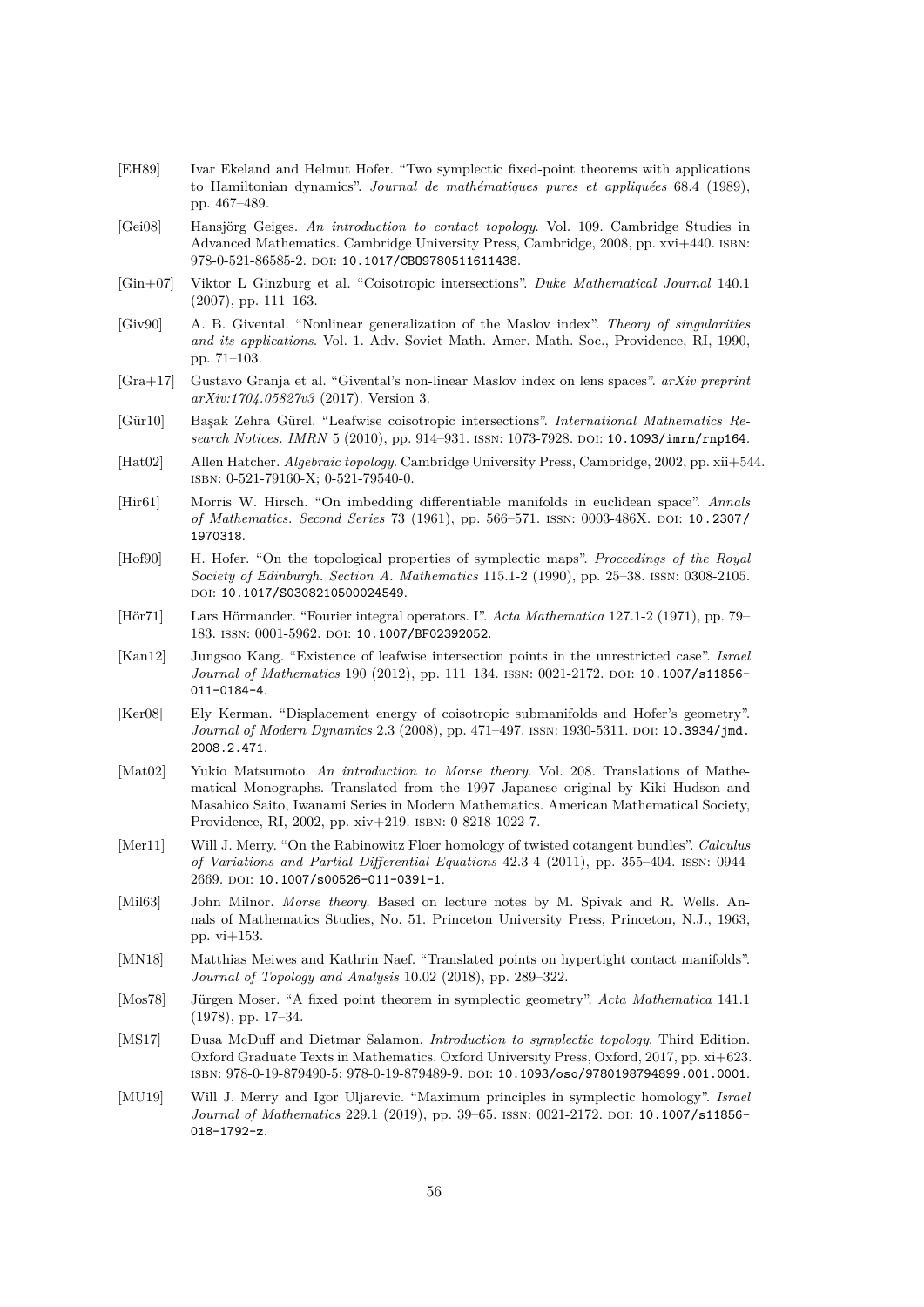- <span id="page-59-12"></span>[EH89] Ivar Ekeland and Helmut Hofer. "Two symplectic fixed-point theorems with applications to Hamiltonian dynamics". *Journal de mathématiques pures et appliquées* 68.4 (1989), pp. 467–489.
- <span id="page-59-4"></span>[Gei08] Hansjörg Geiges. *An introduction to contact topology*. Vol. 109. Cambridge Studies in Advanced Mathematics. Cambridge University Press, Cambridge, 2008, pp. xvi+440. isbn: 978-0-521-86585-2. doi: [10.1017/CBO9780511611438](https://doi.org/10.1017/CBO9780511611438).
- <span id="page-59-7"></span>[Gin+07] Viktor L Ginzburg et al. "Coisotropic intersections". *Duke Mathematical Journal* 140.1 (2007), pp. 111–163.
- <span id="page-59-1"></span>[Giv90] A. B. Givental. "Nonlinear generalization of the Maslov index". *Theory of singularities and its applications*. Vol. 1. Adv. Soviet Math. Amer. Math. Soc., Providence, RI, 1990, pp. 71–103.
- <span id="page-59-0"></span>[Gra+17] Gustavo Granja et al. "Givental's non-linear Maslov index on lens spaces". *arXiv preprint arXiv:1704.05827v3* (2017). Version 3.
- <span id="page-59-9"></span>[Gür10] Başak Zehra Gürel. "Leafwise coisotropic intersections". *International Mathematics Research Notices. IMRN* 5 (2010), pp. 914–931. ISSN: 1073-7928. DOI: [10.1093/imrn/rnp164](https://doi.org/10.1093/imrn/rnp164).
- <span id="page-59-18"></span>[Hat02] Allen Hatcher. *Algebraic topology*. Cambridge University Press, Cambridge, 2002, pp. xii+544. isbn: 0-521-79160-X; 0-521-79540-0.
- <span id="page-59-16"></span>[Hir61] Morris W. Hirsch. "On imbedding differentiable manifolds in euclidean space". *Annals of Mathematics. Second Series* 73 (1961), pp. 566-571. ISSN: 0003-486X. DOI: [10.2307/](https://doi.org/10.2307/1970318) [1970318](https://doi.org/10.2307/1970318).
- <span id="page-59-6"></span>[Hof90] H. Hofer. "On the topological properties of symplectic maps". *Proceedings of the Royal Society of Edinburgh. Section A. Mathematics* 115.1-2 (1990), pp. 25–38. issn: 0308-2105. doi: [10.1017/S0308210500024549](https://doi.org/10.1017/S0308210500024549).
- <span id="page-59-2"></span>[Hör71] Lars Hörmander. "Fourier integral operators. I". *Acta Mathematica* 127.1-2 (1971), pp. 79– 183. issn: 0001-5962. doi: [10.1007/BF02392052](https://doi.org/10.1007/BF02392052).
- <span id="page-59-10"></span>[Kan12] Jungsoo Kang. "Existence of leafwise intersection points in the unrestricted case". *Israel Journal of Mathematics* 190 (2012), pp. 111-134. ISSN: 0021-2172. DOI: [10.1007/s11856-](https://doi.org/10.1007/s11856-011-0184-4) [011-0184-4](https://doi.org/10.1007/s11856-011-0184-4).
- <span id="page-59-8"></span>[Ker08] Ely Kerman. "Displacement energy of coisotropic submanifolds and Hofer's geometry". *Journal of Modern Dynamics* 2.3 (2008), pp. 471–497. ISSN: 1930-5311. DOI: [10.3934/jmd.](https://doi.org/10.3934/jmd.2008.2.471) [2008.2.471](https://doi.org/10.3934/jmd.2008.2.471).
- <span id="page-59-17"></span>[Mat02] Yukio Matsumoto. *An introduction to Morse theory*. Vol. 208. Translations of Mathematical Monographs. Translated from the 1997 Japanese original by Kiki Hudson and Masahico Saito, Iwanami Series in Modern Mathematics. American Mathematical Society, Providence, RI, 2002, pp. xiv+219. isbn: 0-8218-1022-7.
- <span id="page-59-11"></span>[Mer11] Will J. Merry. "On the Rabinowitz Floer homology of twisted cotangent bundles". *Calculus of Variations and Partial Differential Equations* 42.3-4 (2011), pp. 355–404. issn: 0944- 2669. poi: [10.1007/s00526-011-0391-1](https://doi.org/10.1007/s00526-011-0391-1).
- <span id="page-59-15"></span>[Mil63] John Milnor. *Morse theory*. Based on lecture notes by M. Spivak and R. Wells. Annals of Mathematics Studies, No. 51. Princeton University Press, Princeton, N.J., 1963, pp. vi+153.
- <span id="page-59-13"></span>[MN18] Matthias Meiwes and Kathrin Naef. "Translated points on hypertight contact manifolds". *Journal of Topology and Analysis* 10.02 (2018), pp. 289–322.
- <span id="page-59-5"></span>[Mos78] Jürgen Moser. "A fixed point theorem in symplectic geometry". *Acta Mathematica* 141.1 (1978), pp. 17–34.
- <span id="page-59-3"></span>[MS17] Dusa McDuff and Dietmar Salamon. *Introduction to symplectic topology*. Third Edition. Oxford Graduate Texts in Mathematics. Oxford University Press, Oxford, 2017, pp. xi+623. isbn: 978-0-19-879490-5; 978-0-19-879489-9. doi: [10.1093/oso/9780198794899.001.0001](https://doi.org/10.1093/oso/9780198794899.001.0001).
- <span id="page-59-14"></span>[MU19] Will J. Merry and Igor Uljarevic. "Maximum principles in symplectic homology". *Israel Journal of Mathematics* 229.1 (2019), pp. 39–65. ISSN: 0021-2172. DOI: [10.1007/s11856-](https://doi.org/10.1007/s11856-018-1792-z) [018-1792-z](https://doi.org/10.1007/s11856-018-1792-z).